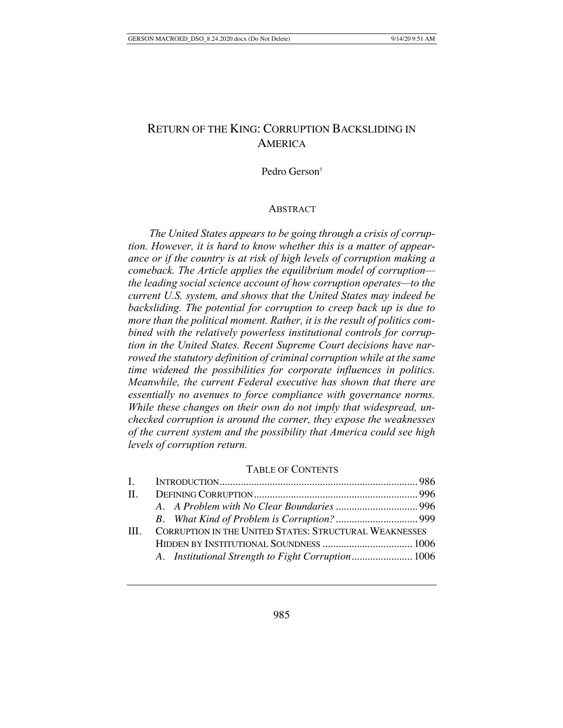# RETURN OF THE KING: CORRUPTION BACKSLIDING IN **AMERICA**

# Pedro Gerson†

## ABSTRACT

*The United States appears to be going through a crisis of corruption. However, it is hard to know whether this is a matter of appearance or if the country is at risk of high levels of corruption making a comeback. The Article applies the equilibrium model of corruption the leading social science account of how corruption operates—to the current U.S. system, and shows that the United States may indeed be backsliding. The potential for corruption to creep back up is due to more than the political moment. Rather, it is the result of politics combined with the relatively powerless institutional controls for corruption in the United States. Recent Supreme Court decisions have narrowed the statutory definition of criminal corruption while at the same time widened the possibilities for corporate influences in politics. Meanwhile, the current Federal executive has shown that there are essentially no avenues to force compliance with governance norms. While these changes on their own do not imply that widespread, unchecked corruption is around the corner, they expose the weaknesses of the current system and the possibility that America could see high levels of corruption return.* 

# TABLE OF CONTENTS

| $\Pi$ . |                                                        |  |
|---------|--------------------------------------------------------|--|
|         |                                                        |  |
|         |                                                        |  |
| HI.     | CORRUPTION IN THE UNITED STATES: STRUCTURAL WEAKNESSES |  |
|         |                                                        |  |
|         |                                                        |  |
|         |                                                        |  |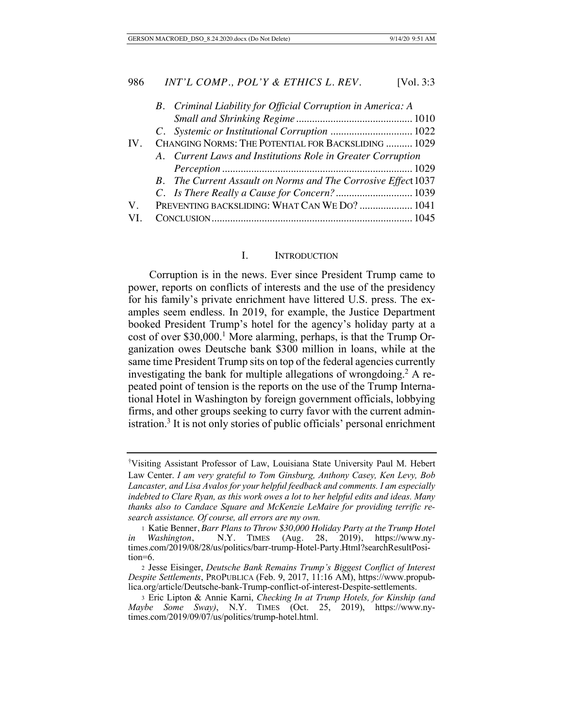|                   | B. Criminal Liability for Official Corruption in America: A   |  |
|-------------------|---------------------------------------------------------------|--|
|                   |                                                               |  |
|                   |                                                               |  |
| $\mathbf{IV}_{-}$ | CHANGING NORMS: THE POTENTIAL FOR BACKSLIDING  1029           |  |
|                   | A. Current Laws and Institutions Role in Greater Corruption   |  |
|                   |                                                               |  |
|                   | B. The Current Assault on Norms and The Corrosive Effect 1037 |  |
|                   |                                                               |  |
| $V_{\cdot}$       | PREVENTING BACKSLIDING: WHAT CAN WE DO?  1041                 |  |
|                   |                                                               |  |

# I. INTRODUCTION

Corruption is in the news. Ever since President Trump came to power, reports on conflicts of interests and the use of the presidency for his family's private enrichment have littered U.S. press. The examples seem endless. In 2019, for example, the Justice Department booked President Trump's hotel for the agency's holiday party at a cost of over \$30,000.<sup>1</sup> More alarming, perhaps, is that the Trump Organization owes Deutsche bank \$300 million in loans, while at the same time President Trump sits on top of the federal agencies currently investigating the bank for multiple allegations of wrongdoing.2 A repeated point of tension is the reports on the use of the Trump International Hotel in Washington by foreign government officials, lobbying firms, and other groups seeking to curry favor with the current administration.3 It is not only stories of public officials' personal enrichment

<sup>†</sup> Visiting Assistant Professor of Law, Louisiana State University Paul M. Hebert Law Center. *I am very grateful to Tom Ginsburg, Anthony Casey, Ken Levy, Bob Lancaster, and Lisa Avalos for your helpful feedback and comments. I am especially indebted to Clare Ryan, as this work owes a lot to her helpful edits and ideas. Many thanks also to Candace Square and McKenzie LeMaire for providing terrific research assistance. Of course, all errors are my own.*

<sup>1</sup> Katie Benner, *Barr Plans to Throw \$30,000 Holiday Party at the Trump Hotel in Washington*, N.Y. TIMES (Aug. 28, 2019), https://www.nytimes.com/2019/08/28/us/politics/barr-trump-Hotel-Party.Html?searchResultPosition=6.

<sup>2</sup> Jesse Eisinger, *Deutsche Bank Remains Trump's Biggest Conflict of Interest Despite Settlements*, PROPUBLICA (Feb. 9, 2017, 11:16 AM), https://www.propublica.org/article/Deutsche-bank-Trump-conflict-of-interest-Despite-settlements.

<sup>3</sup> Eric Lipton & Annie Karni, *Checking In at Trump Hotels, for Kinship (and Maybe Some Sway)*, N.Y. TIMES (Oct. 25, 2019), https://www.nytimes.com/2019/09/07/us/politics/trump-hotel.html.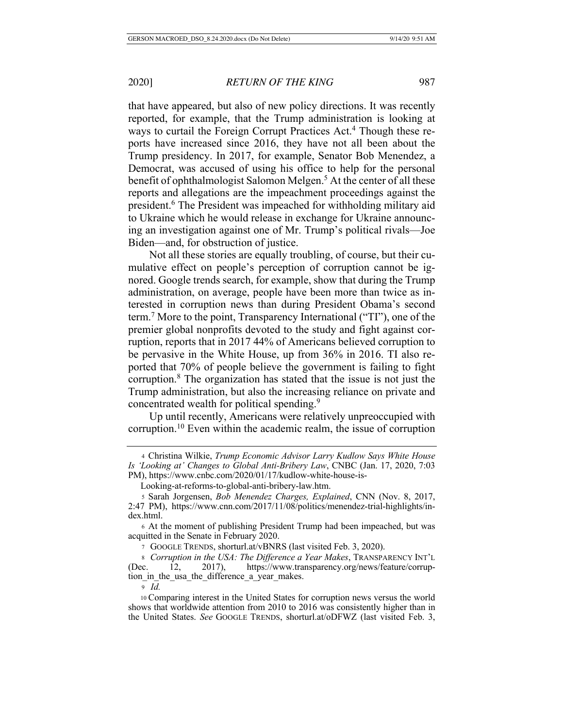that have appeared, but also of new policy directions. It was recently reported, for example, that the Trump administration is looking at ways to curtail the Foreign Corrupt Practices Act.<sup>4</sup> Though these reports have increased since 2016, they have not all been about the Trump presidency. In 2017, for example, Senator Bob Menendez, a Democrat, was accused of using his office to help for the personal benefit of ophthalmologist Salomon Melgen.<sup>5</sup> At the center of all these reports and allegations are the impeachment proceedings against the president.<sup>6</sup> The President was impeached for withholding military aid to Ukraine which he would release in exchange for Ukraine announcing an investigation against one of Mr. Trump's political rivals—Joe Biden—and, for obstruction of justice.

Not all these stories are equally troubling, of course, but their cumulative effect on people's perception of corruption cannot be ignored. Google trends search, for example, show that during the Trump administration, on average, people have been more than twice as interested in corruption news than during President Obama's second term.7 More to the point, Transparency International ("TI"), one of the premier global nonprofits devoted to the study and fight against corruption, reports that in 2017 44% of Americans believed corruption to be pervasive in the White House, up from 36% in 2016. TI also reported that 70% of people believe the government is failing to fight corruption.<sup>8</sup> The organization has stated that the issue is not just the Trump administration, but also the increasing reliance on private and concentrated wealth for political spending.9

Up until recently, Americans were relatively unpreoccupied with corruption.10 Even within the academic realm, the issue of corruption

<sup>4</sup> Christina Wilkie, *Trump Economic Advisor Larry Kudlow Says White House Is 'Looking at' Changes to Global Anti-Bribery Law*, CNBC (Jan. 17, 2020, 7:03 PM), https://www.cnbc.com/2020/01/17/kudlow-white-house-is-

Looking-at-reforms-to-global-anti-bribery-law.htm.

<sup>5</sup> Sarah Jorgensen, *Bob Menendez Charges, Explained*, CNN (Nov. 8, 2017, 2:47 PM), https://www.cnn.com/2017/11/08/politics/menendez-trial-highlights/index.html.

<sup>6</sup> At the moment of publishing President Trump had been impeached, but was acquitted in the Senate in February 2020.

<sup>7</sup> GOOGLE TRENDS, shorturl.at/vBNRS (last visited Feb. 3, 2020).

<sup>8</sup> *Corruption in the USA: The Difference a Year Makes*, TRANSPARENCY INT'L (Dec. 12, 2017), https://www.transparency.org/news/feature/corruption in the usa the difference a year makes.

<sup>9</sup> *Id.*

<sup>10</sup> Comparing interest in the United States for corruption news versus the world shows that worldwide attention from 2010 to 2016 was consistently higher than in the United States. *See* GOOGLE TRENDS, shorturl.at/oDFWZ (last visited Feb. 3,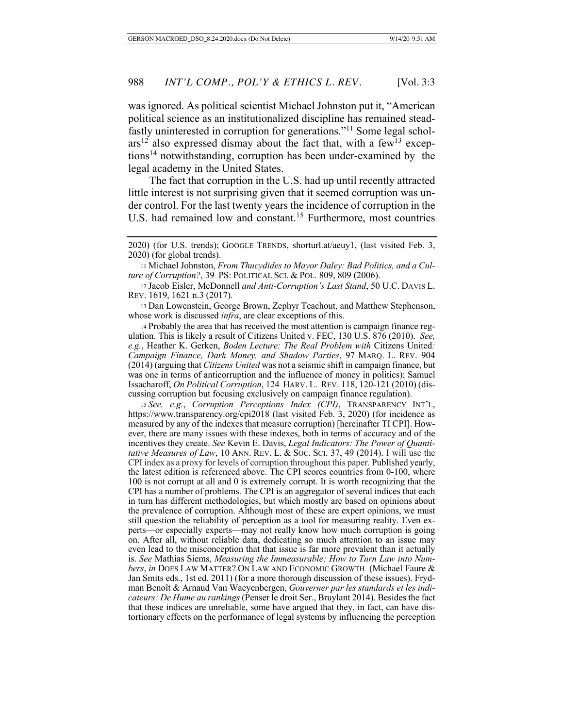was ignored. As political scientist Michael Johnston put it, "American political science as an institutionalized discipline has remained steadfastly uninterested in corruption for generations."11 Some legal schol $ars^{12}$  also expressed dismay about the fact that, with a few<sup>13</sup> excep $tions<sup>14</sup>$  notwithstanding, corruption has been under-examined by the legal academy in the United States.

The fact that corruption in the U.S. had up until recently attracted little interest is not surprising given that it seemed corruption was under control. For the last twenty years the incidence of corruption in the U.S. had remained low and constant.<sup>15</sup> Furthermore, most countries

<sup>11</sup> Michael Johnston, *From Thucydides to Mayor Daley: Bad Politics, and a Culture of Corruption?*, 39 PS: POLITICAL SCI. & POL. 809, 809 (2006).

<sup>12</sup> Jacob Eisler, McDonnell *and Anti-Corruption's Last Stand*, 50 U.C. DAVIS L. REV. 1619, 1621 n.3 (2017).

<sup>13</sup> Dan Lowenstein, George Brown, Zephyr Teachout, and Matthew Stephenson, whose work is discussed *infra*, are clear exceptions of this.

<sup>14</sup> Probably the area that has received the most attention is campaign finance regulation. This is likely a result of Citizens United v. FEC, 130 U.S. 876 (2010). *See, e.g.*, Heather K. Gerken, *Boden Lecture: The Real Problem with* Citizens United*: Campaign Finance, Dark Money, and Shadow Parties*, 97 MARQ. L. REV. 904 (2014) (arguing that *Citizens United* was not a seismic shift in campaign finance, but was one in terms of anticorruption and the influence of money in politics); Samuel Issacharoff, *On Political Corruption*, 124 HARV. L. REV. 118, 120-121 (2010) (discussing corruption but focusing exclusively on campaign finance regulation).

<sup>15</sup> *See, e.g.*, *Corruption Perceptions Index (CPI)*, TRANSPARENCY INT'L, https://www.transparency.org/cpi2018 (last visited Feb. 3, 2020) (for incidence as measured by any of the indexes that measure corruption) [hereinafter TI CPI]. However, there are many issues with these indexes, both in terms of accuracy and of the incentives they create. *See* Kevin E. Davis, *Legal Indicators: The Power of Quantitative Measures of Law*, 10 ANN. REV. L. & SOC. SCI. 37, 49 (2014). I will use the CPI index as a proxy for levels of corruption throughout this paper. Published yearly, the latest edition is referenced above. The CPI scores countries from 0-100, where 100 is not corrupt at all and 0 is extremely corrupt. It is worth recognizing that the CPI has a number of problems. The CPI is an aggregator of several indices that each in turn has different methodologies, but which mostly are based on opinions about the prevalence of corruption. Although most of these are expert opinions, we must still question the reliability of perception as a tool for measuring reality. Even experts—or especially experts—may not really know how much corruption is going on. After all, without reliable data, dedicating so much attention to an issue may even lead to the misconception that that issue is far more prevalent than it actually is. *See* Mathias Siems, *Measuring the Immeasurable: How to Turn Law into Numbers*, *in* DOES LAW MATTER? ON LAW AND ECONOMIC GROWTH (Michael Faure & Jan Smits eds., 1st ed. 2011) (for a more thorough discussion of these issues). Frydman Benoît & Arnaud Van Waeyenbergen, *Gouverner par les standards et les indicateurs: De Hume au rankings* (Penser le droit Ser., Bruylant 2014). Besides the fact that these indices are unreliable, some have argued that they, in fact, can have distortionary effects on the performance of legal systems by influencing the perception

<sup>2020) (</sup>for U.S. trends); GOOGLE TRENDS, shorturl.at/aeuy1, (last visited Feb. 3, 2020) (for global trends).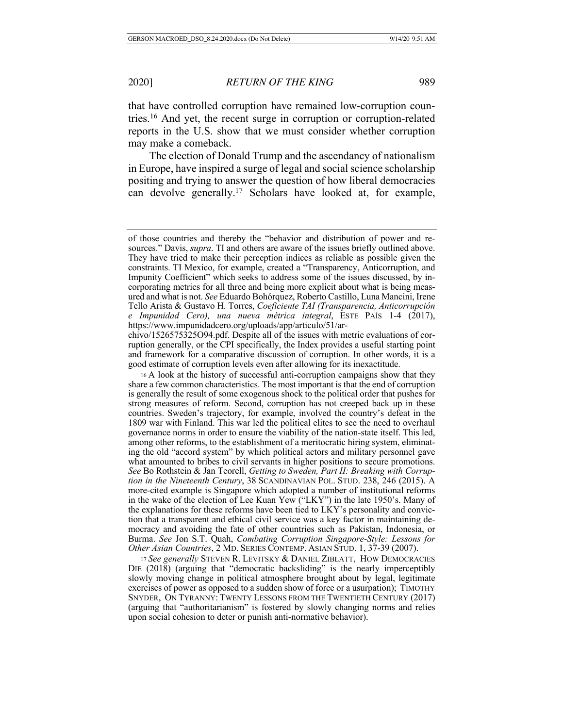that have controlled corruption have remained low-corruption countries.16 And yet, the recent surge in corruption or corruption-related reports in the U.S. show that we must consider whether corruption may make a comeback.

The election of Donald Trump and the ascendancy of nationalism in Europe, have inspired a surge of legal and social science scholarship positing and trying to answer the question of how liberal democracies can devolve generally.17 Scholars have looked at, for example,

chivo/1526575325O94.pdf. Despite all of the issues with metric evaluations of corruption generally, or the CPI specifically, the Index provides a useful starting point and framework for a comparative discussion of corruption. In other words, it is a good estimate of corruption levels even after allowing for its inexactitude.

<sup>16</sup> A look at the history of successful anti-corruption campaigns show that they share a few common characteristics. The most important is that the end of corruption is generally the result of some exogenous shock to the political order that pushes for strong measures of reform. Second, corruption has not creeped back up in these countries. Sweden's trajectory, for example, involved the country's defeat in the 1809 war with Finland. This war led the political elites to see the need to overhaul governance norms in order to ensure the viability of the nation-state itself. This led, among other reforms, to the establishment of a meritocratic hiring system, eliminating the old "accord system" by which political actors and military personnel gave what amounted to bribes to civil servants in higher positions to secure promotions. *See* Bo Rothstein & Jan Teorell, *Getting to Sweden, Part II: Breaking with Corruption in the Nineteenth Century*, 38 SCANDINAVIAN POL. STUD. 238, 246 (2015). A more-cited example is Singapore which adopted a number of institutional reforms in the wake of the election of Lee Kuan Yew ("LKY") in the late 1950's. Many of the explanations for these reforms have been tied to LKY's personality and conviction that a transparent and ethical civil service was a key factor in maintaining democracy and avoiding the fate of other countries such as Pakistan, Indonesia, or Burma. *See* Jon S.T. Quah, *Combating Corruption Singapore-Style: Lessons for Other Asian Countries*, 2 MD. SERIES CONTEMP. ASIAN STUD. 1, 37-39 (2007).

<sup>17</sup> *See generally* STEVEN R. LEVITSKY & DANIEL ZIBLATT, HOW DEMOCRACIES DIE (2018) (arguing that "democratic backsliding" is the nearly imperceptibly slowly moving change in political atmosphere brought about by legal, legitimate exercises of power as opposed to a sudden show of force or a usurpation); TIMOTHY SNYDER, ON TYRANNY: TWENTY LESSONS FROM THE TWENTIETH CENTURY (2017) (arguing that "authoritarianism" is fostered by slowly changing norms and relies upon social cohesion to deter or punish anti-normative behavior).

of those countries and thereby the "behavior and distribution of power and resources." Davis, *supra*. TI and others are aware of the issues briefly outlined above. They have tried to make their perception indices as reliable as possible given the constraints. TI Mexico, for example, created a "Transparency, Anticorruption, and Impunity Coefficient" which seeks to address some of the issues discussed, by incorporating metrics for all three and being more explicit about what is being measured and what is not. *See* Eduardo Bohórquez, Roberto Castillo, Luna Mancini, Irene Tello Arista & Gustavo H. Torres, *Coeficiente TAI (Transparencia, Anticorrupción e Impunidad Cero), una nueva métrica integral*, ESTE PAÍS 1-4 (2017), https://www.impunidadcero.org/uploads/app/articulo/51/ar-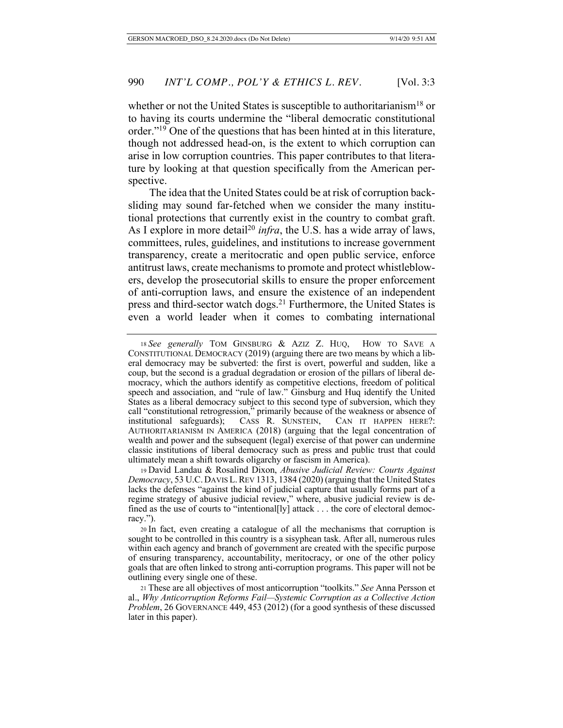whether or not the United States is susceptible to authoritarianism<sup>18</sup> or to having its courts undermine the "liberal democratic constitutional order."19 One of the questions that has been hinted at in this literature, though not addressed head-on, is the extent to which corruption can arise in low corruption countries. This paper contributes to that literature by looking at that question specifically from the American perspective.

The idea that the United States could be at risk of corruption backsliding may sound far-fetched when we consider the many institutional protections that currently exist in the country to combat graft. As I explore in more detail<sup>20</sup> *infra*, the U.S. has a wide array of laws, committees, rules, guidelines, and institutions to increase government transparency, create a meritocratic and open public service, enforce antitrust laws, create mechanisms to promote and protect whistleblowers, develop the prosecutorial skills to ensure the proper enforcement of anti-corruption laws, and ensure the existence of an independent press and third-sector watch dogs.21 Furthermore, the United States is even a world leader when it comes to combating international

<sup>18</sup> *See generally* TOM GINSBURG & AZIZ Z. HUQ, HOW TO SAVE A CONSTITUTIONAL DEMOCRACY (2019) (arguing there are two means by which a liberal democracy may be subverted: the first is overt, powerful and sudden, like a coup, but the second is a gradual degradation or erosion of the pillars of liberal democracy, which the authors identify as competitive elections, freedom of political speech and association, and "rule of law." Ginsburg and Huq identify the United States as a liberal democracy subject to this second type of subversion, which they call "constitutional retrogression," primarily because of the weakness or absence of institutional safeguards); CASS R. SUNSTEIN, CAN IT HAPPEN HERE? institutional safeguards); CASS R. SUNSTEIN, CAN IT HAPPEN HERE?: AUTHORITARIANISM IN AMERICA (2018) (arguing that the legal concentration of wealth and power and the subsequent (legal) exercise of that power can undermine classic institutions of liberal democracy such as press and public trust that could ultimately mean a shift towards oligarchy or fascism in America).

<sup>19</sup> David Landau & Rosalind Dixon, *Abusive Judicial Review: Courts Against Democracy*, 53 U.C. DAVIS L.REV 1313, 1384 (2020) (arguing that the United States lacks the defenses "against the kind of judicial capture that usually forms part of a regime strategy of abusive judicial review," where, abusive judicial review is defined as the use of courts to "intentional[ly] attack . . . the core of electoral democracy.").

<sup>20</sup> In fact, even creating a catalogue of all the mechanisms that corruption is sought to be controlled in this country is a sisyphean task. After all, numerous rules within each agency and branch of government are created with the specific purpose of ensuring transparency, accountability, meritocracy, or one of the other policy goals that are often linked to strong anti-corruption programs. This paper will not be outlining every single one of these.

<sup>21</sup> These are all objectives of most anticorruption "toolkits." *See* Anna Persson et al., *Why Anticorruption Reforms Fail—Systemic Corruption as a Collective Action Problem*, 26 GOVERNANCE 449, 453 (2012) (for a good synthesis of these discussed later in this paper).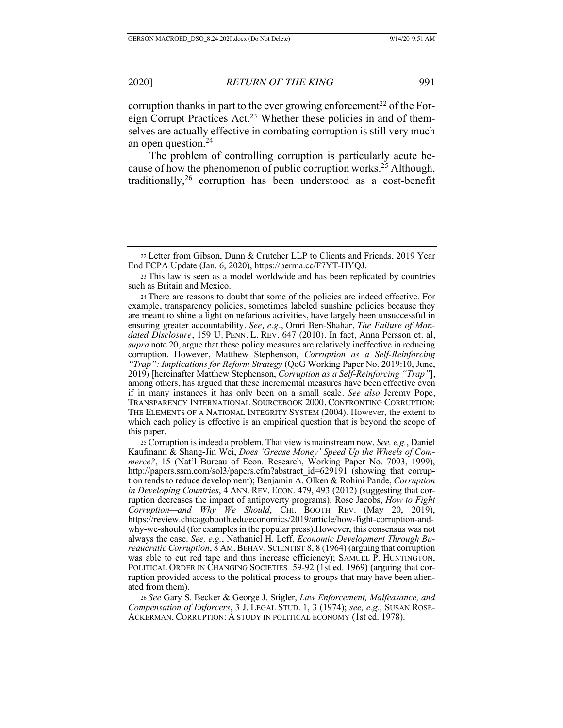corruption thanks in part to the ever growing enforcement<sup>22</sup> of the Foreign Corrupt Practices Act.<sup>23</sup> Whether these policies in and of themselves are actually effective in combating corruption is still very much an open question.24

The problem of controlling corruption is particularly acute because of how the phenomenon of public corruption works.<sup>25</sup> Although, traditionally,<sup>26</sup> corruption has been understood as a cost-benefit

<sup>22</sup> Letter from Gibson, Dunn & Crutcher LLP to Clients and Friends, 2019 Year End FCPA Update (Jan. 6, 2020), https://perma.cc/F7YT-HYQJ.

<sup>23</sup> This law is seen as a model worldwide and has been replicated by countries such as Britain and Mexico.

<sup>24</sup> There are reasons to doubt that some of the policies are indeed effective. For example, transparency policies, sometimes labeled sunshine policies because they are meant to shine a light on nefarious activities, have largely been unsuccessful in ensuring greater accountability. *See, e.g.*, Omri Ben-Shahar, *The Failure of Mandated Disclosure*, 159 U. PENN. L. REV. 647 (2010). In fact, Anna Persson et. al, *supra* note 20, argue that these policy measures are relatively ineffective in reducing corruption. However, Matthew Stephenson, *Corruption as a Self-Reinforcing "Trap": Implications for Reform Strategy* (QoG Working Paper No. 2019:10, June, 2019) [hereinafter Matthew Stephenson, *Corruption as a Self-Reinforcing "Trap"*], among others, has argued that these incremental measures have been effective even if in many instances it has only been on a small scale. *See also* Jeremy Pope, TRANSPARENCY INTERNATIONAL SOURCEBOOK 2000, CONFRONTING CORRUPTION: THE ELEMENTS OF A NATIONAL INTEGRITY SYSTEM (2004). However, the extent to which each policy is effective is an empirical question that is beyond the scope of this paper.

<sup>25</sup> Corruption is indeed a problem. That view is mainstream now. *See, e.g.*, Daniel Kaufmann & Shang-Jin Wei, *Does 'Grease Money' Speed Up the Wheels of Commerce?*, 15 (Nat'l Bureau of Econ. Research, Working Paper No. 7093, 1999), http://papers.ssrn.com/sol3/papers.cfm?abstract\_id=629191 (showing that corruption tends to reduce development); Benjamin A. Olken & Rohini Pande, *Corruption in Developing Countries*, 4 ANN. REV. ECON. 479, 493 (2012) (suggesting that corruption decreases the impact of antipoverty programs); Rose Jacobs, *How to Fight Corruption—and Why We Should*, CHI. BOOTH REV. (May 20, 2019), https://review.chicagobooth.edu/economics/2019/article/how-fight-corruption-andwhy-we-should (for examples in the popular press).However, this consensus was not always the case. *See, e.g.*, Nathaniel H. Leff, *Economic Development Through Bureaucratic Corruption*, 8 AM.BEHAV. SCIENTIST 8, 8 (1964) (arguing that corruption was able to cut red tape and thus increase efficiency); SAMUEL P. HUNTINGTON, POLITICAL ORDER IN CHANGING SOCIETIES 59-92 (1st ed. 1969) (arguing that corruption provided access to the political process to groups that may have been alienated from them).

<sup>26</sup> *See* Gary S. Becker & George J. Stigler, *Law Enforcement, Malfeasance, and Compensation of Enforcers*, 3 J. LEGAL STUD. 1, 3 (1974); *see, e.g.*, SUSAN ROSE-ACKERMAN, CORRUPTION: A STUDY IN POLITICAL ECONOMY (1st ed. 1978).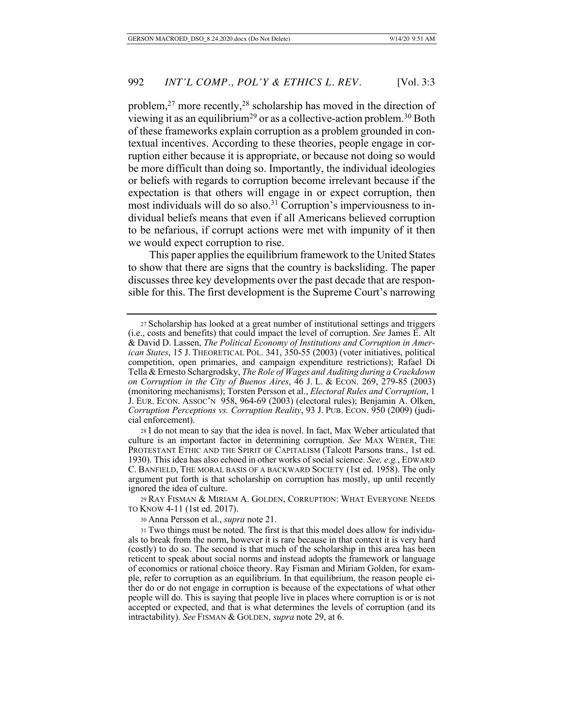problem,<sup>27</sup> more recently,<sup>28</sup> scholarship has moved in the direction of viewing it as an equilibrium<sup>29</sup> or as a collective-action problem.<sup>30</sup> Both of these frameworks explain corruption as a problem grounded in contextual incentives. According to these theories, people engage in corruption either because it is appropriate, or because not doing so would be more difficult than doing so. Importantly, the individual ideologies or beliefs with regards to corruption become irrelevant because if the expectation is that others will engage in or expect corruption, then most individuals will do so also.31 Corruption's imperviousness to individual beliefs means that even if all Americans believed corruption to be nefarious, if corrupt actions were met with impunity of it then we would expect corruption to rise.

This paper applies the equilibrium framework to the United States to show that there are signs that the country is backsliding. The paper discusses three key developments over the past decade that are responsible for this. The first development is the Supreme Court's narrowing

29 RAY FISMAN & MIRIAM A. GOLDEN, CORRUPTION: WHAT EVERYONE NEEDS TO KNOW 4-11 (1st ed. 2017).

<sup>30</sup> Anna Persson et al., *supra* note 21.

<sup>27</sup> Scholarship has looked at a great number of institutional settings and triggers (i.e., costs and benefits) that could impact the level of corruption. *See* James E. Alt & David D. Lassen, *The Political Economy of Institutions and Corruption in American States*, 15 J. THEORETICAL POL. 341, 350-55 (2003) (voter initiatives, political competition, open primaries, and campaign expenditure restrictions); Rafael Di Tella & Ernesto Schargrodsky, *The Role of Wages and Auditing during a Crackdown on Corruption in the City of Buenos Aires*, 46 J. L. & ECON. 269, 279-85 (2003) (monitoring mechanisms); Torsten Persson et al., *Electoral Rules and Corruption*, 1 J. EUR. ECON. ASSOC'N 958, 964-69 (2003) (electoral rules); Benjamin A. Olken, *Corruption Perceptions vs. Corruption Reality*, 93 J. PUB. ECON. 950 (2009) (judicial enforcement).

<sup>28</sup> I do not mean to say that the idea is novel. In fact, Max Weber articulated that culture is an important factor in determining corruption. *See* MAX WEBER, THE PROTESTANT ETHIC AND THE SPIRIT OF CAPITALISM (Talcott Parsons trans., 1st ed. 1930). This idea has also echoed in other works of social science. *See, e.g.*, EDWARD C. BANFIELD, THE MORAL BASIS OF A BACKWARD SOCIETY (1st ed. 1958). The only argument put forth is that scholarship on corruption has mostly, up until recently ignored the idea of culture.

<sup>31</sup> Two things must be noted. The first is that this model does allow for individuals to break from the norm, however it is rare because in that context it is very hard (costly) to do so. The second is that much of the scholarship in this area has been reticent to speak about social norms and instead adopts the framework or language of economics or rational choice theory. Ray Fisman and Miriam Golden, for example, refer to corruption as an equilibrium. In that equilibrium, the reason people either do or do not engage in corruption is because of the expectations of what other people will do. This is saying that people live in places where corruption is or is not accepted or expected, and that is what determines the levels of corruption (and its intractability). *See* FISMAN & GOLDEN, *supra* note 29, at 6.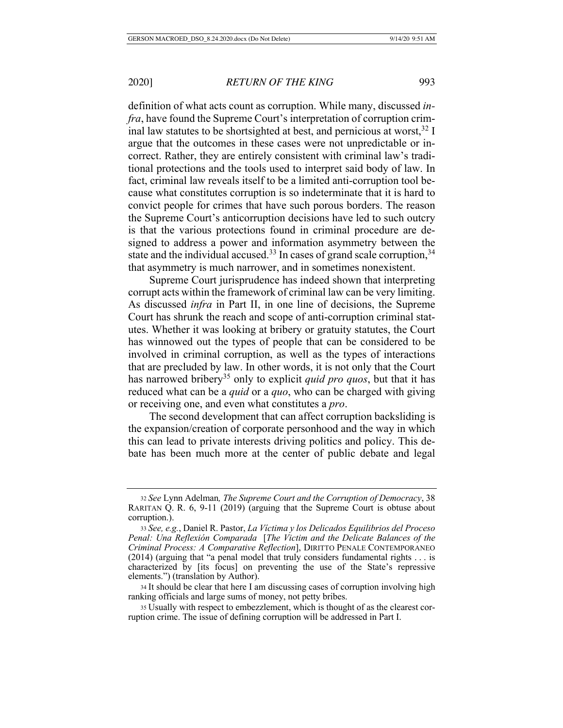definition of what acts count as corruption. While many, discussed *infra*, have found the Supreme Court's interpretation of corruption criminal law statutes to be shortsighted at best, and pernicious at worst,  $32 \text{ I}$ argue that the outcomes in these cases were not unpredictable or incorrect. Rather, they are entirely consistent with criminal law's traditional protections and the tools used to interpret said body of law. In fact, criminal law reveals itself to be a limited anti-corruption tool because what constitutes corruption is so indeterminate that it is hard to convict people for crimes that have such porous borders. The reason the Supreme Court's anticorruption decisions have led to such outcry is that the various protections found in criminal procedure are designed to address a power and information asymmetry between the

Supreme Court jurisprudence has indeed shown that interpreting corrupt acts within the framework of criminal law can be very limiting. As discussed *infra* in Part II, in one line of decisions, the Supreme Court has shrunk the reach and scope of anti-corruption criminal statutes. Whether it was looking at bribery or gratuity statutes, the Court has winnowed out the types of people that can be considered to be involved in criminal corruption, as well as the types of interactions that are precluded by law. In other words, it is not only that the Court has narrowed bribery<sup>35</sup> only to explicit *quid pro quos*, but that it has reduced what can be a *quid* or a *quo*, who can be charged with giving or receiving one, and even what constitutes a *pro*.

state and the individual accused.<sup>33</sup> In cases of grand scale corruption,<sup>34</sup> that asymmetry is much narrower, and in sometimes nonexistent.

The second development that can affect corruption backsliding is the expansion/creation of corporate personhood and the way in which this can lead to private interests driving politics and policy. This debate has been much more at the center of public debate and legal

<sup>34</sup> It should be clear that here I am discussing cases of corruption involving high ranking officials and large sums of money, not petty bribes.

<sup>35</sup> Usually with respect to embezzlement, which is thought of as the clearest corruption crime. The issue of defining corruption will be addressed in Part I.

<sup>32</sup> *See* Lynn Adelman*, The Supreme Court and the Corruption of Democracy*, 38 RARITAN Q. R. 6, 9-11 (2019) (arguing that the Supreme Court is obtuse about corruption.).

<sup>33</sup> *See, e.g.*, Daniel R. Pastor, *La Víctima y los Delicados Equilibrios del Proceso Penal: Una Reflexión Comparada* [*The Victim and the Delicate Balances of the Criminal Process: A Comparative Reflection*], DIRITTO PENALE CONTEMPORANEO (2014) (arguing that "a penal model that truly considers fundamental rights . . . is characterized by [its focus] on preventing the use of the State's repressive elements.") (translation by Author).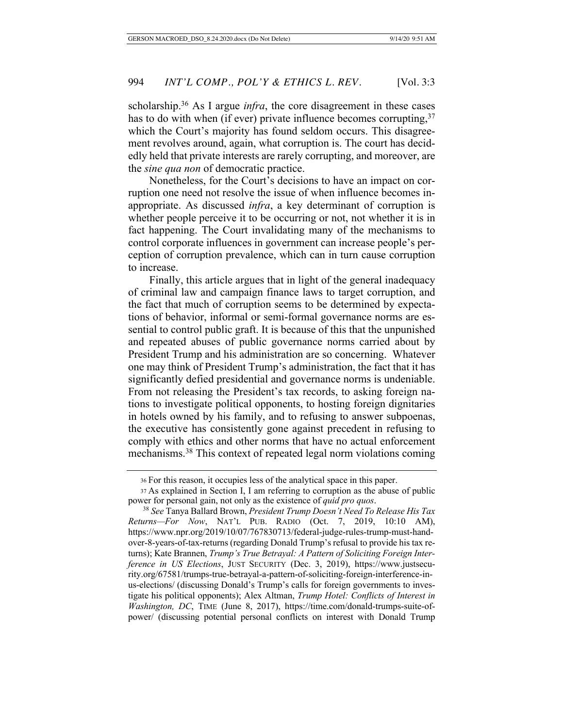scholarship.36 As I argue *infra*, the core disagreement in these cases has to do with when (if ever) private influence becomes corrupting,  $37$ which the Court's majority has found seldom occurs. This disagreement revolves around, again, what corruption is. The court has decidedly held that private interests are rarely corrupting, and moreover, are the *sine qua non* of democratic practice.

Nonetheless, for the Court's decisions to have an impact on corruption one need not resolve the issue of when influence becomes inappropriate. As discussed *infra*, a key determinant of corruption is whether people perceive it to be occurring or not, not whether it is in fact happening. The Court invalidating many of the mechanisms to control corporate influences in government can increase people's perception of corruption prevalence, which can in turn cause corruption to increase.

Finally, this article argues that in light of the general inadequacy of criminal law and campaign finance laws to target corruption, and the fact that much of corruption seems to be determined by expectations of behavior, informal or semi-formal governance norms are essential to control public graft. It is because of this that the unpunished and repeated abuses of public governance norms carried about by President Trump and his administration are so concerning. Whatever one may think of President Trump's administration, the fact that it has significantly defied presidential and governance norms is undeniable. From not releasing the President's tax records, to asking foreign nations to investigate political opponents, to hosting foreign dignitaries in hotels owned by his family, and to refusing to answer subpoenas, the executive has consistently gone against precedent in refusing to comply with ethics and other norms that have no actual enforcement mechanisms.38 This context of repeated legal norm violations coming

<sup>36</sup> For this reason, it occupies less of the analytical space in this paper.

<sup>37</sup> As explained in Section I, I am referring to corruption as the abuse of public power for personal gain, not only as the existence of *quid pro quos*. 38 *See* Tanya Ballard Brown, *President Trump Doesn't Need To Release His Tax* 

*Returns—For Now*, NAT'L PUB. RADIO (Oct. 7, 2019, 10:10 AM), https://www.npr.org/2019/10/07/767830713/federal-judge-rules-trump-must-handover-8-years-of-tax-returns (regarding Donald Trump's refusal to provide his tax returns); Kate Brannen, *Trump's True Betrayal: A Pattern of Soliciting Foreign Interference in US Elections*, JUST SECURITY (Dec. 3, 2019), https://www.justsecurity.org/67581/trumps-true-betrayal-a-pattern-of-soliciting-foreign-interference-inus-elections/ (discussing Donald's Trump's calls for foreign governments to investigate his political opponents); Alex Altman, *Trump Hotel: Conflicts of Interest in Washington, DC*, TIME (June 8, 2017), https://time.com/donald-trumps-suite-ofpower/ (discussing potential personal conflicts on interest with Donald Trump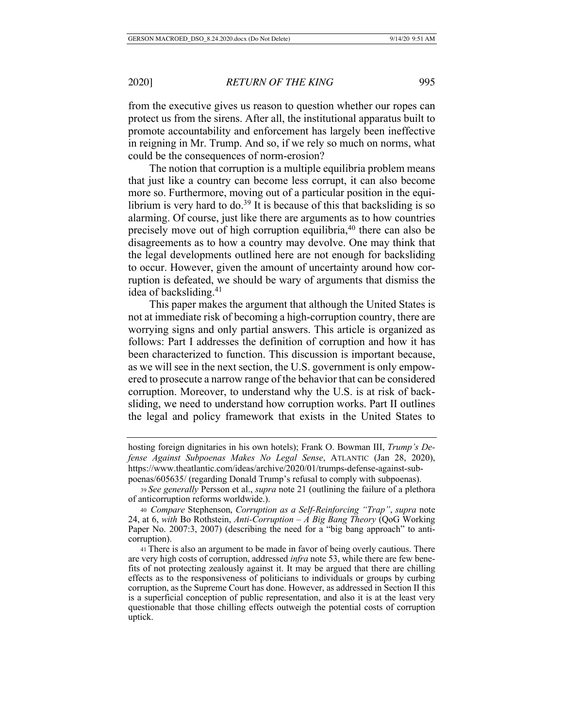from the executive gives us reason to question whether our ropes can protect us from the sirens. After all, the institutional apparatus built to promote accountability and enforcement has largely been ineffective in reigning in Mr. Trump. And so, if we rely so much on norms, what could be the consequences of norm-erosion?

The notion that corruption is a multiple equilibria problem means that just like a country can become less corrupt, it can also become more so. Furthermore, moving out of a particular position in the equilibrium is very hard to do.<sup>39</sup> It is because of this that backsliding is so alarming. Of course, just like there are arguments as to how countries precisely move out of high corruption equilibria,<sup>40</sup> there can also be disagreements as to how a country may devolve. One may think that the legal developments outlined here are not enough for backsliding to occur. However, given the amount of uncertainty around how corruption is defeated, we should be wary of arguments that dismiss the idea of backsliding. $41$ 

This paper makes the argument that although the United States is not at immediate risk of becoming a high-corruption country, there are worrying signs and only partial answers. This article is organized as follows: Part I addresses the definition of corruption and how it has been characterized to function. This discussion is important because, as we will see in the next section, the U.S. government is only empowered to prosecute a narrow range of the behavior that can be considered corruption. Moreover, to understand why the U.S. is at risk of backsliding, we need to understand how corruption works. Part II outlines the legal and policy framework that exists in the United States to

hosting foreign dignitaries in his own hotels); Frank O. Bowman III, *Trump's Defense Against Subpoenas Makes No Legal Sense*, ATLANTIC (Jan 28, 2020), https://www.theatlantic.com/ideas/archive/2020/01/trumps-defense-against-subpoenas/605635/ (regarding Donald Trump's refusal to comply with subpoenas).

<sup>39</sup> *See generally* Persson et al., *supra* note 21 (outlining the failure of a plethora of anticorruption reforms worldwide.).

<sup>40</sup> *Compare* Stephenson, *Corruption as a Self-Reinforcing "Trap"*, *supra* note 24, at 6, *with* Bo Rothstein, *Anti-Corruption – A Big Bang Theory* (QoG Working Paper No. 2007:3, 2007) (describing the need for a "big bang approach" to anticorruption).

<sup>41</sup> There is also an argument to be made in favor of being overly cautious. There are very high costs of corruption, addressed *infra* note 53, while there are few benefits of not protecting zealously against it. It may be argued that there are chilling effects as to the responsiveness of politicians to individuals or groups by curbing corruption, as the Supreme Court has done. However, as addressed in Section II this is a superficial conception of public representation, and also it is at the least very questionable that those chilling effects outweigh the potential costs of corruption uptick.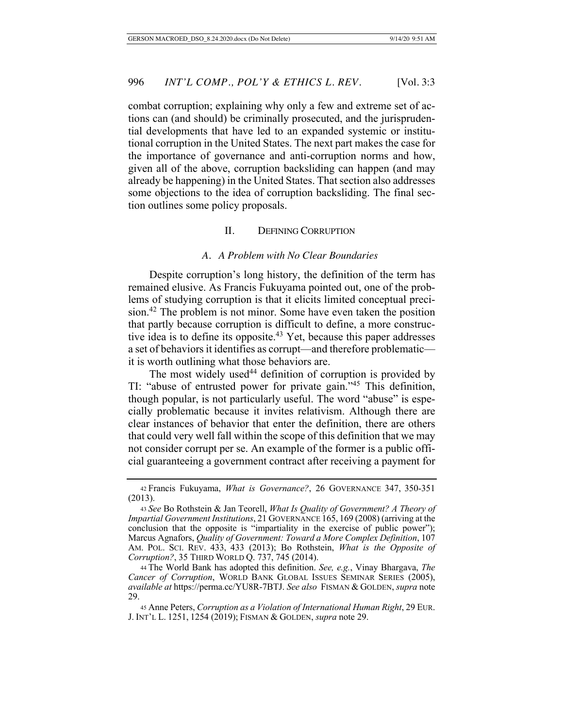combat corruption; explaining why only a few and extreme set of actions can (and should) be criminally prosecuted, and the jurisprudential developments that have led to an expanded systemic or institutional corruption in the United States. The next part makes the case for the importance of governance and anti-corruption norms and how, given all of the above, corruption backsliding can happen (and may already be happening) in the United States. That section also addresses some objections to the idea of corruption backsliding. The final section outlines some policy proposals.

### II. DEFINING CORRUPTION

## *A. A Problem with No Clear Boundaries*

Despite corruption's long history, the definition of the term has remained elusive. As Francis Fukuyama pointed out, one of the problems of studying corruption is that it elicits limited conceptual precision.42 The problem is not minor. Some have even taken the position that partly because corruption is difficult to define, a more constructive idea is to define its opposite.43 Yet, because this paper addresses a set of behaviors it identifies as corrupt—and therefore problematic it is worth outlining what those behaviors are.

The most widely used<sup>44</sup> definition of corruption is provided by TI: "abuse of entrusted power for private gain."45 This definition, though popular, is not particularly useful. The word "abuse" is especially problematic because it invites relativism. Although there are clear instances of behavior that enter the definition, there are others that could very well fall within the scope of this definition that we may not consider corrupt per se. An example of the former is a public official guaranteeing a government contract after receiving a payment for

<sup>42</sup> Francis Fukuyama, *What is Governance?*, 26 GOVERNANCE 347, 350-351 (2013).

<sup>43</sup> *See* Bo Rothstein & Jan Teorell, *What Is Quality of Government? A Theory of Impartial Government Institutions*, 21 GOVERNANCE 165, 169 (2008) (arriving at the conclusion that the opposite is "impartiality in the exercise of public power"); Marcus Agnafors, *Quality of Government: Toward a More Complex Definition*, 107 AM. POL. SCI. REV. 433, 433 (2013); Bo Rothstein, *What is the Opposite of Corruption?*, 35 THIRD WORLD Q. 737, 745 (2014).

<sup>44</sup> The World Bank has adopted this definition. *See, e.g.*, Vinay Bhargava, *The Cancer of Corruption*, WORLD BANK GLOBAL ISSUES SEMINAR SERIES (2005), *available at* https://perma.cc/YU8R-7BTJ. *See also* FISMAN & GOLDEN, *supra* note 29.

<sup>45</sup> Anne Peters, *Corruption as a Violation of International Human Right*, 29 EUR. J. INT'L L. 1251, 1254 (2019); FISMAN & GOLDEN, *supra* note 29.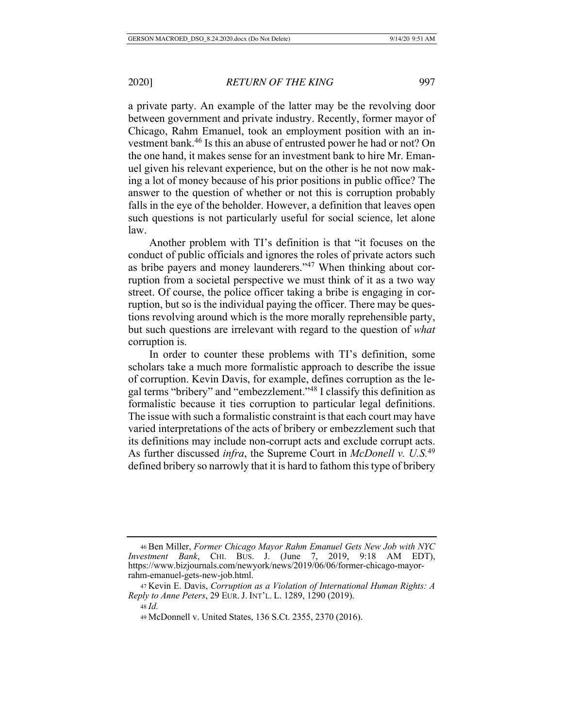a private party. An example of the latter may be the revolving door between government and private industry. Recently, former mayor of Chicago, Rahm Emanuel, took an employment position with an investment bank.46 Is this an abuse of entrusted power he had or not? On the one hand, it makes sense for an investment bank to hire Mr. Emanuel given his relevant experience, but on the other is he not now making a lot of money because of his prior positions in public office? The answer to the question of whether or not this is corruption probably falls in the eye of the beholder. However, a definition that leaves open such questions is not particularly useful for social science, let alone law.

Another problem with TI's definition is that "it focuses on the conduct of public officials and ignores the roles of private actors such as bribe payers and money launderers."47 When thinking about corruption from a societal perspective we must think of it as a two way street. Of course, the police officer taking a bribe is engaging in corruption, but so is the individual paying the officer. There may be questions revolving around which is the more morally reprehensible party, but such questions are irrelevant with regard to the question of *what* corruption is.

In order to counter these problems with TI's definition, some scholars take a much more formalistic approach to describe the issue of corruption. Kevin Davis, for example, defines corruption as the legal terms "bribery" and "embezzlement."48 I classify this definition as formalistic because it ties corruption to particular legal definitions. The issue with such a formalistic constraint is that each court may have varied interpretations of the acts of bribery or embezzlement such that its definitions may include non-corrupt acts and exclude corrupt acts. As further discussed *infra*, the Supreme Court in *McDonell v. U.S.*<sup>49</sup> defined bribery so narrowly that it is hard to fathom this type of bribery

<sup>46</sup> Ben Miller, *Former Chicago Mayor Rahm Emanuel Gets New Job with NYC Investment Bank*, CHI. BUS. J. (June 7, 2019, 9:18 AM EDT), https://www.bizjournals.com/newyork/news/2019/06/06/former-chicago-mayorrahm-emanuel-gets-new-job.html.

<sup>47</sup> Kevin E. Davis, *Corruption as a Violation of International Human Rights: A Reply to Anne Peters*, 29 EUR. J. INT'L. L. 1289, 1290 (2019).

<sup>48</sup> *Id.* 

<sup>49</sup> McDonnell v. United States, 136 S.Ct. 2355, 2370 (2016).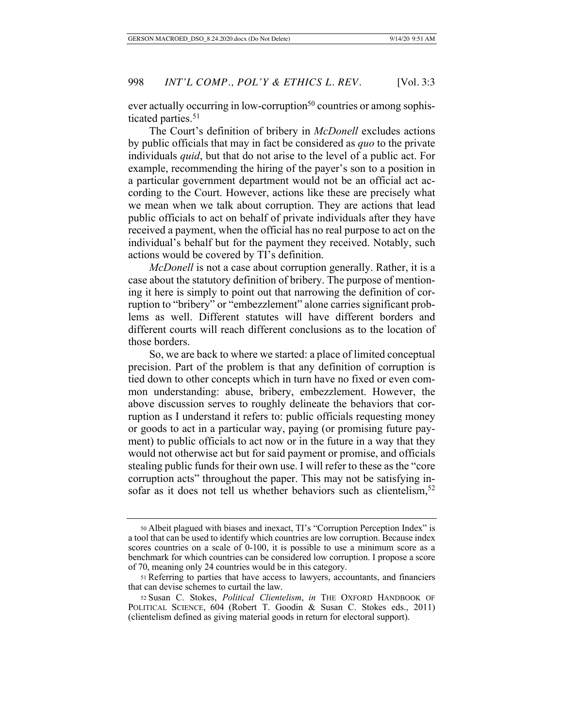ever actually occurring in low-corruption<sup>50</sup> countries or among sophisticated parties.<sup>51</sup>

The Court's definition of bribery in *McDonell* excludes actions by public officials that may in fact be considered as *quo* to the private individuals *quid*, but that do not arise to the level of a public act. For example, recommending the hiring of the payer's son to a position in a particular government department would not be an official act according to the Court. However, actions like these are precisely what we mean when we talk about corruption. They are actions that lead public officials to act on behalf of private individuals after they have received a payment, when the official has no real purpose to act on the individual's behalf but for the payment they received. Notably, such actions would be covered by TI's definition.

*McDonell* is not a case about corruption generally. Rather, it is a case about the statutory definition of bribery. The purpose of mentioning it here is simply to point out that narrowing the definition of corruption to "bribery" or "embezzlement" alone carries significant problems as well. Different statutes will have different borders and different courts will reach different conclusions as to the location of those borders.

So, we are back to where we started: a place of limited conceptual precision. Part of the problem is that any definition of corruption is tied down to other concepts which in turn have no fixed or even common understanding: abuse, bribery, embezzlement. However, the above discussion serves to roughly delineate the behaviors that corruption as I understand it refers to: public officials requesting money or goods to act in a particular way, paying (or promising future payment) to public officials to act now or in the future in a way that they would not otherwise act but for said payment or promise, and officials stealing public funds for their own use. I will refer to these as the "core corruption acts" throughout the paper. This may not be satisfying insofar as it does not tell us whether behaviors such as clientelism,  $52$ 

<sup>50</sup> Albeit plagued with biases and inexact, TI's "Corruption Perception Index" is a tool that can be used to identify which countries are low corruption. Because index scores countries on a scale of 0-100, it is possible to use a minimum score as a benchmark for which countries can be considered low corruption. I propose a score of 70, meaning only 24 countries would be in this category.

<sup>51</sup> Referring to parties that have access to lawyers, accountants, and financiers that can devise schemes to curtail the law.

<sup>52</sup> Susan C. Stokes, *Political Clientelism*, *in* THE OXFORD HANDBOOK OF POLITICAL SCIENCE, 604 (Robert T. Goodin & Susan C. Stokes eds., 2011) (clientelism defined as giving material goods in return for electoral support).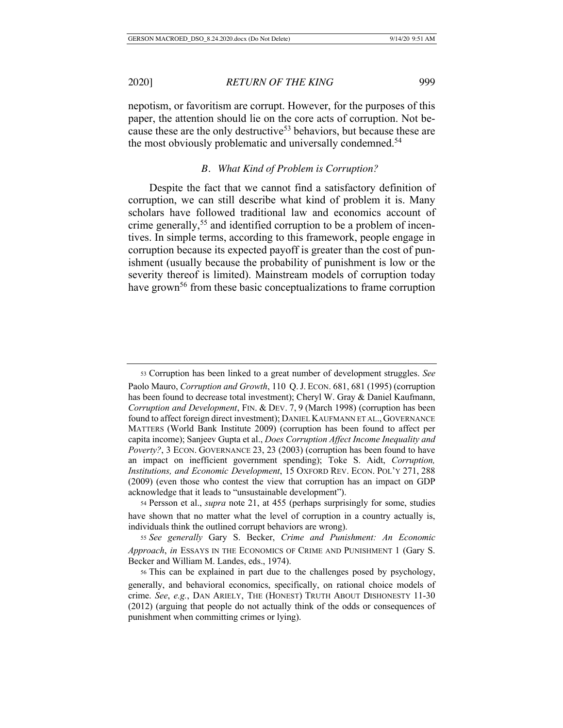nepotism, or favoritism are corrupt. However, for the purposes of this paper, the attention should lie on the core acts of corruption. Not because these are the only destructive<sup>53</sup> behaviors, but because these are the most obviously problematic and universally condemned.<sup>54</sup>

# *B. What Kind of Problem is Corruption?*

Despite the fact that we cannot find a satisfactory definition of corruption, we can still describe what kind of problem it is. Many scholars have followed traditional law and economics account of crime generally,<sup>55</sup> and identified corruption to be a problem of incentives. In simple terms, according to this framework, people engage in corruption because its expected payoff is greater than the cost of punishment (usually because the probability of punishment is low or the severity thereof is limited). Mainstream models of corruption today have grown<sup>56</sup> from these basic conceptualizations to frame corruption

<sup>53</sup> Corruption has been linked to a great number of development struggles. *See* 

Paolo Mauro, *Corruption and Growth*, 110 Q.J. ECON. 681, 681 (1995) (corruption has been found to decrease total investment); Cheryl W. Gray & Daniel Kaufmann, *Corruption and Development*, FIN. & DEV. 7, 9 (March 1998) (corruption has been found to affect foreign direct investment); DANIEL KAUFMANN ET AL., GOVERNANCE MATTERS (World Bank Institute 2009) (corruption has been found to affect per capita income); Sanjeev Gupta et al., *Does Corruption Affect Income Inequality and Poverty?*, 3 ECON. GOVERNANCE 23, 23 (2003) (corruption has been found to have an impact on inefficient government spending); Toke S. Aidt, *Corruption, Institutions, and Economic Development*, 15 OXFORD REV. ECON. POL'Y 271, 288 (2009) (even those who contest the view that corruption has an impact on GDP acknowledge that it leads to "unsustainable development").

<sup>54</sup> Persson et al., *supra* note 21, at 455 (perhaps surprisingly for some, studies have shown that no matter what the level of corruption in a country actually is, individuals think the outlined corrupt behaviors are wrong).

<sup>55</sup> *See generally* Gary S. Becker, *Crime and Punishment: An Economic Approach*, *in* ESSAYS IN THE ECONOMICS OF CRIME AND PUNISHMENT 1 (Gary S. Becker and William M. Landes, eds., 1974).

<sup>56</sup> This can be explained in part due to the challenges posed by psychology, generally, and behavioral economics, specifically, on rational choice models of crime. *See*, *e.g.*, DAN ARIELY, THE (HONEST) TRUTH ABOUT DISHONESTY 11-30 (2012) (arguing that people do not actually think of the odds or consequences of punishment when committing crimes or lying).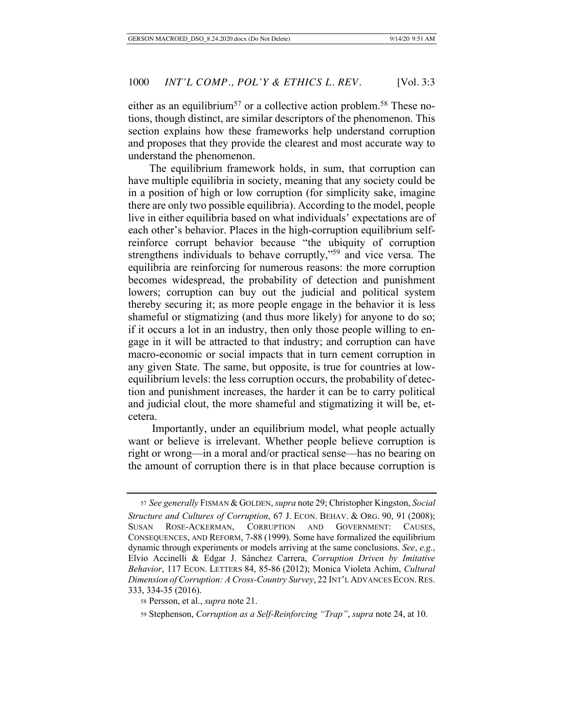either as an equilibrium<sup>57</sup> or a collective action problem.<sup>58</sup> These notions, though distinct, are similar descriptors of the phenomenon. This section explains how these frameworks help understand corruption and proposes that they provide the clearest and most accurate way to understand the phenomenon.

The equilibrium framework holds, in sum, that corruption can have multiple equilibria in society, meaning that any society could be in a position of high or low corruption (for simplicity sake, imagine there are only two possible equilibria). According to the model, people live in either equilibria based on what individuals' expectations are of each other's behavior. Places in the high-corruption equilibrium selfreinforce corrupt behavior because "the ubiquity of corruption strengthens individuals to behave corruptly,"<sup>59</sup> and vice versa. The equilibria are reinforcing for numerous reasons: the more corruption becomes widespread, the probability of detection and punishment lowers; corruption can buy out the judicial and political system thereby securing it; as more people engage in the behavior it is less shameful or stigmatizing (and thus more likely) for anyone to do so; if it occurs a lot in an industry, then only those people willing to engage in it will be attracted to that industry; and corruption can have macro-economic or social impacts that in turn cement corruption in any given State. The same, but opposite, is true for countries at lowequilibrium levels: the less corruption occurs, the probability of detection and punishment increases, the harder it can be to carry political and judicial clout, the more shameful and stigmatizing it will be, etcetera.

 Importantly, under an equilibrium model, what people actually want or believe is irrelevant. Whether people believe corruption is right or wrong—in a moral and/or practical sense—has no bearing on the amount of corruption there is in that place because corruption is

<sup>57</sup> *See generally* FISMAN & GOLDEN, *supra* note 29; Christopher Kingston, *Social Structure and Cultures of Corruption*, 67 J. ECON. BEHAV. & ORG. 90, 91 (2008); SUSAN ROSE-ACKERMAN, CORRUPTION AND GOVERNMENT: CAUSES, CONSEQUENCES, AND REFORM, 7-88 (1999). Some have formalized the equilibrium dynamic through experiments or models arriving at the same conclusions. *See*, *e.g.*, Elvio Accinelli & Edgar J. Sánchez Carrera, *Corruption Driven by Imitative Behavior*, 117 ECON. LETTERS 84, 85-86 (2012); Monica Violeta Achim, *Cultural Dimension of Corruption: A Cross-Country Survey*, 22 INT'L ADVANCES ECON.RES. 333, 334-35 (2016).

<sup>58</sup> Persson, et al., *supra* note 21.

<sup>59</sup> Stephenson, *Corruption as a Self-Reinforcing "Trap"*, *supra* note 24, at 10.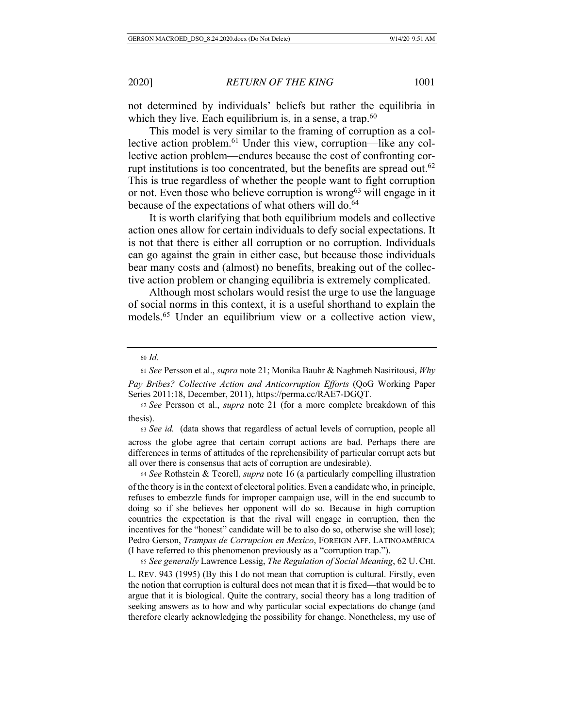not determined by individuals' beliefs but rather the equilibria in which they live. Each equilibrium is, in a sense, a trap.<sup>60</sup>

This model is very similar to the framing of corruption as a collective action problem.<sup>61</sup> Under this view, corruption—like any collective action problem—endures because the cost of confronting corrupt institutions is too concentrated, but the benefits are spread out.<sup>62</sup> This is true regardless of whether the people want to fight corruption or not. Even those who believe corruption is wrong<sup>63</sup> will engage in it because of the expectations of what others will do.<sup>64</sup>

It is worth clarifying that both equilibrium models and collective action ones allow for certain individuals to defy social expectations. It is not that there is either all corruption or no corruption. Individuals can go against the grain in either case, but because those individuals bear many costs and (almost) no benefits, breaking out of the collective action problem or changing equilibria is extremely complicated.

Although most scholars would resist the urge to use the language of social norms in this context, it is a useful shorthand to explain the models.65 Under an equilibrium view or a collective action view,

### <sup>60</sup> *Id.*

<sup>61</sup> *See* Persson et al., *supra* note 21; Monika Bauhr & Naghmeh Nasiritousi, *Why Pay Bribes? Collective Action and Anticorruption Efforts* (QoG Working Paper Series 2011:18, December, 2011), https://perma.cc/RAE7-DGQT.

<sup>63</sup> *See id.* (data shows that regardless of actual levels of corruption, people all across the globe agree that certain corrupt actions are bad. Perhaps there are differences in terms of attitudes of the reprehensibility of particular corrupt acts but all over there is consensus that acts of corruption are undesirable).

<sup>64</sup> *See* Rothstein & Teorell, *supra* note 16 (a particularly compelling illustration of the theory is in the context of electoral politics. Even a candidate who, in principle, refuses to embezzle funds for improper campaign use, will in the end succumb to doing so if she believes her opponent will do so. Because in high corruption countries the expectation is that the rival will engage in corruption, then the incentives for the "honest" candidate will be to also do so, otherwise she will lose); Pedro Gerson, *Trampas de Corrupcion en Mexico*, FOREIGN AFF. LATINOAMÉRICA (I have referred to this phenomenon previously as a "corruption trap.").

<sup>65</sup> *See generally* Lawrence Lessig, *The Regulation of Social Meaning*, 62 U. CHI. L. REV. 943 (1995) (By this I do not mean that corruption is cultural. Firstly, even the notion that corruption is cultural does not mean that it is fixed—that would be to argue that it is biological. Quite the contrary, social theory has a long tradition of seeking answers as to how and why particular social expectations do change (and therefore clearly acknowledging the possibility for change. Nonetheless, my use of

<sup>62</sup> *See* Persson et al., *supra* note 21 (for a more complete breakdown of this thesis).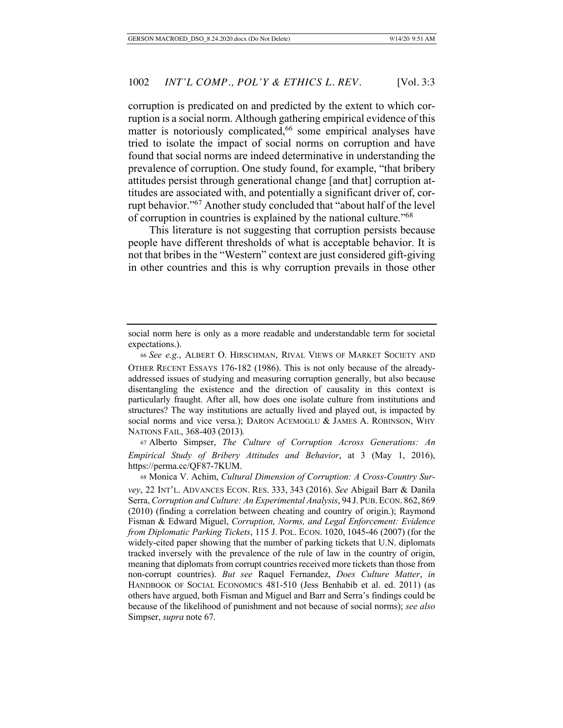corruption is predicated on and predicted by the extent to which corruption is a social norm. Although gathering empirical evidence of this matter is notoriously complicated,<sup>66</sup> some empirical analyses have tried to isolate the impact of social norms on corruption and have found that social norms are indeed determinative in understanding the prevalence of corruption. One study found, for example, "that bribery attitudes persist through generational change [and that] corruption attitudes are associated with, and potentially a significant driver of, corrupt behavior."67 Another study concluded that "about half of the level of corruption in countries is explained by the national culture."68

This literature is not suggesting that corruption persists because people have different thresholds of what is acceptable behavior. It is not that bribes in the "Western" context are just considered gift-giving in other countries and this is why corruption prevails in those other

<sup>67</sup> Alberto Simpser, *The Culture of Corruption Across Generations: An Empirical Study of Bribery Attitudes and Behavior*, at 3 (May 1, 2016), https://perma.cc/QF87-7KUM.

<sup>68</sup> Monica V. Achim, *Cultural Dimension of Corruption: A Cross-Country Survey*, 22 INT'L. ADVANCES ECON. RES. 333, 343 (2016). *See* Abigail Barr & Danila Serra, *Corruption and Culture: An Experimental Analysis*, 94 J. PUB. ECON. 862, 869 (2010) (finding a correlation between cheating and country of origin.); Raymond Fisman & Edward Miguel, *Corruption, Norms, and Legal Enforcement: Evidence from Diplomatic Parking Tickets*, 115 J. POL. ECON. 1020, 1045-46 (2007) (for the widely-cited paper showing that the number of parking tickets that U.N. diplomats tracked inversely with the prevalence of the rule of law in the country of origin, meaning that diplomats from corrupt countries received more tickets than those from non-corrupt countries). *But see* Raquel Fernandez, *Does Culture Matter*, *in* HANDBOOK OF SOCIAL ECONOMICS 481-510 (Jess Benhabib et al. ed. 2011) (as others have argued, both Fisman and Miguel and Barr and Serra's findings could be because of the likelihood of punishment and not because of social norms); *see also* Simpser, *supra* note 67.

social norm here is only as a more readable and understandable term for societal expectations.).

<sup>66</sup> *See e.g.*, ALBERT O. HIRSCHMAN, RIVAL VIEWS OF MARKET SOCIETY AND OTHER RECENT ESSAYS 176-182 (1986). This is not only because of the alreadyaddressed issues of studying and measuring corruption generally, but also because disentangling the existence and the direction of causality in this context is particularly fraught. After all, how does one isolate culture from institutions and structures? The way institutions are actually lived and played out, is impacted by social norms and vice versa.); DARON ACEMOGLU & JAMES A. ROBINSON, WHY NATIONS FAIL, 368-403 (2013)*.*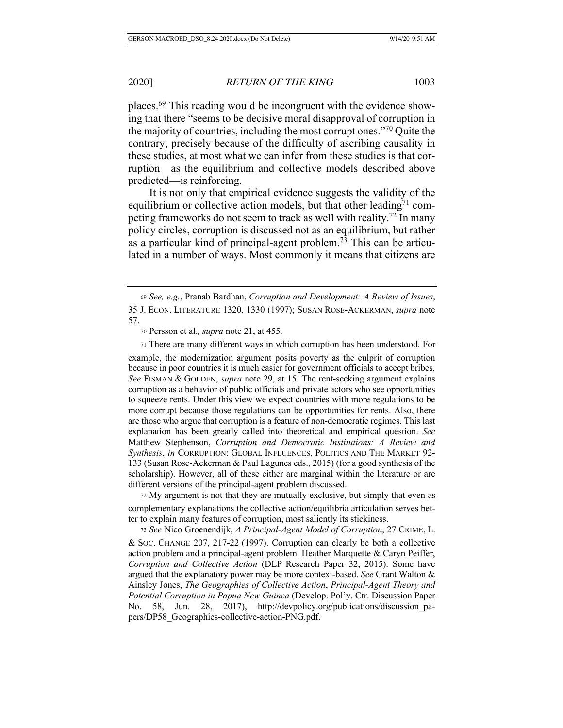places.69 This reading would be incongruent with the evidence showing that there "seems to be decisive moral disapproval of corruption in the majority of countries, including the most corrupt ones."70 Quite the contrary, precisely because of the difficulty of ascribing causality in these studies, at most what we can infer from these studies is that corruption—as the equilibrium and collective models described above predicted—is reinforcing.

It is not only that empirical evidence suggests the validity of the equilibrium or collective action models, but that other leading<sup>71</sup> competing frameworks do not seem to track as well with reality.72 In many policy circles, corruption is discussed not as an equilibrium, but rather as a particular kind of principal-agent problem.<sup>73</sup> This can be articulated in a number of ways. Most commonly it means that citizens are

<sup>71</sup> There are many different ways in which corruption has been understood. For example, the modernization argument posits poverty as the culprit of corruption because in poor countries it is much easier for government officials to accept bribes. *See* FISMAN & GOLDEN, *supra* note 29, at 15. The rent-seeking argument explains corruption as a behavior of public officials and private actors who see opportunities to squeeze rents. Under this view we expect countries with more regulations to be more corrupt because those regulations can be opportunities for rents. Also, there are those who argue that corruption is a feature of non-democratic regimes. This last explanation has been greatly called into theoretical and empirical question. *See*  Matthew Stephenson, *Corruption and Democratic Institutions: A Review and Synthesis*, *in* CORRUPTION: GLOBAL INFLUENCES, POLITICS AND THE MARKET 92- 133 (Susan Rose-Ackerman & Paul Lagunes eds., 2015) (for a good synthesis of the scholarship). However, all of these either are marginal within the literature or are different versions of the principal-agent problem discussed.

<sup>72</sup> My argument is not that they are mutually exclusive, but simply that even as complementary explanations the collective action/equilibria articulation serves better to explain many features of corruption, most saliently its stickiness.

<sup>73</sup> *See* Nico Groenendijk, *A Principal-Agent Model of Corruption*, 27 CRIME, L.

& SOC. CHANGE 207, 217-22 (1997). Corruption can clearly be both a collective action problem and a principal-agent problem. Heather Marquette & Caryn Peiffer, *Corruption and Collective Action* (DLP Research Paper 32, 2015). Some have argued that the explanatory power may be more context-based. *See* Grant Walton & Ainsley Jones, *The Geographies of Collective Action*, *Principal-Agent Theory and Potential Corruption in Papua New Guinea* (Develop. Pol'y. Ctr. Discussion Paper No. 58, Jun. 28, 2017), http://devpolicy.org/publications/discussion\_papers/DP58\_Geographies-collective-action-PNG.pdf.

<sup>69</sup> *See, e.g.*, Pranab Bardhan, *Corruption and Development: A Review of Issues*, 35 J. ECON. LITERATURE 1320, 1330 (1997); SUSAN ROSE-ACKERMAN, *supra* note 57.

<sup>70</sup> Persson et al.*, supra* note 21, at 455.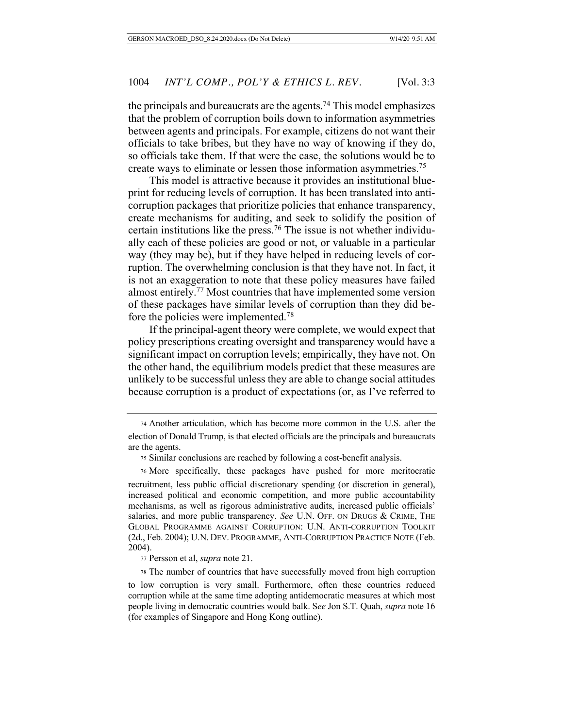the principals and bureaucrats are the agents.<sup>74</sup> This model emphasizes that the problem of corruption boils down to information asymmetries between agents and principals. For example, citizens do not want their officials to take bribes, but they have no way of knowing if they do, so officials take them. If that were the case, the solutions would be to create ways to eliminate or lessen those information asymmetries.75

This model is attractive because it provides an institutional blueprint for reducing levels of corruption. It has been translated into anticorruption packages that prioritize policies that enhance transparency, create mechanisms for auditing, and seek to solidify the position of certain institutions like the press.<sup>76</sup> The issue is not whether individually each of these policies are good or not, or valuable in a particular way (they may be), but if they have helped in reducing levels of corruption. The overwhelming conclusion is that they have not. In fact, it is not an exaggeration to note that these policy measures have failed almost entirely.77 Most countries that have implemented some version of these packages have similar levels of corruption than they did before the policies were implemented.78

If the principal-agent theory were complete, we would expect that policy prescriptions creating oversight and transparency would have a significant impact on corruption levels; empirically, they have not. On the other hand, the equilibrium models predict that these measures are unlikely to be successful unless they are able to change social attitudes because corruption is a product of expectations (or, as I've referred to

<sup>77</sup> Persson et al, *supra* note 21.

<sup>78</sup> The number of countries that have successfully moved from high corruption to low corruption is very small. Furthermore, often these countries reduced corruption while at the same time adopting antidemocratic measures at which most people living in democratic countries would balk. S*ee* Jon S.T. Quah, *supra* note 16 (for examples of Singapore and Hong Kong outline).

<sup>74</sup> Another articulation, which has become more common in the U.S. after the election of Donald Trump, is that elected officials are the principals and bureaucrats are the agents.

<sup>75</sup> Similar conclusions are reached by following a cost-benefit analysis.

<sup>76</sup> More specifically, these packages have pushed for more meritocratic recruitment, less public official discretionary spending (or discretion in general), increased political and economic competition, and more public accountability mechanisms, as well as rigorous administrative audits, increased public officials' salaries, and more public transparency. *See* U.N. OFF. ON DRUGS & CRIME, THE GLOBAL PROGRAMME AGAINST CORRUPTION: U.N. ANTI-CORRUPTION TOOLKIT (2d., Feb. 2004); U.N. DEV. PROGRAMME, ANTI-CORRUPTION PRACTICE NOTE (Feb. 2004).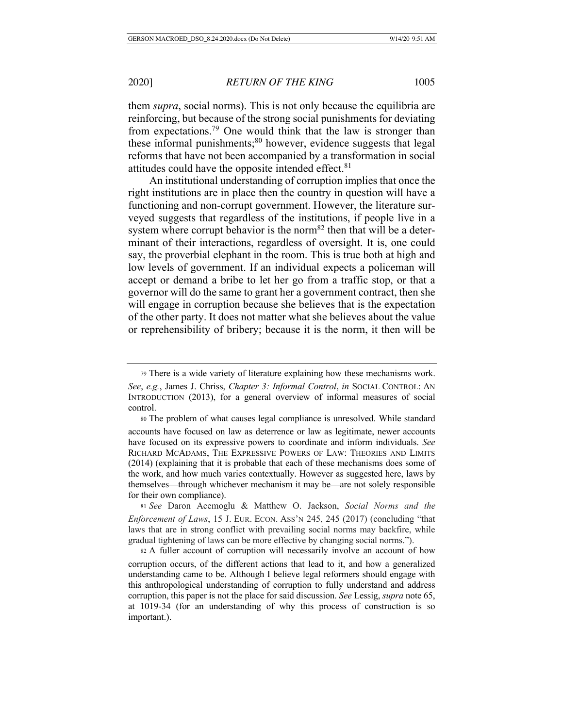them *supra*, social norms). This is not only because the equilibria are reinforcing, but because of the strong social punishments for deviating from expectations.79 One would think that the law is stronger than these informal punishments;<sup>80</sup> however, evidence suggests that legal reforms that have not been accompanied by a transformation in social attitudes could have the opposite intended effect. $81$ 

An institutional understanding of corruption implies that once the right institutions are in place then the country in question will have a functioning and non-corrupt government. However, the literature surveyed suggests that regardless of the institutions, if people live in a system where corrupt behavior is the norm<sup>82</sup> then that will be a determinant of their interactions, regardless of oversight. It is, one could say, the proverbial elephant in the room. This is true both at high and low levels of government. If an individual expects a policeman will accept or demand a bribe to let her go from a traffic stop, or that a governor will do the same to grant her a government contract, then she will engage in corruption because she believes that is the expectation of the other party. It does not matter what she believes about the value or reprehensibility of bribery; because it is the norm, it then will be

<sup>79</sup> There is a wide variety of literature explaining how these mechanisms work. *See*, *e.g.*, James J. Chriss, *Chapter 3: Informal Control*, *in* SOCIAL CONTROL: AN INTRODUCTION (2013), for a general overview of informal measures of social

control. <sup>80</sup> The problem of what causes legal compliance is unresolved. While standard

accounts have focused on law as deterrence or law as legitimate, newer accounts have focused on its expressive powers to coordinate and inform individuals. *See*  RICHARD MCADAMS, THE EXPRESSIVE POWERS OF LAW: THEORIES AND LIMITS (2014) (explaining that it is probable that each of these mechanisms does some of the work, and how much varies contextually. However as suggested here, laws by themselves—through whichever mechanism it may be—are not solely responsible for their own compliance).

<sup>81</sup> *See* Daron Acemoglu & Matthew O. Jackson, *Social Norms and the Enforcement of Laws*, 15 J. EUR. ECON. ASS'N 245, 245 (2017) (concluding "that laws that are in strong conflict with prevailing social norms may backfire, while gradual tightening of laws can be more effective by changing social norms.").

<sup>82</sup> A fuller account of corruption will necessarily involve an account of how corruption occurs, of the different actions that lead to it, and how a generalized understanding came to be. Although I believe legal reformers should engage with this anthropological understanding of corruption to fully understand and address corruption, this paper is not the place for said discussion. *See* Lessig, *supra* note 65, at 1019-34 (for an understanding of why this process of construction is so important.).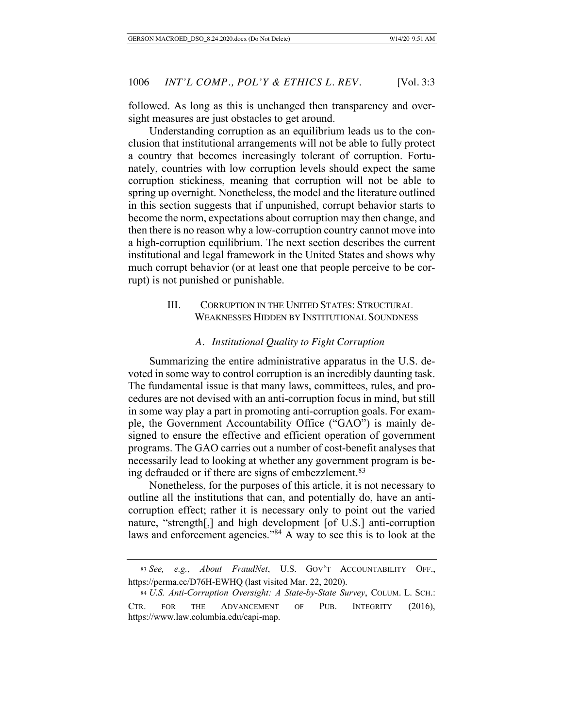followed. As long as this is unchanged then transparency and oversight measures are just obstacles to get around.

Understanding corruption as an equilibrium leads us to the conclusion that institutional arrangements will not be able to fully protect a country that becomes increasingly tolerant of corruption. Fortunately, countries with low corruption levels should expect the same corruption stickiness, meaning that corruption will not be able to spring up overnight. Nonetheless, the model and the literature outlined in this section suggests that if unpunished, corrupt behavior starts to become the norm, expectations about corruption may then change, and then there is no reason why a low-corruption country cannot move into a high-corruption equilibrium. The next section describes the current institutional and legal framework in the United States and shows why much corrupt behavior (or at least one that people perceive to be corrupt) is not punished or punishable.

# III. CORRUPTION IN THE UNITED STATES: STRUCTURAL WEAKNESSES HIDDEN BY INSTITUTIONAL SOUNDNESS

### *A. Institutional Quality to Fight Corruption*

Summarizing the entire administrative apparatus in the U.S. devoted in some way to control corruption is an incredibly daunting task. The fundamental issue is that many laws, committees, rules, and procedures are not devised with an anti-corruption focus in mind, but still in some way play a part in promoting anti-corruption goals. For example, the Government Accountability Office ("GAO") is mainly designed to ensure the effective and efficient operation of government programs. The GAO carries out a number of cost-benefit analyses that necessarily lead to looking at whether any government program is being defrauded or if there are signs of embezzlement.83

Nonetheless, for the purposes of this article, it is not necessary to outline all the institutions that can, and potentially do, have an anticorruption effect; rather it is necessary only to point out the varied nature, "strength[,] and high development [of U.S.] anti-corruption laws and enforcement agencies."84 A way to see this is to look at the

<sup>83</sup> *See, e.g.*, *About FraudNet*, U.S. GOV'T ACCOUNTABILITY OFF., https://perma.cc/D76H-EWHQ (last visited Mar. 22, 2020).

<sup>84</sup> *U.S. Anti-Corruption Oversight: A State-by-State Survey*, COLUM. L. SCH.: CTR. FOR THE ADVANCEMENT OF PUB. INTEGRITY (2016), https://www.law.columbia.edu/capi-map.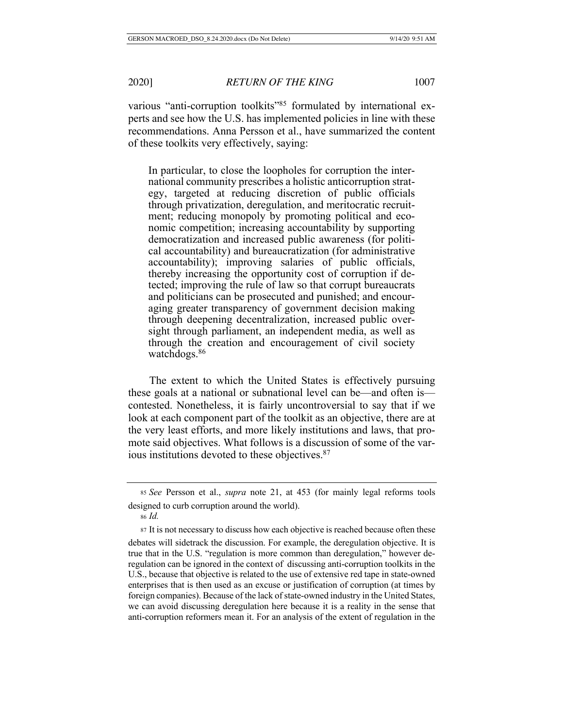various "anti-corruption toolkits"<sup>85</sup> formulated by international experts and see how the U.S. has implemented policies in line with these recommendations. Anna Persson et al., have summarized the content of these toolkits very effectively, saying:

In particular, to close the loopholes for corruption the international community prescribes a holistic anticorruption strategy, targeted at reducing discretion of public officials through privatization, deregulation, and meritocratic recruitment; reducing monopoly by promoting political and economic competition; increasing accountability by supporting democratization and increased public awareness (for political accountability) and bureaucratization (for administrative accountability); improving salaries of public officials, thereby increasing the opportunity cost of corruption if detected; improving the rule of law so that corrupt bureaucrats and politicians can be prosecuted and punished; and encouraging greater transparency of government decision making through deepening decentralization, increased public oversight through parliament, an independent media, as well as through the creation and encouragement of civil society watchdogs.<sup>86</sup>

The extent to which the United States is effectively pursuing these goals at a national or subnational level can be—and often is contested. Nonetheless, it is fairly uncontroversial to say that if we look at each component part of the toolkit as an objective, there are at the very least efforts, and more likely institutions and laws, that promote said objectives. What follows is a discussion of some of the various institutions devoted to these objectives.87

<sup>85</sup> *See* Persson et al., *supra* note 21, at 453 (for mainly legal reforms tools designed to curb corruption around the world).

<sup>86</sup> *Id.*

<sup>87</sup> It is not necessary to discuss how each objective is reached because often these debates will sidetrack the discussion. For example, the deregulation objective. It is true that in the U.S. "regulation is more common than deregulation," however deregulation can be ignored in the context of discussing anti-corruption toolkits in the U.S., because that objective is related to the use of extensive red tape in state-owned enterprises that is then used as an excuse or justification of corruption (at times by foreign companies). Because of the lack of state-owned industry in the United States, we can avoid discussing deregulation here because it is a reality in the sense that anti-corruption reformers mean it. For an analysis of the extent of regulation in the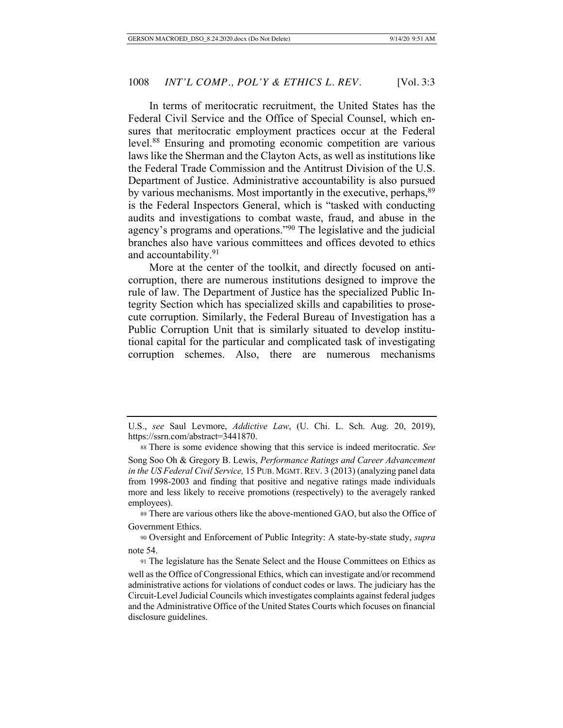In terms of meritocratic recruitment, the United States has the Federal Civil Service and the Office of Special Counsel, which ensures that meritocratic employment practices occur at the Federal level.88 Ensuring and promoting economic competition are various laws like the Sherman and the Clayton Acts, as well as institutions like the Federal Trade Commission and the Antitrust Division of the U.S. Department of Justice. Administrative accountability is also pursued by various mechanisms. Most importantly in the executive, perhaps, <sup>89</sup> is the Federal Inspectors General, which is "tasked with conducting audits and investigations to combat waste, fraud, and abuse in the agency's programs and operations."90 The legislative and the judicial branches also have various committees and offices devoted to ethics and accountability.<sup>91</sup>

More at the center of the toolkit, and directly focused on anticorruption, there are numerous institutions designed to improve the rule of law. The Department of Justice has the specialized Public Integrity Section which has specialized skills and capabilities to prosecute corruption. Similarly, the Federal Bureau of Investigation has a Public Corruption Unit that is similarly situated to develop institutional capital for the particular and complicated task of investigating corruption schemes. Also, there are numerous mechanisms

<sup>89</sup> There are various others like the above-mentioned GAO, but also the Office of Government Ethics.

<sup>90</sup> Oversight and Enforcement of Public Integrity: A state-by-state study, *supra*  note 54.

<sup>91</sup> The legislature has the Senate Select and the House Committees on Ethics as well as the Office of Congressional Ethics, which can investigate and/or recommend administrative actions for violations of conduct codes or laws. The judiciary has the Circuit-Level Judicial Councils which investigates complaints against federal judges and the Administrative Office of the United States Courts which focuses on financial disclosure guidelines.

U.S., *see* Saul Levmore, *Addictive Law*, (U. Chi. L. Sch. Aug. 20, 2019), https://ssrn.com/abstract=3441870.

<sup>88</sup> There is some evidence showing that this service is indeed meritocratic. *See*  Song Soo Oh & Gregory B. Lewis, *Performance Ratings and Career Advancement in the US Federal Civil Service,* 15 PUB. MGMT.REV. 3 (2013) (analyzing panel data from 1998-2003 and finding that positive and negative ratings made individuals more and less likely to receive promotions (respectively) to the averagely ranked employees).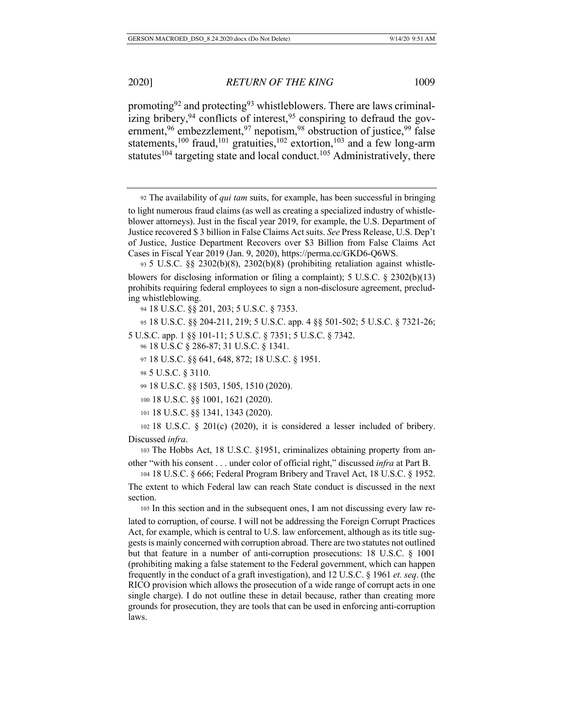promoting<sup>92</sup> and protecting<sup>93</sup> whistleblowers. There are laws criminalizing bribery,  $94$  conflicts of interest,  $95$  conspiring to defraud the government,<sup>96</sup> embezzlement,<sup>97</sup> nepotism,<sup>98</sup> obstruction of justice,<sup>99</sup> false statements,<sup>100</sup> fraud,<sup>101</sup> gratuities,<sup>102</sup> extortion,<sup>103</sup> and a few long-arm statutes<sup>104</sup> targeting state and local conduct.<sup>105</sup> Administratively, there

<sup>94</sup> 18 U.S.C. §§ 201, 203; 5 U.S.C. § 7353.

<sup>95</sup> 18 U.S.C. §§ 204-211, 219; 5 U.S.C. app. 4 §§ 501-502; 5 U.S.C. § 7321-26;

5 U.S.C. app. 1 §§ 101-11; 5 U.S.C. § 7351; 5 U.S.C. § 7342.

<sup>96</sup> 18 U.S.C § 286-87; 31 U.S.C. § 1341.

<sup>99</sup> 18 U.S.C. §§ 1503, 1505, 1510 (2020).

<sup>100</sup> 18 U.S.C. §§ 1001, 1621 (2020).

<sup>101</sup> 18 U.S.C. §§ 1341, 1343 (2020).

<sup>103</sup> The Hobbs Act, 18 U.S.C. §1951, criminalizes obtaining property from another "with his consent . . . under color of official right," discussed *infra* at Part B.

<sup>104</sup> 18 U.S.C. § 666; Federal Program Bribery and Travel Act, 18 U.S.C. § 1952. The extent to which Federal law can reach State conduct is discussed in the next section.

<sup>105</sup> In this section and in the subsequent ones, I am not discussing every law related to corruption, of course. I will not be addressing the Foreign Corrupt Practices Act, for example, which is central to U.S. law enforcement, although as its title suggests is mainly concerned with corruption abroad. There are two statutes not outlined but that feature in a number of anti-corruption prosecutions: 18 U.S.C. § 1001 (prohibiting making a false statement to the Federal government, which can happen frequently in the conduct of a graft investigation), and 12 U.S.C. § 1961 *et. seq*. (the RICO provision which allows the prosecution of a wide range of corrupt acts in one single charge). I do not outline these in detail because, rather than creating more grounds for prosecution, they are tools that can be used in enforcing anti-corruption laws.

<sup>92</sup> The availability of *qui tam* suits, for example, has been successful in bringing to light numerous fraud claims (as well as creating a specialized industry of whistleblower attorneys). Just in the fiscal year 2019, for example, the U.S. Department of Justice recovered \$ 3 billion in False Claims Act suits. *See* Press Release, U.S. Dep't of Justice, Justice Department Recovers over \$3 Billion from False Claims Act Cases in Fiscal Year 2019 (Jan. 9, 2020), https://perma.cc/GKD6-Q6WS.

<sup>93</sup> 5 U.S.C. §§ 2302(b)(8), 2302(b)(8) (prohibiting retaliation against whistleblowers for disclosing information or filing a complaint); 5 U.S.C. § 2302(b)(13) prohibits requiring federal employees to sign a non-disclosure agreement, precluding whistleblowing.

<sup>97</sup> 18 U.S.C. §§ 641, 648, 872; 18 U.S.C. § 1951.

<sup>98</sup> 5 U.S.C. § 3110.

<sup>102</sup> 18 U.S.C. § 201(c) (2020), it is considered a lesser included of bribery. Discussed *infra*.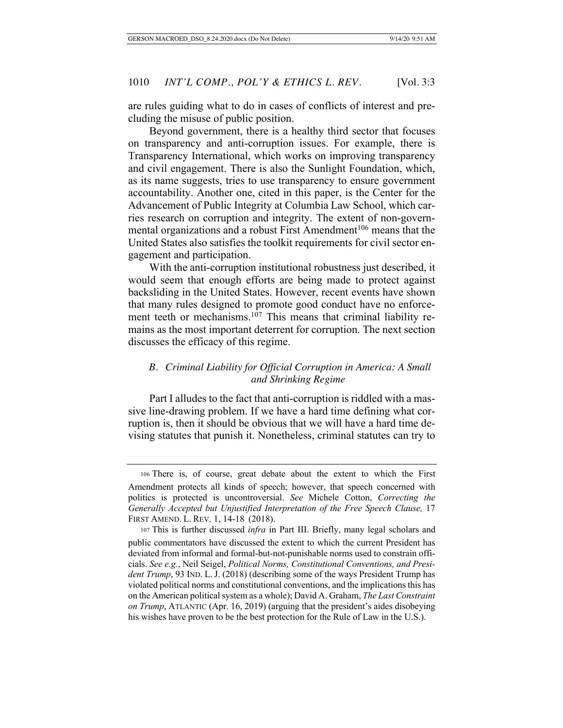are rules guiding what to do in cases of conflicts of interest and precluding the misuse of public position.

Beyond government, there is a healthy third sector that focuses on transparency and anti-corruption issues. For example, there is Transparency International, which works on improving transparency and civil engagement. There is also the Sunlight Foundation, which, as its name suggests, tries to use transparency to ensure government accountability. Another one, cited in this paper, is the Center for the Advancement of Public Integrity at Columbia Law School, which carries research on corruption and integrity. The extent of non-governmental organizations and a robust First Amendment<sup>106</sup> means that the United States also satisfies the toolkit requirements for civil sector engagement and participation.

With the anti-corruption institutional robustness just described, it would seem that enough efforts are being made to protect against backsliding in the United States. However, recent events have shown that many rules designed to promote good conduct have no enforcement teeth or mechanisms.<sup>107</sup> This means that criminal liability remains as the most important deterrent for corruption. The next section discusses the efficacy of this regime.

# *B. Criminal Liability for Official Corruption in America: A Small and Shrinking Regime*

Part I alludes to the fact that anti-corruption is riddled with a massive line-drawing problem. If we have a hard time defining what corruption is, then it should be obvious that we will have a hard time devising statutes that punish it. Nonetheless, criminal statutes can try to

<sup>106</sup> There is, of course, great debate about the extent to which the First Amendment protects all kinds of speech; however, that speech concerned with politics is protected is uncontroversial. *See* Michele Cotton, *Correcting the Generally Accepted but Unjustified Interpretation of the Free Speech Clause,* 17 FIRST AMEND. L. REV. 1, 14-18 (2018).

<sup>107</sup> This is further discussed *infra* in Part III. Briefly, many legal scholars and public commentators have discussed the extent to which the current President has deviated from informal and formal-but-not-punishable norms used to constrain officials. *See e.g.*, Neil Seigel, *Political Norms, Constitutional Conventions, and President Trump*, 93 IND. L.J. (2018) (describing some of the ways President Trump has violated political norms and constitutional conventions, and the implications this has on the American political system as a whole); David A. Graham, *The Last Constraint on Trump*, ATLANTIC (Apr. 16, 2019) (arguing that the president's aides disobeying his wishes have proven to be the best protection for the Rule of Law in the U.S.).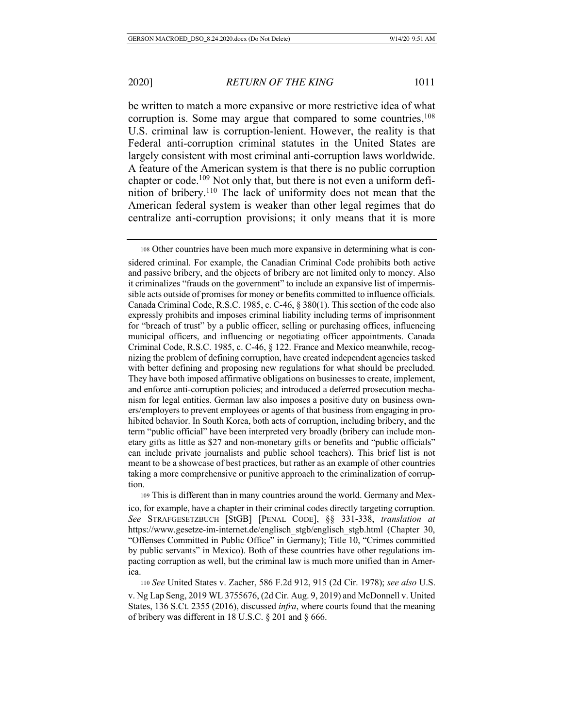be written to match a more expansive or more restrictive idea of what corruption is. Some may argue that compared to some countries,  $^{108}$ U.S. criminal law is corruption-lenient. However, the reality is that Federal anti-corruption criminal statutes in the United States are largely consistent with most criminal anti-corruption laws worldwide. A feature of the American system is that there is no public corruption chapter or code.<sup>109</sup> Not only that, but there is not even a uniform definition of bribery.110 The lack of uniformity does not mean that the American federal system is weaker than other legal regimes that do centralize anti-corruption provisions; it only means that it is more

<sup>109</sup> This is different than in many countries around the world. Germany and Mexico, for example, have a chapter in their criminal codes directly targeting corruption. *See* STRAFGESETZBUCH [StGB] [PENAL CODE], §§ 331-338, *translation at*  https://www.gesetze-im-internet.de/englisch\_stgb/englisch\_stgb.html (Chapter 30, "Offenses Committed in Public Office" in Germany); Title 10, "Crimes committed by public servants" in Mexico). Both of these countries have other regulations impacting corruption as well, but the criminal law is much more unified than in America.

<sup>110</sup> *See* United States v. Zacher, 586 F.2d 912, 915 (2d Cir. 1978); *see also* U.S. v. Ng Lap Seng, 2019 WL 3755676, (2d Cir. Aug. 9, 2019) and McDonnell v. United States, 136 S.Ct. 2355 (2016), discussed *infra*, where courts found that the meaning of bribery was different in 18 U.S.C. § 201 and § 666.

<sup>108</sup> Other countries have been much more expansive in determining what is considered criminal. For example, the Canadian Criminal Code prohibits both active and passive bribery, and the objects of bribery are not limited only to money. Also it criminalizes "frauds on the government" to include an expansive list of impermissible acts outside of promises for money or benefits committed to influence officials. Canada Criminal Code, R.S.C. 1985, c. C-46, § 380(1). This section of the code also expressly prohibits and imposes criminal liability including terms of imprisonment for "breach of trust" by a public officer, selling or purchasing offices, influencing municipal officers, and influencing or negotiating officer appointments. Canada Criminal Code, R.S.C. 1985, c. C-46, § 122. France and Mexico meanwhile, recognizing the problem of defining corruption, have created independent agencies tasked with better defining and proposing new regulations for what should be precluded. They have both imposed affirmative obligations on businesses to create, implement, and enforce anti-corruption policies; and introduced a deferred prosecution mechanism for legal entities. German law also imposes a positive duty on business owners/employers to prevent employees or agents of that business from engaging in prohibited behavior. In South Korea, both acts of corruption, including bribery, and the term "public official" have been interpreted very broadly (bribery can include monetary gifts as little as \$27 and non-monetary gifts or benefits and "public officials" can include private journalists and public school teachers). This brief list is not meant to be a showcase of best practices, but rather as an example of other countries taking a more comprehensive or punitive approach to the criminalization of corruption.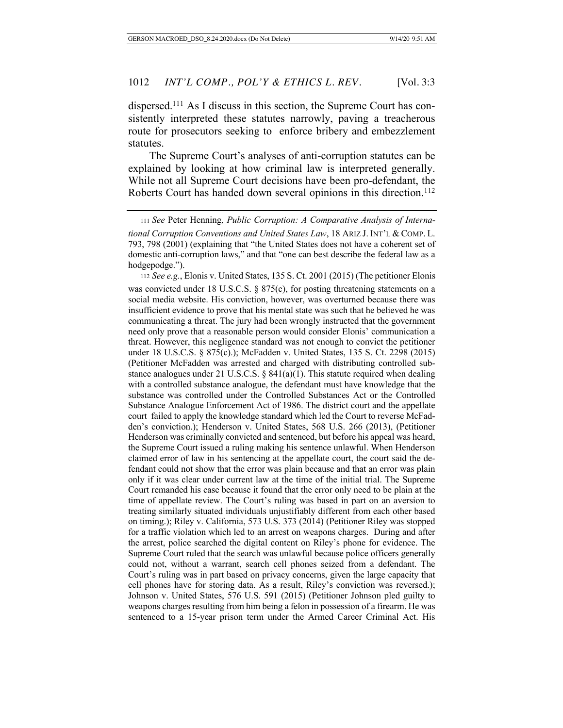dispersed.111 As I discuss in this section, the Supreme Court has consistently interpreted these statutes narrowly, paving a treacherous route for prosecutors seeking to enforce bribery and embezzlement statutes.

The Supreme Court's analyses of anti-corruption statutes can be explained by looking at how criminal law is interpreted generally. While not all Supreme Court decisions have been pro-defendant, the Roberts Court has handed down several opinions in this direction.<sup>112</sup>

<sup>112</sup> *See e.g.*, Elonis v. United States, 135 S. Ct. 2001 (2015) (The petitioner Elonis was convicted under 18 U.S.C.S. § 875(c), for posting threatening statements on a social media website. His conviction, however, was overturned because there was insufficient evidence to prove that his mental state was such that he believed he was communicating a threat. The jury had been wrongly instructed that the government need only prove that a reasonable person would consider Elonis' communication a threat. However, this negligence standard was not enough to convict the petitioner under 18 U.S.C.S. § 875(c).); McFadden v. United States, 135 S. Ct. 2298 (2015) (Petitioner McFadden was arrested and charged with distributing controlled substance analogues under 21 U.S.C.S.  $\S$  841(a)(1). This statute required when dealing with a controlled substance analogue, the defendant must have knowledge that the substance was controlled under the Controlled Substances Act or the Controlled Substance Analogue Enforcement Act of 1986. The district court and the appellate court failed to apply the knowledge standard which led the Court to reverse McFadden's conviction.); Henderson v. United States, 568 U.S. 266 (2013), (Petitioner Henderson was criminally convicted and sentenced, but before his appeal was heard, the Supreme Court issued a ruling making his sentence unlawful. When Henderson claimed error of law in his sentencing at the appellate court, the court said the defendant could not show that the error was plain because and that an error was plain only if it was clear under current law at the time of the initial trial. The Supreme Court remanded his case because it found that the error only need to be plain at the time of appellate review. The Court's ruling was based in part on an aversion to treating similarly situated individuals unjustifiably different from each other based on timing.); Riley v. California, 573 U.S. 373 (2014) (Petitioner Riley was stopped for a traffic violation which led to an arrest on weapons charges. During and after the arrest, police searched the digital content on Riley's phone for evidence. The Supreme Court ruled that the search was unlawful because police officers generally could not, without a warrant, search cell phones seized from a defendant. The Court's ruling was in part based on privacy concerns, given the large capacity that cell phones have for storing data. As a result, Riley's conviction was reversed.); Johnson v. United States, 576 U.S. 591 (2015) (Petitioner Johnson pled guilty to weapons charges resulting from him being a felon in possession of a firearm. He was sentenced to a 15-year prison term under the Armed Career Criminal Act. His

<sup>111</sup> *See* Peter Henning, *Public Corruption: A Comparative Analysis of International Corruption Conventions and United States Law*, 18 ARIZ J. INT'L & COMP. L. 793, 798 (2001) (explaining that "the United States does not have a coherent set of domestic anti-corruption laws," and that "one can best describe the federal law as a hodgepodge.").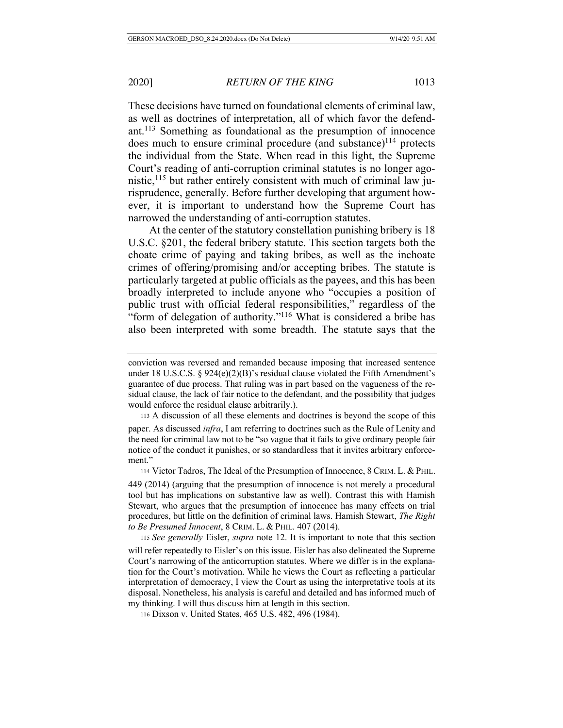These decisions have turned on foundational elements of criminal law, as well as doctrines of interpretation, all of which favor the defendant.113 Something as foundational as the presumption of innocence does much to ensure criminal procedure (and substance) $^{114}$  protects the individual from the State. When read in this light, the Supreme Court's reading of anti-corruption criminal statutes is no longer agonistic, $115$  but rather entirely consistent with much of criminal law jurisprudence, generally. Before further developing that argument however, it is important to understand how the Supreme Court has narrowed the understanding of anti-corruption statutes.

At the center of the statutory constellation punishing bribery is 18 U.S.C. §201, the federal bribery statute. This section targets both the choate crime of paying and taking bribes, as well as the inchoate crimes of offering/promising and/or accepting bribes. The statute is particularly targeted at public officials as the payees, and this has been broadly interpreted to include anyone who "occupies a position of public trust with official federal responsibilities," regardless of the "form of delegation of authority."116 What is considered a bribe has also been interpreted with some breadth. The statute says that the

<sup>113</sup> A discussion of all these elements and doctrines is beyond the scope of this

conviction was reversed and remanded because imposing that increased sentence under 18 U.S.C.S. §  $924(e)(2)(B)$ 's residual clause violated the Fifth Amendment's guarantee of due process. That ruling was in part based on the vagueness of the residual clause, the lack of fair notice to the defendant, and the possibility that judges would enforce the residual clause arbitrarily.).

paper. As discussed *infra*, I am referring to doctrines such as the Rule of Lenity and the need for criminal law not to be "so vague that it fails to give ordinary people fair notice of the conduct it punishes, or so standardless that it invites arbitrary enforcement."

<sup>114</sup> Victor Tadros, The Ideal of the Presumption of Innocence, 8 CRIM. L. & PHIL. 449 (2014) (arguing that the presumption of innocence is not merely a procedural tool but has implications on substantive law as well). Contrast this with Hamish Stewart, who argues that the presumption of innocence has many effects on trial procedures, but little on the definition of criminal laws. Hamish Stewart, *The Right to Be Presumed Innocent*, 8 CRIM. L. & PHIL. 407 (2014).

<sup>115</sup> *See generally* Eisler, *supra* note 12. It is important to note that this section will refer repeatedly to Eisler's on this issue. Eisler has also delineated the Supreme Court's narrowing of the anticorruption statutes. Where we differ is in the explanation for the Court's motivation. While he views the Court as reflecting a particular interpretation of democracy, I view the Court as using the interpretative tools at its disposal. Nonetheless, his analysis is careful and detailed and has informed much of my thinking. I will thus discuss him at length in this section.

<sup>116</sup> Dixson v. United States, 465 U.S. 482, 496 (1984).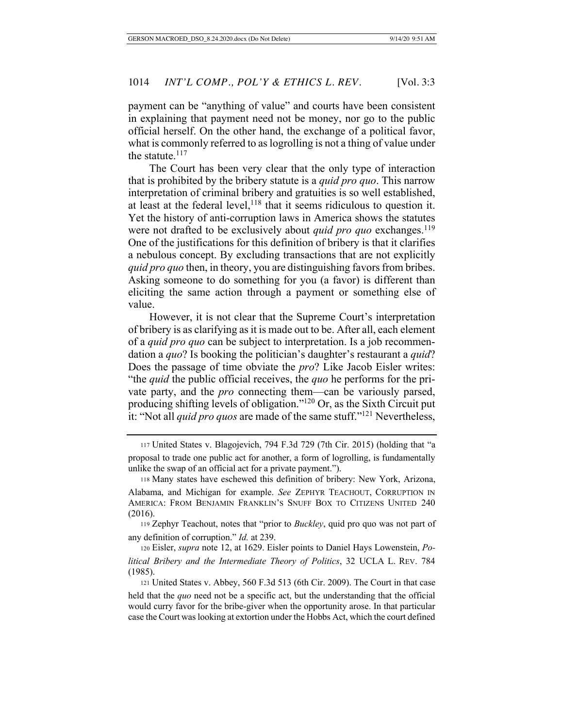payment can be "anything of value" and courts have been consistent in explaining that payment need not be money, nor go to the public official herself. On the other hand, the exchange of a political favor, what is commonly referred to as logrolling is not a thing of value under the statute. $117$ 

The Court has been very clear that the only type of interaction that is prohibited by the bribery statute is a *quid pro quo*. This narrow interpretation of criminal bribery and gratuities is so well established, at least at the federal level, $118$  that it seems ridiculous to question it. Yet the history of anti-corruption laws in America shows the statutes were not drafted to be exclusively about *quid pro quo* exchanges.<sup>119</sup> One of the justifications for this definition of bribery is that it clarifies a nebulous concept. By excluding transactions that are not explicitly *quid pro quo* then, in theory, you are distinguishing favors from bribes. Asking someone to do something for you (a favor) is different than eliciting the same action through a payment or something else of value.

However, it is not clear that the Supreme Court's interpretation of bribery is as clarifying as it is made out to be. After all, each element of a *quid pro quo* can be subject to interpretation. Is a job recommendation a *quo*? Is booking the politician's daughter's restaurant a *quid*? Does the passage of time obviate the *pro*? Like Jacob Eisler writes: "the *quid* the public official receives, the *quo* he performs for the private party, and the *pro* connecting them—can be variously parsed, producing shifting levels of obligation."120 Or, as the Sixth Circuit put it: "Not all *quid pro quos* are made of the same stuff."121 Nevertheless,

<sup>117</sup> United States v. Blagojevich, 794 F.3d 729 (7th Cir. 2015) (holding that "a proposal to trade one public act for another, a form of logrolling, is fundamentally unlike the swap of an official act for a private payment.").

<sup>118</sup> Many states have eschewed this definition of bribery: New York, Arizona, Alabama, and Michigan for example. *See* ZEPHYR TEACHOUT, CORRUPTION IN AMERICA: FROM BENJAMIN FRANKLIN'S SNUFF BOX TO CITIZENS UNITED 240 (2016).

<sup>119</sup> Zephyr Teachout, notes that "prior to *Buckley*, quid pro quo was not part of any definition of corruption." *Id.* at 239.

<sup>120</sup> Eisler, *supra* note 12, at 1629. Eisler points to Daniel Hays Lowenstein, *Political Bribery and the Intermediate Theory of Politics*, 32 UCLA L. REV. 784 (1985).

<sup>121</sup> United States v. Abbey, 560 F.3d 513 (6th Cir. 2009). The Court in that case held that the *quo* need not be a specific act, but the understanding that the official would curry favor for the bribe-giver when the opportunity arose. In that particular case the Court was looking at extortion under the Hobbs Act, which the court defined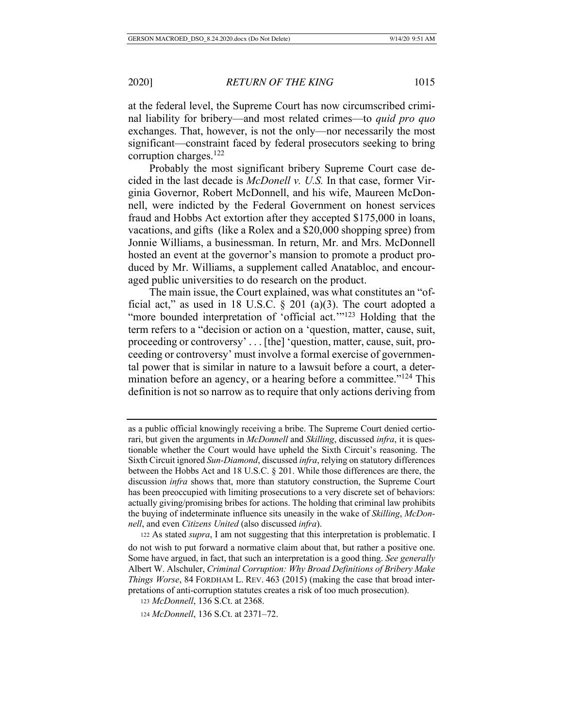at the federal level, the Supreme Court has now circumscribed criminal liability for bribery—and most related crimes—to *quid pro quo*  exchanges. That, however, is not the only—nor necessarily the most significant—constraint faced by federal prosecutors seeking to bring corruption charges. $122$ 

Probably the most significant bribery Supreme Court case decided in the last decade is *McDonell v. U.S.* In that case, former Virginia Governor, Robert McDonnell, and his wife, Maureen McDonnell, were indicted by the Federal Government on honest services fraud and Hobbs Act extortion after they accepted \$175,000 in loans, vacations, and gifts (like a Rolex and a \$20,000 shopping spree) from Jonnie Williams, a businessman. In return, Mr. and Mrs. McDonnell hosted an event at the governor's mansion to promote a product produced by Mr. Williams, a supplement called Anatabloc, and encouraged public universities to do research on the product.

The main issue, the Court explained, was what constitutes an "official act," as used in 18 U.S.C.  $\S$  201 (a)(3). The court adopted a "more bounded interpretation of 'official act."<sup>123</sup> Holding that the term refers to a "decision or action on a 'question, matter, cause, suit, proceeding or controversy' . . . [the] 'question, matter, cause, suit, proceeding or controversy' must involve a formal exercise of governmental power that is similar in nature to a lawsuit before a court, a determination before an agency, or a hearing before a committee."<sup>124</sup> This definition is not so narrow as to require that only actions deriving from

as a public official knowingly receiving a bribe. The Supreme Court denied certiorari, but given the arguments in *McDonnell* and *Skilling*, discussed *infra*, it is questionable whether the Court would have upheld the Sixth Circuit's reasoning. The Sixth Circuit ignored *Sun-Diamond*, discussed *infra*, relying on statutory differences between the Hobbs Act and 18 U.S.C. § 201. While those differences are there, the discussion *infra* shows that, more than statutory construction, the Supreme Court has been preoccupied with limiting prosecutions to a very discrete set of behaviors: actually giving/promising bribes for actions. The holding that criminal law prohibits the buying of indeterminate influence sits uneasily in the wake of *Skilling*, *McDonnell*, and even *Citizens United* (also discussed *infra*).

<sup>122</sup> As stated *supra*, I am not suggesting that this interpretation is problematic. I do not wish to put forward a normative claim about that, but rather a positive one. Some have argued, in fact, that such an interpretation is a good thing. *See generally*  Albert W. Alschuler, *Criminal Corruption: Why Broad Definitions of Bribery Make Things Worse*, 84 FORDHAM L. REV. 463 (2015) (making the case that broad interpretations of anti-corruption statutes creates a risk of too much prosecution).

<sup>123</sup> *McDonnell*, 136 S.Ct. at 2368.

<sup>124</sup> *McDonnell*, 136 S.Ct. at 2371–72.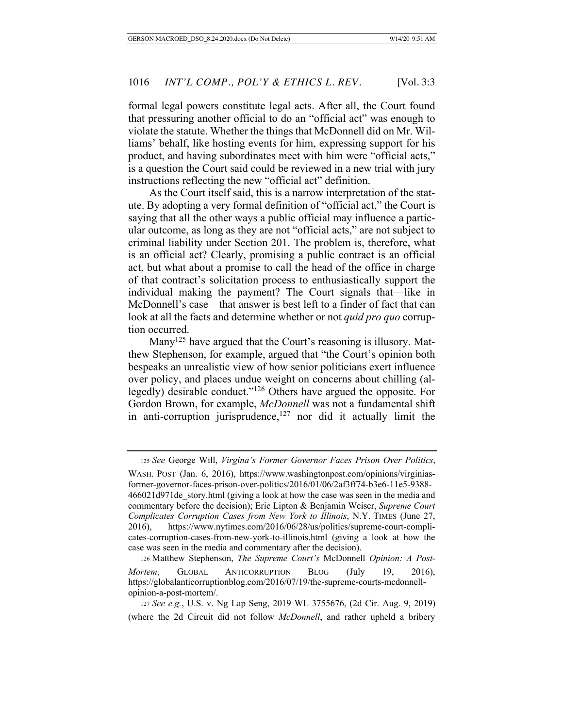formal legal powers constitute legal acts. After all, the Court found that pressuring another official to do an "official act" was enough to violate the statute. Whether the things that McDonnell did on Mr. Williams' behalf, like hosting events for him, expressing support for his product, and having subordinates meet with him were "official acts," is a question the Court said could be reviewed in a new trial with jury instructions reflecting the new "official act" definition.

As the Court itself said, this is a narrow interpretation of the statute. By adopting a very formal definition of "official act," the Court is saying that all the other ways a public official may influence a particular outcome, as long as they are not "official acts," are not subject to criminal liability under Section 201. The problem is, therefore, what is an official act? Clearly, promising a public contract is an official act, but what about a promise to call the head of the office in charge of that contract's solicitation process to enthusiastically support the individual making the payment? The Court signals that—like in McDonnell's case—that answer is best left to a finder of fact that can look at all the facts and determine whether or not *quid pro quo* corruption occurred.

Many<sup>125</sup> have argued that the Court's reasoning is illusory. Matthew Stephenson, for example, argued that "the Court's opinion both bespeaks an unrealistic view of how senior politicians exert influence over policy, and places undue weight on concerns about chilling (allegedly) desirable conduct."126 Others have argued the opposite. For Gordon Brown, for example, *McDonnell* was not a fundamental shift in anti-corruption jurisprudence,<sup>127</sup> nor did it actually limit the

<sup>125</sup> *See* George Will, *Virgina's Former Governor Faces Prison Over Politics*,

WASH. POST (Jan. 6, 2016), https://www.washingtonpost.com/opinions/virginiasformer-governor-faces-prison-over-politics/2016/01/06/2af3ff74-b3e6-11e5-9388- 466021d971de\_story.html (giving a look at how the case was seen in the media and commentary before the decision); Eric Lipton & Benjamin Weiser, *Supreme Court Complicates Corruption Cases from New York to Illinois*, N.Y. TIMES (June 27, 2016), https://www.nytimes.com/2016/06/28/us/politics/supreme-court-complicates-corruption-cases-from-new-york-to-illinois.html (giving a look at how the case was seen in the media and commentary after the decision).

<sup>126</sup> Matthew Stephenson, *The Supreme Court's* McDonnell *Opinion: A Post-Mortem*, GLOBAL ANTICORRUPTION BLOG (July 19, 2016), https://globalanticorruptionblog.com/2016/07/19/the-supreme-courts-mcdonnellopinion-a-post-mortem/.

<sup>127</sup> *See e.g.*, U.S. v. Ng Lap Seng, 2019 WL 3755676, (2d Cir. Aug. 9, 2019) (where the 2d Circuit did not follow *McDonnell*, and rather upheld a bribery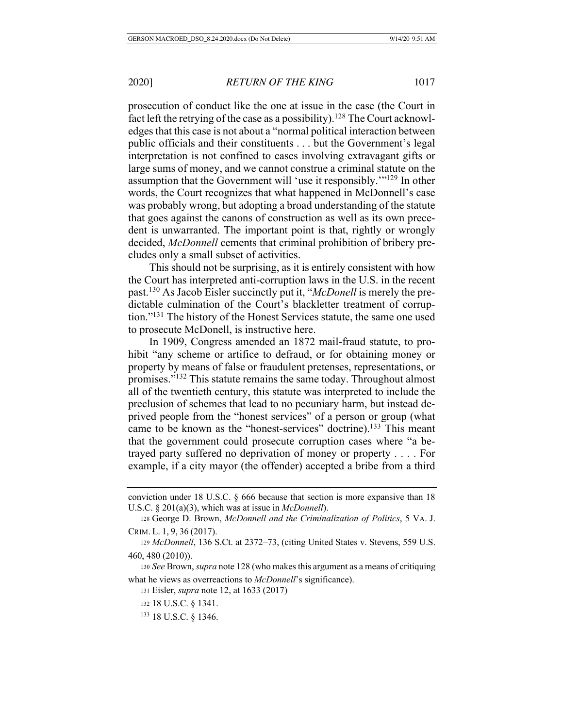prosecution of conduct like the one at issue in the case (the Court in fact left the retrying of the case as a possibility).<sup>128</sup> The Court acknowledges that this case is not about a "normal political interaction between public officials and their constituents . . . but the Government's legal interpretation is not confined to cases involving extravagant gifts or large sums of money, and we cannot construe a criminal statute on the assumption that the Government will 'use it responsibly.'"129 In other words, the Court recognizes that what happened in McDonnell's case was probably wrong, but adopting a broad understanding of the statute that goes against the canons of construction as well as its own precedent is unwarranted. The important point is that, rightly or wrongly decided, *McDonnell* cements that criminal prohibition of bribery precludes only a small subset of activities.

This should not be surprising, as it is entirely consistent with how the Court has interpreted anti-corruption laws in the U.S. in the recent past.130 As Jacob Eisler succinctly put it, "*McDonell* is merely the predictable culmination of the Court's blackletter treatment of corruption."131 The history of the Honest Services statute, the same one used to prosecute McDonell, is instructive here.

In 1909, Congress amended an 1872 mail-fraud statute, to prohibit "any scheme or artifice to defraud, or for obtaining money or property by means of false or fraudulent pretenses, representations, or promises."132 This statute remains the same today. Throughout almost all of the twentieth century, this statute was interpreted to include the preclusion of schemes that lead to no pecuniary harm, but instead deprived people from the "honest services" of a person or group (what came to be known as the "honest-services" doctrine).<sup>133</sup> This meant that the government could prosecute corruption cases where "a betrayed party suffered no deprivation of money or property . . . . For example, if a city mayor (the offender) accepted a bribe from a third

<sup>130</sup> *See* Brown, *supra* note 128 (who makes this argument as a means of critiquing what he views as overreactions to *McDonnell*'s significance).

conviction under 18 U.S.C. § 666 because that section is more expansive than 18 U.S.C. § 201(a)(3), which was at issue in *McDonnell*).

<sup>128</sup> George D. Brown, *McDonnell and the Criminalization of Politics*, 5 VA. J. CRIM. L. 1, 9, 36 (2017).

<sup>129</sup> *McDonnell*, 136 S.Ct. at 2372–73, (citing United States v. Stevens, 559 U.S. 460, 480 (2010)).

<sup>131</sup> Eisler, *supra* note 12, at 1633 (2017)

<sup>132</sup> 18 U.S.C. § 1341.

<sup>133</sup> 18 U.S.C. § 1346.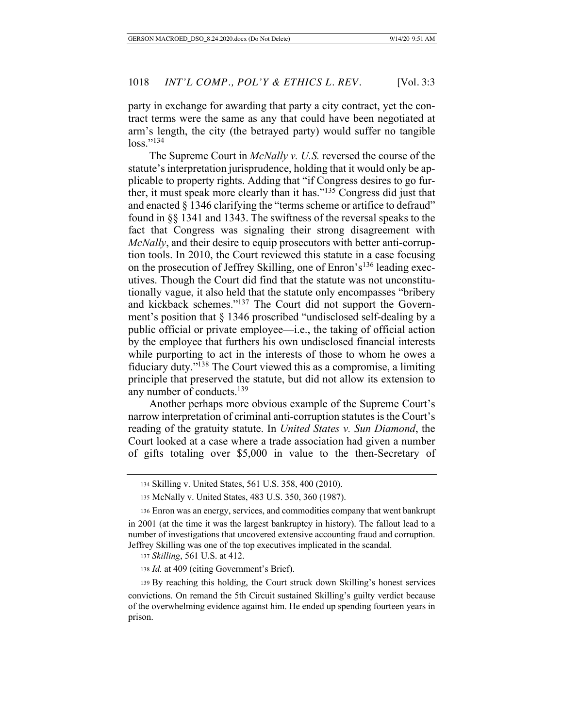party in exchange for awarding that party a city contract, yet the contract terms were the same as any that could have been negotiated at arm's length, the city (the betrayed party) would suffer no tangible  $loss.$ "<sup>134</sup>

The Supreme Court in *McNally v. U.S.* reversed the course of the statute's interpretation jurisprudence, holding that it would only be applicable to property rights. Adding that "if Congress desires to go further, it must speak more clearly than it has."135 Congress did just that and enacted  $\S$  1346 clarifying the "terms scheme or artifice to defraud" found in §§ 1341 and 1343. The swiftness of the reversal speaks to the fact that Congress was signaling their strong disagreement with *McNally*, and their desire to equip prosecutors with better anti-corruption tools. In 2010, the Court reviewed this statute in a case focusing on the prosecution of Jeffrey Skilling, one of Enron's<sup>136</sup> leading executives. Though the Court did find that the statute was not unconstitutionally vague, it also held that the statute only encompasses "bribery and kickback schemes."137 The Court did not support the Government's position that § 1346 proscribed "undisclosed self-dealing by a public official or private employee—i.e., the taking of official action by the employee that furthers his own undisclosed financial interests while purporting to act in the interests of those to whom he owes a fiduciary duty."138 The Court viewed this as a compromise, a limiting principle that preserved the statute, but did not allow its extension to any number of conducts.139

Another perhaps more obvious example of the Supreme Court's narrow interpretation of criminal anti-corruption statutes is the Court's reading of the gratuity statute. In *United States v. Sun Diamond*, the Court looked at a case where a trade association had given a number of gifts totaling over \$5,000 in value to the then-Secretary of

<sup>134</sup> Skilling v. United States, 561 U.S. 358, 400 (2010).

<sup>135</sup> McNally v. United States, 483 U.S. 350, 360 (1987).

<sup>136</sup> Enron was an energy, services, and commodities company that went bankrupt

in 2001 (at the time it was the largest bankruptcy in history). The fallout lead to a number of investigations that uncovered extensive accounting fraud and corruption. Jeffrey Skilling was one of the top executives implicated in the scandal.

<sup>137</sup> *Skilling*, 561 U.S. at 412.

<sup>138</sup> *Id.* at 409 (citing Government's Brief).

<sup>139</sup> By reaching this holding, the Court struck down Skilling's honest services convictions. On remand the 5th Circuit sustained Skilling's guilty verdict because of the overwhelming evidence against him. He ended up spending fourteen years in prison.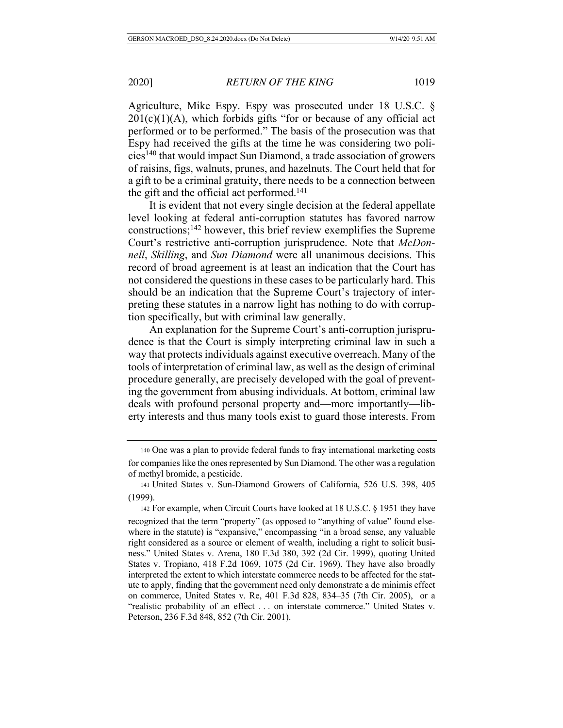Agriculture, Mike Espy. Espy was prosecuted under 18 U.S.C. §  $201(c)(1)(A)$ , which forbids gifts "for or because of any official act performed or to be performed." The basis of the prosecution was that Espy had received the gifts at the time he was considering two policies140 that would impact Sun Diamond, a trade association of growers of raisins, figs, walnuts, prunes, and hazelnuts. The Court held that for a gift to be a criminal gratuity, there needs to be a connection between the gift and the official act performed.<sup>141</sup>

It is evident that not every single decision at the federal appellate level looking at federal anti-corruption statutes has favored narrow constructions;142 however, this brief review exemplifies the Supreme Court's restrictive anti-corruption jurisprudence. Note that *McDonnell*, *Skilling*, and *Sun Diamond* were all unanimous decisions. This record of broad agreement is at least an indication that the Court has not considered the questions in these cases to be particularly hard. This should be an indication that the Supreme Court's trajectory of interpreting these statutes in a narrow light has nothing to do with corruption specifically, but with criminal law generally.

An explanation for the Supreme Court's anti-corruption jurisprudence is that the Court is simply interpreting criminal law in such a way that protects individuals against executive overreach. Many of the tools of interpretation of criminal law, as well as the design of criminal procedure generally, are precisely developed with the goal of preventing the government from abusing individuals. At bottom, criminal law deals with profound personal property and—more importantly—liberty interests and thus many tools exist to guard those interests. From

<sup>140</sup> One was a plan to provide federal funds to fray international marketing costs for companies like the ones represented by Sun Diamond. The other was a regulation of methyl bromide, a pesticide.

<sup>141</sup> United States v. Sun-Diamond Growers of California, 526 U.S. 398, 405 (1999).

<sup>142</sup> For example, when Circuit Courts have looked at 18 U.S.C. § 1951 they have recognized that the term "property" (as opposed to "anything of value" found elsewhere in the statute) is "expansive," encompassing "in a broad sense, any valuable right considered as a source or element of wealth, including a right to solicit business." United States v. Arena, 180 F.3d 380, 392 (2d Cir. 1999), quoting United States v. Tropiano, 418 F.2d 1069, 1075 (2d Cir. 1969). They have also broadly interpreted the extent to which interstate commerce needs to be affected for the statute to apply, finding that the government need only demonstrate a de minimis effect on commerce, United States v. Re, 401 F.3d 828, 834–35 (7th Cir. 2005), or a "realistic probability of an effect . . . on interstate commerce." United States v. Peterson, 236 F.3d 848, 852 (7th Cir. 2001).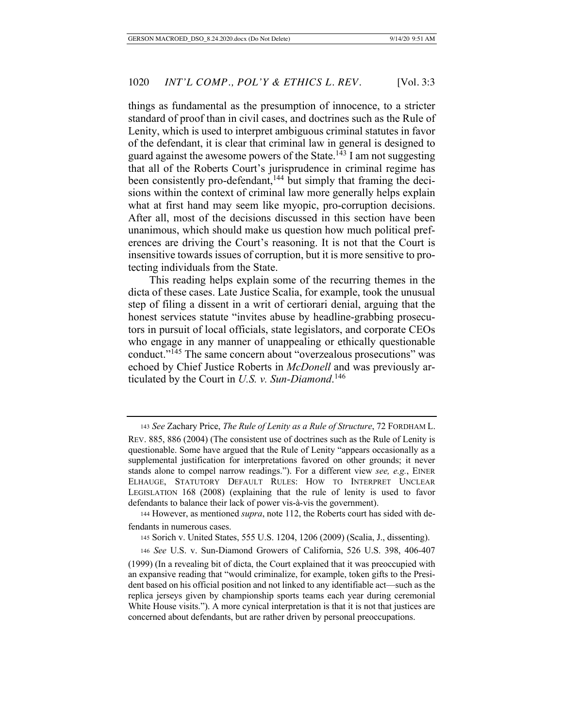things as fundamental as the presumption of innocence, to a stricter standard of proof than in civil cases, and doctrines such as the Rule of Lenity, which is used to interpret ambiguous criminal statutes in favor of the defendant, it is clear that criminal law in general is designed to guard against the awesome powers of the State.<sup>143</sup> I am not suggesting that all of the Roberts Court's jurisprudence in criminal regime has been consistently pro-defendant,<sup>144</sup> but simply that framing the decisions within the context of criminal law more generally helps explain what at first hand may seem like myopic, pro-corruption decisions. After all, most of the decisions discussed in this section have been unanimous, which should make us question how much political preferences are driving the Court's reasoning. It is not that the Court is insensitive towards issues of corruption, but it is more sensitive to protecting individuals from the State.

This reading helps explain some of the recurring themes in the dicta of these cases. Late Justice Scalia, for example, took the unusual step of filing a dissent in a writ of certiorari denial, arguing that the honest services statute "invites abuse by headline-grabbing prosecutors in pursuit of local officials, state legislators, and corporate CEOs who engage in any manner of unappealing or ethically questionable conduct."145 The same concern about "overzealous prosecutions" was echoed by Chief Justice Roberts in *McDonell* and was previously articulated by the Court in *U.S. v. Sun-Diamond*. 146

<sup>146</sup> *See* U.S. v. Sun-Diamond Growers of California, 526 U.S. 398, 406-407

<sup>143</sup> *See* Zachary Price, *The Rule of Lenity as a Rule of Structure*, 72 FORDHAM L.

REV. 885, 886 (2004) (The consistent use of doctrines such as the Rule of Lenity is questionable. Some have argued that the Rule of Lenity "appears occasionally as a supplemental justification for interpretations favored on other grounds; it never stands alone to compel narrow readings."). For a different view *see, e.g.*, EINER ELHAUGE, STATUTORY DEFAULT RULES: HOW TO INTERPRET UNCLEAR LEGISLATION 168 (2008) (explaining that the rule of lenity is used to favor defendants to balance their lack of power vis-à-vis the government).

<sup>144</sup> However, as mentioned *supra*, note 112, the Roberts court has sided with defendants in numerous cases.

<sup>145</sup> Sorich v. United States, 555 U.S. 1204, 1206 (2009) (Scalia, J., dissenting).

<sup>(1999) (</sup>In a revealing bit of dicta, the Court explained that it was preoccupied with an expansive reading that "would criminalize, for example, token gifts to the President based on his official position and not linked to any identifiable act—such as the replica jerseys given by championship sports teams each year during ceremonial White House visits."). A more cynical interpretation is that it is not that justices are concerned about defendants, but are rather driven by personal preoccupations.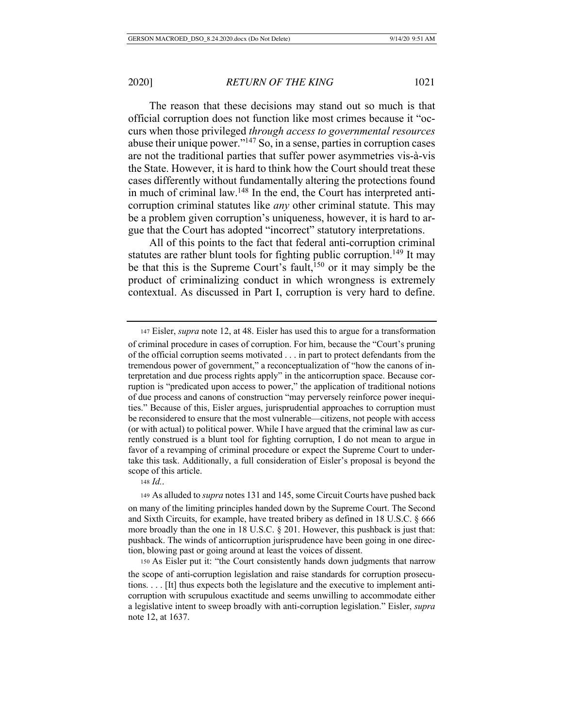The reason that these decisions may stand out so much is that official corruption does not function like most crimes because it "occurs when those privileged *through access to governmental resources* abuse their unique power."147 So, in a sense, parties in corruption cases are not the traditional parties that suffer power asymmetries vis-à-vis the State. However, it is hard to think how the Court should treat these cases differently without fundamentally altering the protections found in much of criminal law.148 In the end, the Court has interpreted anticorruption criminal statutes like *any* other criminal statute. This may be a problem given corruption's uniqueness, however, it is hard to argue that the Court has adopted "incorrect" statutory interpretations.

All of this points to the fact that federal anti-corruption criminal statutes are rather blunt tools for fighting public corruption.<sup>149</sup> It may be that this is the Supreme Court's fault,<sup>150</sup> or it may simply be the product of criminalizing conduct in which wrongness is extremely contextual. As discussed in Part I, corruption is very hard to define.

<sup>148</sup> *Id.*.

<sup>149</sup> As alluded to *supra* notes 131 and 145, some Circuit Courts have pushed back on many of the limiting principles handed down by the Supreme Court. The Second and Sixth Circuits, for example, have treated bribery as defined in 18 U.S.C. § 666 more broadly than the one in 18 U.S.C. § 201. However, this pushback is just that: pushback. The winds of anticorruption jurisprudence have been going in one direction, blowing past or going around at least the voices of dissent.

<sup>150</sup> As Eisler put it: "the Court consistently hands down judgments that narrow the scope of anti-corruption legislation and raise standards for corruption prosecutions. . . . [It] thus expects both the legislature and the executive to implement anticorruption with scrupulous exactitude and seems unwilling to accommodate either a legislative intent to sweep broadly with anti-corruption legislation." Eisler, *supra*  note 12, at 1637.

<sup>147</sup> Eisler, *supra* note 12, at 48. Eisler has used this to argue for a transformation

of criminal procedure in cases of corruption. For him, because the "Court's pruning of the official corruption seems motivated . . . in part to protect defendants from the tremendous power of government," a reconceptualization of "how the canons of interpretation and due process rights apply" in the anticorruption space. Because corruption is "predicated upon access to power," the application of traditional notions of due process and canons of construction "may perversely reinforce power inequities." Because of this, Eisler argues, jurisprudential approaches to corruption must be reconsidered to ensure that the most vulnerable—citizens, not people with access (or with actual) to political power. While I have argued that the criminal law as currently construed is a blunt tool for fighting corruption, I do not mean to argue in favor of a revamping of criminal procedure or expect the Supreme Court to undertake this task. Additionally, a full consideration of Eisler's proposal is beyond the scope of this article.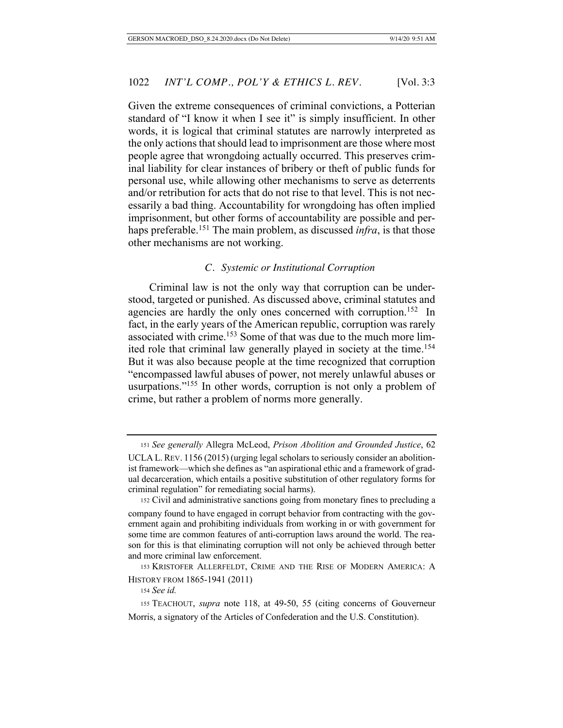Given the extreme consequences of criminal convictions, a Potterian standard of "I know it when I see it" is simply insufficient. In other words, it is logical that criminal statutes are narrowly interpreted as the only actions that should lead to imprisonment are those where most people agree that wrongdoing actually occurred. This preserves criminal liability for clear instances of bribery or theft of public funds for personal use, while allowing other mechanisms to serve as deterrents and/or retribution for acts that do not rise to that level. This is not necessarily a bad thing. Accountability for wrongdoing has often implied imprisonment, but other forms of accountability are possible and perhaps preferable.151 The main problem, as discussed *infra*, is that those other mechanisms are not working.

# *C. Systemic or Institutional Corruption*

Criminal law is not the only way that corruption can be understood, targeted or punished. As discussed above, criminal statutes and agencies are hardly the only ones concerned with corruption.<sup>152</sup> In fact, in the early years of the American republic, corruption was rarely associated with crime.153 Some of that was due to the much more limited role that criminal law generally played in society at the time.<sup>154</sup> But it was also because people at the time recognized that corruption "encompassed lawful abuses of power, not merely unlawful abuses or usurpations."155 In other words, corruption is not only a problem of crime, but rather a problem of norms more generally.

<sup>151</sup> *See generally* Allegra McLeod, *Prison Abolition and Grounded Justice*, 62 UCLA L.REV. 1156 (2015) (urging legal scholars to seriously consider an abolitionist framework—which she defines as "an aspirational ethic and a framework of gradual decarceration, which entails a positive substitution of other regulatory forms for criminal regulation" for remediating social harms).

<sup>152</sup> Civil and administrative sanctions going from monetary fines to precluding a company found to have engaged in corrupt behavior from contracting with the government again and prohibiting individuals from working in or with government for some time are common features of anti-corruption laws around the world. The reason for this is that eliminating corruption will not only be achieved through better and more criminal law enforcement.

<sup>153</sup> KRISTOFER ALLERFELDT, CRIME AND THE RISE OF MODERN AMERICA: A HISTORY FROM 1865-1941 (2011)

<sup>154</sup> *See id.* 

<sup>155</sup> TEACHOUT, *supra* note 118, at 49-50, 55 (citing concerns of Gouverneur Morris, a signatory of the Articles of Confederation and the U.S. Constitution).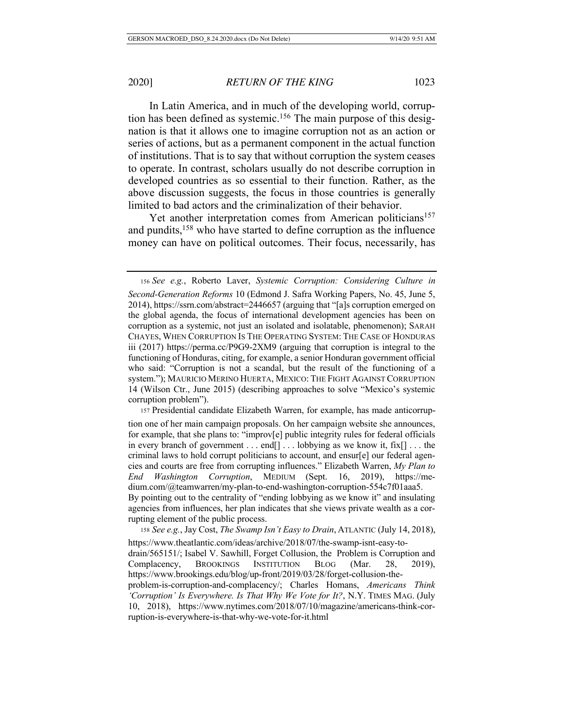In Latin America, and in much of the developing world, corruption has been defined as systemic.<sup>156</sup> The main purpose of this designation is that it allows one to imagine corruption not as an action or series of actions, but as a permanent component in the actual function of institutions. That is to say that without corruption the system ceases to operate. In contrast, scholars usually do not describe corruption in developed countries as so essential to their function. Rather, as the above discussion suggests, the focus in those countries is generally limited to bad actors and the criminalization of their behavior.

Yet another interpretation comes from American politicians<sup>157</sup> and pundits, $158$  who have started to define corruption as the influence money can have on political outcomes. Their focus, necessarily, has

<sup>157</sup> Presidential candidate Elizabeth Warren, for example, has made anticorruption one of her main campaign proposals. On her campaign website she announces, for example, that she plans to: "improv[e] public integrity rules for federal officials in every branch of government  $\dots$  end[]  $\dots$  lobbying as we know it, fix[]  $\dots$  the criminal laws to hold corrupt politicians to account, and ensur[e] our federal agencies and courts are free from corrupting influences." Elizabeth Warren, *My Plan to End Washington Corruption*, MEDIUM (Sept. 16, 2019), https://medium.com/@teamwarren/my-plan-to-end-washington-corruption-554c7f01aaa5. By pointing out to the centrality of "ending lobbying as we know it" and insulating agencies from influences, her plan indicates that she views private wealth as a corrupting element of the public process.

<sup>158</sup> *See e.g.*, Jay Cost, *The Swamp Isn't Easy to Drain*, ATLANTIC (July 14, 2018),

<sup>156</sup> *See e.g.*, Roberto Laver, *Systemic Corruption: Considering Culture in Second-Generation Reforms* 10 (Edmond J. Safra Working Papers, No. 45, June 5, 2014), https://ssrn.com/abstract=2446657 (arguing that "[a]s corruption emerged on the global agenda, the focus of international development agencies has been on corruption as a systemic, not just an isolated and isolatable, phenomenon); SARAH CHAYES, WHEN CORRUPTION IS THE OPERATING SYSTEM: THE CASE OF HONDURAS iii (2017) https://perma.cc/P9G9-2XM9 (arguing that corruption is integral to the functioning of Honduras, citing, for example, a senior Honduran government official who said: "Corruption is not a scandal, but the result of the functioning of a system."); MAURICIO MERINO HUERTA, MEXICO: THE FIGHT AGAINST CORRUPTION 14 (Wilson Ctr., June 2015) (describing approaches to solve "Mexico's systemic corruption problem").

https://www.theatlantic.com/ideas/archive/2018/07/the-swamp-isnt-easy-todrain/565151/; Isabel V. Sawhill, Forget Collusion, the Problem is Corruption and Complacency, BROOKINGS INSTITUTION BLOG (Mar. 28, 2019), https://www.brookings.edu/blog/up-front/2019/03/28/forget-collusion-theproblem-is-corruption-and-complacency/; Charles Homans, *Americans Think 'Corruption' Is Everywhere. Is That Why We Vote for It?*, N.Y. TIMES MAG. (July 10, 2018), https://www.nytimes.com/2018/07/10/magazine/americans-think-corruption-is-everywhere-is-that-why-we-vote-for-it.html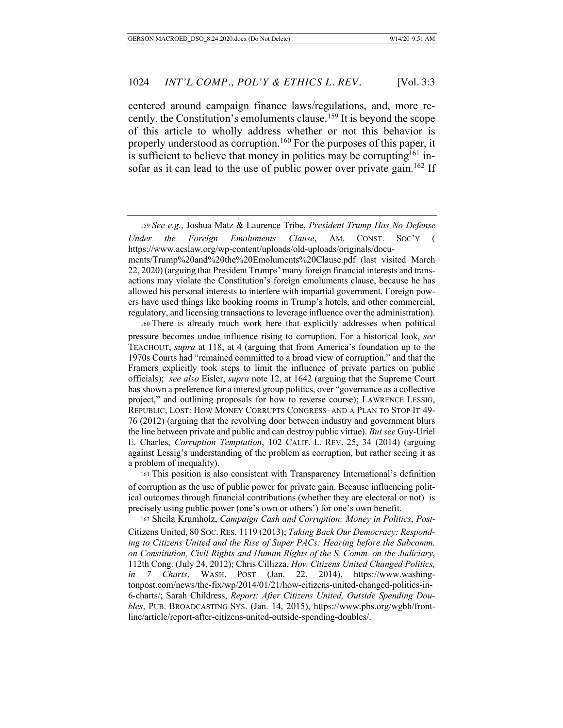centered around campaign finance laws/regulations, and, more recently, the Constitution's emoluments clause.159 It is beyond the scope of this article to wholly address whether or not this behavior is properly understood as corruption.<sup>160</sup> For the purposes of this paper, it is sufficient to believe that money in politics may be corrupting  $161$  insofar as it can lead to the use of public power over private gain.<sup>162</sup> If

ers have used things like booking rooms in Trump's hotels, and other commercial,

regulatory, and licensing transactions to leverage influence over the administration). <sup>160</sup> There is already much work here that explicitly addresses when political pressure becomes undue influence rising to corruption. For a historical look, *see* TEACHOUT, *supra* at 118, at 4 (arguing that from America's foundation up to the 1970s Courts had "remained committed to a broad view of corruption," and that the Framers explicitly took steps to limit the influence of private parties on public officials); *see also* Eisler, *supra* note 12, at 1642 (arguing that the Supreme Court has shown a preference for a interest group politics, over "governance as a collective project," and outlining proposals for how to reverse course); LAWRENCE LESSIG, REPUBLIC, LOST: HOW MONEY CORRUPTS CONGRESS–AND A PLAN TO STOP IT 49- 76 (2012) (arguing that the revolving door between industry and government blurs the line between private and public and can destroy public virtue). *But see* Guy-Uriel E. Charles, *Corruption Temptation*, 102 CALIF. L. REV. 25, 34 (2014) (arguing against Lessig's understanding of the problem as corruption, but rather seeing it as a problem of inequality).

<sup>161</sup> This position is also consistent with Transparency International's definition of corruption as the use of public power for private gain. Because influencing political outcomes through financial contributions (whether they are electoral or not) is precisely using public power (one's own or others') for one's own benefit.

<sup>162</sup> Sheila Krumholz, *Campaign Cash and Corruption: Money in Politics*, *Post-*Citizens United, 80 SOC. RES. 1119 (2013); *Taking Back Our Democracy: Responding to Citizens United and the Rise of Super PACs: Hearing before the Subcomm. on Constitution, Civil Rights and Human Rights of the S. Comm. on the Judiciary*, 112th Cong. (July 24, 2012); Chris Cillizza, *How Citizens United Changed Politics, in 7 Charts*, WASH. POST (Jan. 22, 2014), https://www.washingtonpost.com/news/the-fix/wp/2014/01/21/how-citizens-united-changed-politics-in-6-charts/; Sarah Childress, *Report: After Citizens United, Outside Spending Doubles*, PUB. BROADCASTING SYS. (Jan. 14, 2015), https://www.pbs.org/wgbh/frontline/article/report-after-citizens-united-outside-spending-doubles/.

<sup>159</sup> *See e.g.*, Joshua Matz & Laurence Tribe, *President Trump Has No Defense Under the Foreign Emoluments Clause*, AM. CONST. SOC'Y ( https://www.acslaw.org/wp-content/uploads/old-uploads/originals/documents/Trump%20and%20the%20Emoluments%20Clause.pdf (last visited March 22, 2020) (arguing that President Trumps' many foreign financial interests and transactions may violate the Constitution's foreign emoluments clause, because he has allowed his personal interests to interfere with impartial government. Foreign pow-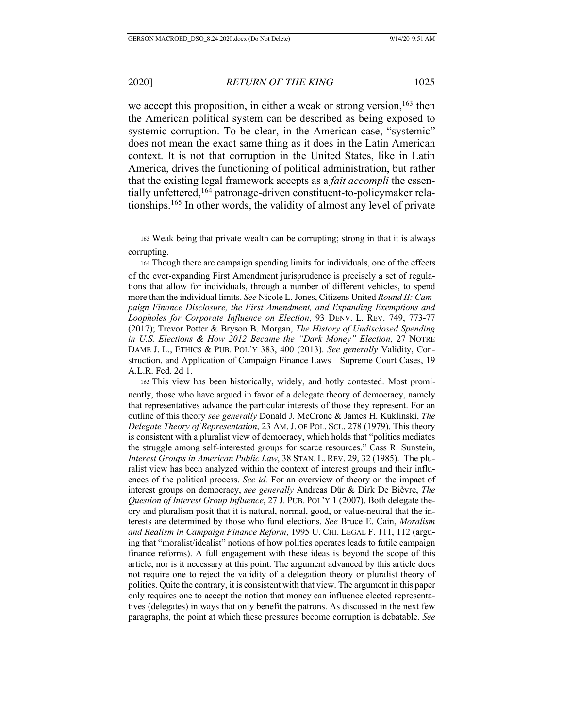we accept this proposition, in either a weak or strong version,  $163$  then the American political system can be described as being exposed to systemic corruption. To be clear, in the American case, "systemic" does not mean the exact same thing as it does in the Latin American context. It is not that corruption in the United States, like in Latin America, drives the functioning of political administration, but rather that the existing legal framework accepts as a *fait accompli* the essentially unfettered,<sup>164</sup> patronage-driven constituent-to-policymaker relationships.165 In other words, the validity of almost any level of private

<sup>165</sup> This view has been historically, widely, and hotly contested. Most prominently, those who have argued in favor of a delegate theory of democracy, namely that representatives advance the particular interests of those they represent. For an outline of this theory *see generally* Donald J. McCrone & James H. Kuklinski, *The Delegate Theory of Representation*, 23 AM. J. OF POL. SCI., 278 (1979). This theory is consistent with a pluralist view of democracy, which holds that "politics mediates the struggle among self-interested groups for scarce resources." Cass R. Sunstein, *Interest Groups in American Public Law*, 38 STAN. L. REV. 29, 32 (1985). The pluralist view has been analyzed within the context of interest groups and their influences of the political process. *See id.* For an overview of theory on the impact of interest groups on democracy, *see generally* Andreas Dür & Dirk De Bièvre, *The Question of Interest Group Influence*, 27 J. PUB. POL'Y 1 (2007). Both delegate theory and pluralism posit that it is natural, normal, good, or value-neutral that the interests are determined by those who fund elections. *See* Bruce E. Cain, *Moralism and Realism in Campaign Finance Reform*, 1995 U. CHI. LEGAL F. 111, 112 (arguing that "moralist/idealist" notions of how politics operates leads to futile campaign finance reforms). A full engagement with these ideas is beyond the scope of this article, nor is it necessary at this point. The argument advanced by this article does not require one to reject the validity of a delegation theory or pluralist theory of politics. Quite the contrary, it is consistent with that view. The argument in this paper only requires one to accept the notion that money can influence elected representatives (delegates) in ways that only benefit the patrons. As discussed in the next few paragraphs, the point at which these pressures become corruption is debatable. *See*

<sup>163</sup> Weak being that private wealth can be corrupting; strong in that it is always corrupting.

<sup>164</sup> Though there are campaign spending limits for individuals, one of the effects of the ever-expanding First Amendment jurisprudence is precisely a set of regulations that allow for individuals, through a number of different vehicles, to spend more than the individual limits. *See* Nicole L. Jones, Citizens United *Round II: Campaign Finance Disclosure, the First Amendment, and Expanding Exemptions and Loopholes for Corporate Influence on Election*, 93 DENV. L. REV. 749, 773-77 (2017); Trevor Potter & Bryson B. Morgan, *The History of Undisclosed Spending in U.S. Elections & How 2012 Became the "Dark Money" Election*, 27 NOTRE DAME J. L., ETHICS & PUB. POL'Y 383, 400 (2013). *See generally* Validity, Construction, and Application of Campaign Finance Laws—Supreme Court Cases, 19 A.L.R. Fed. 2d 1.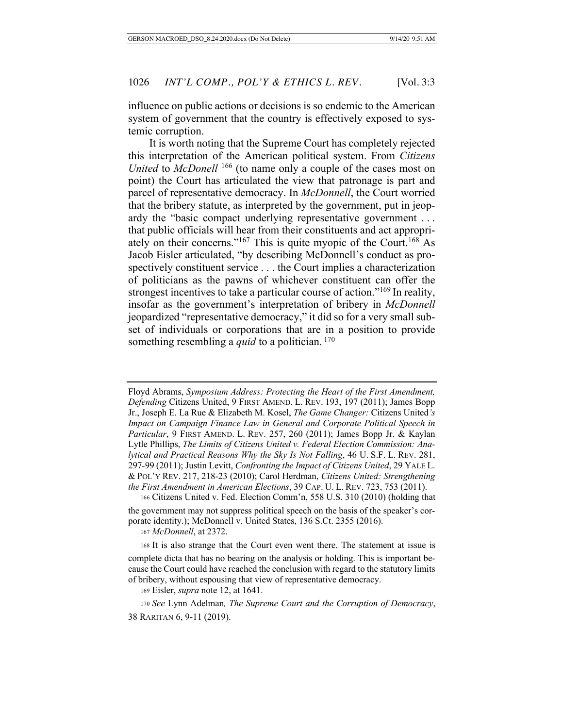influence on public actions or decisions is so endemic to the American system of government that the country is effectively exposed to systemic corruption.

It is worth noting that the Supreme Court has completely rejected this interpretation of the American political system. From *Citizens United* to *McDonell* <sup>166</sup> (to name only a couple of the cases most on point) the Court has articulated the view that patronage is part and parcel of representative democracy. In *McDonnell*, the Court worried that the bribery statute, as interpreted by the government, put in jeopardy the "basic compact underlying representative government . . . that public officials will hear from their constituents and act appropriately on their concerns."167 This is quite myopic of the Court.168 As Jacob Eisler articulated, "by describing McDonnell's conduct as prospectively constituent service . . . the Court implies a characterization of politicians as the pawns of whichever constituent can offer the strongest incentives to take a particular course of action."<sup>169</sup> In reality, insofar as the government's interpretation of bribery in *McDonnell* jeopardized "representative democracy," it did so for a very small subset of individuals or corporations that are in a position to provide something resembling a *quid* to a politician. <sup>170</sup>

<sup>167</sup> *McDonnell*, at 2372.

Floyd Abrams, *Symposium Address: Protecting the Heart of the First Amendment, Defending* Citizens United, 9 FIRST AMEND. L. REV. 193, 197 (2011); James Bopp Jr., Joseph E. La Rue & Elizabeth M. Kosel, *The Game Changer:* Citizens United*'s*  **Impact on Campaign Finance Law in General and Corporate Political Speech in** *Particular*, 9 FIRST AMEND. L. REV. 257, 260 (2011); James Bopp Jr. & Kaylan Lytle Phillips, *The Limits of Citizens United v. Federal Election Commission: Analytical and Practical Reasons Why the Sky Is Not Falling*, 46 U. S.F. L. REV. 281, 297-99 (2011); Justin Levitt, *Confronting the Impact of Citizens United*, 29 YALE L. & POL'Y REV. 217, 218-23 (2010); Carol Herdman, *Citizens United: Strengthening the First Amendment in American Elections*, 39 CAP. U. L. REV. 723, 753 (2011). <sup>166</sup> Citizens United v. Fed. Election Comm'n, 558 U.S. 310 (2010) (holding that

the government may not suppress political speech on the basis of the speaker's corporate identity.); McDonnell v. United States, 136 S.Ct. 2355 (2016).

<sup>168</sup> It is also strange that the Court even went there. The statement at issue is complete dicta that has no bearing on the analysis or holding. This is important because the Court could have reached the conclusion with regard to the statutory limits of bribery, without espousing that view of representative democracy.

<sup>169</sup> Eisler, *supra* note 12, at 1641.

<sup>170</sup> *See* Lynn Adelman*, The Supreme Court and the Corruption of Democracy*, 38 RARITAN 6, 9-11 (2019).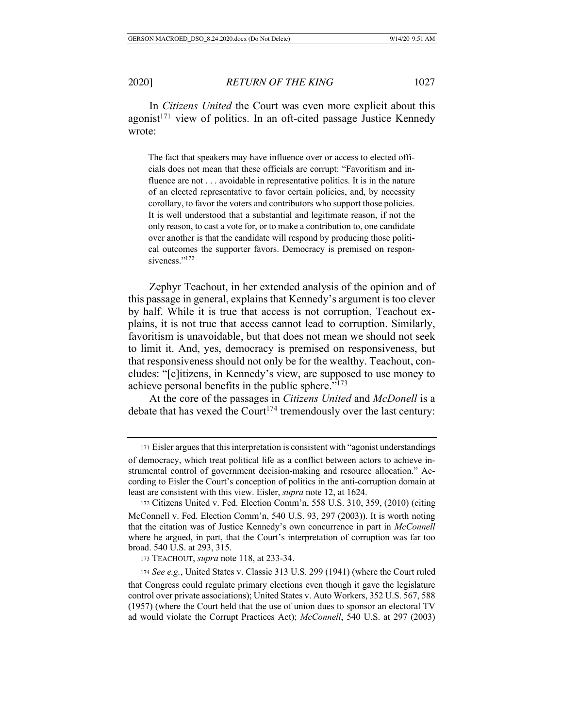In *Citizens United* the Court was even more explicit about this agonist<sup> $171$ </sup> view of politics. In an oft-cited passage Justice Kennedy wrote:

The fact that speakers may have influence over or access to elected officials does not mean that these officials are corrupt: "Favoritism and influence are not . . . avoidable in representative politics. It is in the nature of an elected representative to favor certain policies, and, by necessity corollary, to favor the voters and contributors who support those policies. It is well understood that a substantial and legitimate reason, if not the only reason, to cast a vote for, or to make a contribution to, one candidate over another is that the candidate will respond by producing those political outcomes the supporter favors. Democracy is premised on responsiveness."<sup>172</sup>

Zephyr Teachout, in her extended analysis of the opinion and of this passage in general, explains that Kennedy's argument is too clever by half. While it is true that access is not corruption, Teachout explains, it is not true that access cannot lead to corruption. Similarly, favoritism is unavoidable, but that does not mean we should not seek to limit it. And, yes, democracy is premised on responsiveness, but that responsiveness should not only be for the wealthy. Teachout, concludes: "[c]itizens, in Kennedy's view, are supposed to use money to achieve personal benefits in the public sphere."173

At the core of the passages in *Citizens United* and *McDonell* is a debate that has vexed the Court<sup>174</sup> tremendously over the last century:

<sup>171</sup> Eisler argues that this interpretation is consistent with "agonist understandings of democracy, which treat political life as a conflict between actors to achieve instrumental control of government decision-making and resource allocation." According to Eisler the Court's conception of politics in the anti-corruption domain at least are consistent with this view. Eisler, *supra* note 12, at 1624.

<sup>172</sup> Citizens United v. Fed. Election Comm'n, 558 U.S. 310, 359, (2010) (citing McConnell v. Fed. Election Comm'n, 540 U.S. 93, 297 (2003)). It is worth noting that the citation was of Justice Kennedy's own concurrence in part in *McConnell*  where he argued, in part, that the Court's interpretation of corruption was far too broad. 540 U.S. at 293, 315.

<sup>173</sup> TEACHOUT, *supra* note 118, at 233-34.

<sup>174</sup> *See e.g.*, United States v. Classic 313 U.S. 299 (1941) (where the Court ruled

that Congress could regulate primary elections even though it gave the legislature control over private associations); United States v. Auto Workers, 352 U.S. 567, 588 (1957) (where the Court held that the use of union dues to sponsor an electoral TV ad would violate the Corrupt Practices Act); *McConnell*, 540 U.S. at 297 (2003)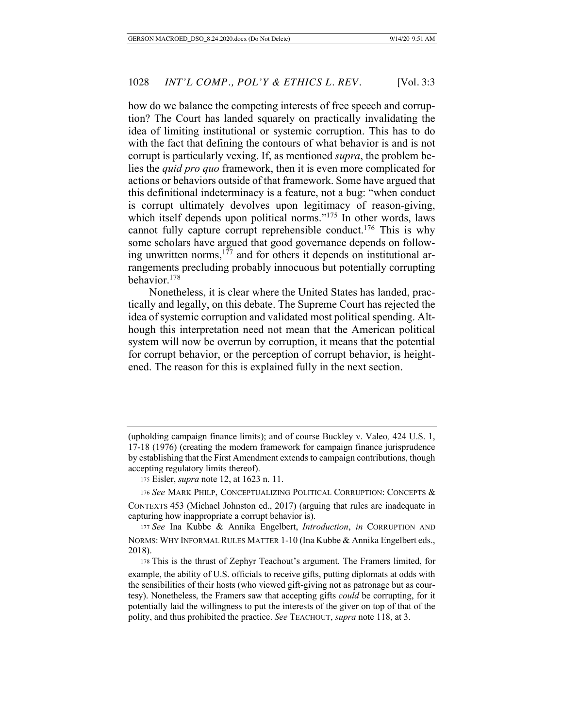how do we balance the competing interests of free speech and corruption? The Court has landed squarely on practically invalidating the idea of limiting institutional or systemic corruption. This has to do with the fact that defining the contours of what behavior is and is not corrupt is particularly vexing. If, as mentioned *supra*, the problem belies the *quid pro quo* framework, then it is even more complicated for actions or behaviors outside of that framework. Some have argued that this definitional indeterminacy is a feature, not a bug: "when conduct is corrupt ultimately devolves upon legitimacy of reason-giving, which itself depends upon political norms."<sup>175</sup> In other words, laws cannot fully capture corrupt reprehensible conduct.<sup>176</sup> This is why some scholars have argued that good governance depends on following unwritten norms, $177$  and for others it depends on institutional arrangements precluding probably innocuous but potentially corrupting behavior.178

Nonetheless, it is clear where the United States has landed, practically and legally, on this debate. The Supreme Court has rejected the idea of systemic corruption and validated most political spending. Although this interpretation need not mean that the American political system will now be overrun by corruption, it means that the potential for corrupt behavior, or the perception of corrupt behavior, is heightened. The reason for this is explained fully in the next section.

<sup>175</sup> Eisler, *supra* note 12, at 1623 n. 11.

<sup>176</sup> *See* MARK PHILP, CONCEPTUALIZING POLITICAL CORRUPTION: CONCEPTS &

CONTEXTS 453 (Michael Johnston ed., 2017) (arguing that rules are inadequate in capturing how inappropriate a corrupt behavior is).

<sup>(</sup>upholding campaign finance limits); and of course Buckley v. Valeo*,* 424 U.S. 1, 17-18 (1976) (creating the modern framework for campaign finance jurisprudence by establishing that the First Amendment extends to campaign contributions, though accepting regulatory limits thereof).

<sup>177</sup> *See* Ina Kubbe & Annika Engelbert, *Introduction*, *in* CORRUPTION AND NORMS: WHY INFORMAL RULES MATTER 1-10 (Ina Kubbe & Annika Engelbert eds., 2018).

<sup>178</sup> This is the thrust of Zephyr Teachout's argument. The Framers limited, for example, the ability of U.S. officials to receive gifts, putting diplomats at odds with the sensibilities of their hosts (who viewed gift-giving not as patronage but as courtesy). Nonetheless, the Framers saw that accepting gifts *could* be corrupting, for it potentially laid the willingness to put the interests of the giver on top of that of the polity, and thus prohibited the practice. *See* TEACHOUT, *supra* note 118, at 3.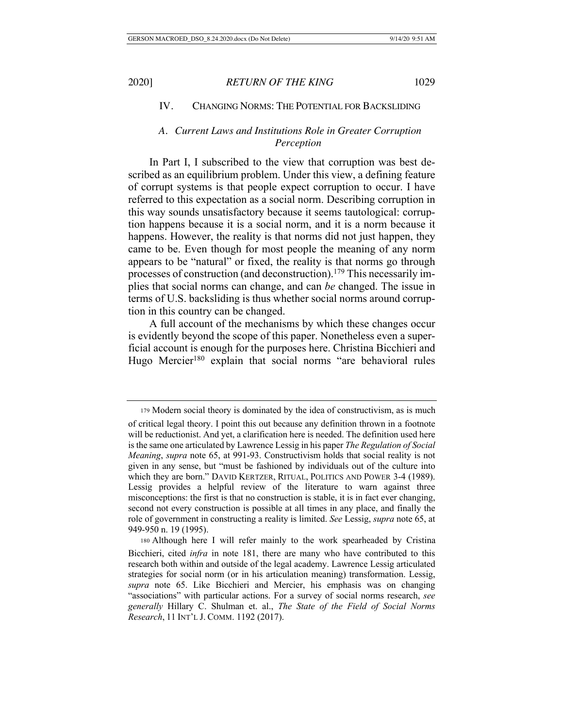# IV. CHANGING NORMS: THE POTENTIAL FOR BACKSLIDING

# *A. Current Laws and Institutions Role in Greater Corruption Perception*

In Part I, I subscribed to the view that corruption was best described as an equilibrium problem. Under this view, a defining feature of corrupt systems is that people expect corruption to occur. I have referred to this expectation as a social norm. Describing corruption in this way sounds unsatisfactory because it seems tautological: corruption happens because it is a social norm, and it is a norm because it happens. However, the reality is that norms did not just happen, they came to be. Even though for most people the meaning of any norm appears to be "natural" or fixed, the reality is that norms go through processes of construction (and deconstruction).179 This necessarily implies that social norms can change, and can *be* changed. The issue in terms of U.S. backsliding is thus whether social norms around corruption in this country can be changed.

A full account of the mechanisms by which these changes occur is evidently beyond the scope of this paper. Nonetheless even a superficial account is enough for the purposes here. Christina Bicchieri and Hugo Mercier<sup>180</sup> explain that social norms "are behavioral rules

<sup>179</sup> Modern social theory is dominated by the idea of constructivism, as is much of critical legal theory. I point this out because any definition thrown in a footnote will be reductionist. And yet, a clarification here is needed. The definition used here is the same one articulated by Lawrence Lessig in his paper *The Regulation of Social Meaning*, *supra* note 65, at 991-93. Constructivism holds that social reality is not given in any sense, but "must be fashioned by individuals out of the culture into which they are born." DAVID KERTZER, RITUAL, POLITICS AND POWER 3-4 (1989). Lessig provides a helpful review of the literature to warn against three misconceptions: the first is that no construction is stable, it is in fact ever changing, second not every construction is possible at all times in any place, and finally the role of government in constructing a reality is limited. *See* Lessig, *supra* note 65, at 949-950 n. 19 (1995).

<sup>180</sup> Although here I will refer mainly to the work spearheaded by Cristina Bicchieri, cited *infra* in note 181, there are many who have contributed to this research both within and outside of the legal academy. Lawrence Lessig articulated strategies for social norm (or in his articulation meaning) transformation. Lessig, *supra* note 65. Like Bicchieri and Mercier, his emphasis was on changing "associations" with particular actions. For a survey of social norms research, *see generally* Hillary C. Shulman et. al., *The State of the Field of Social Norms Research*, 11 INT'L J. COMM. 1192 (2017).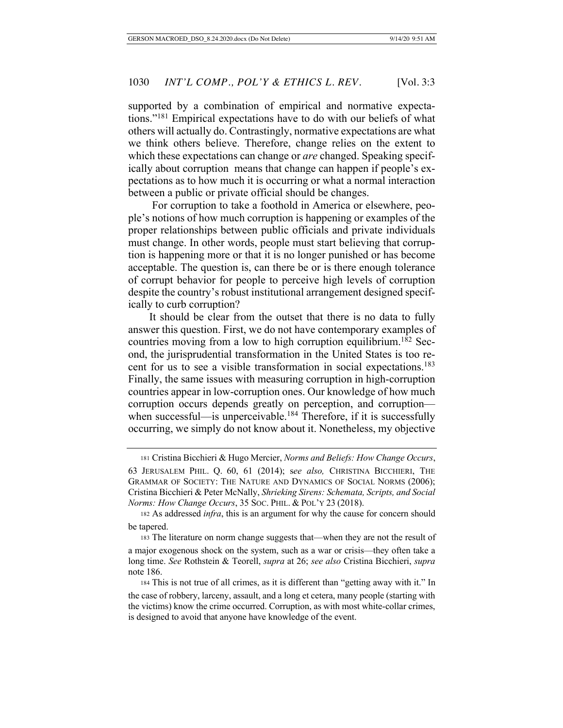supported by a combination of empirical and normative expectations."181 Empirical expectations have to do with our beliefs of what others will actually do. Contrastingly, normative expectations are what we think others believe. Therefore, change relies on the extent to which these expectations can change or *are* changed. Speaking specifically about corruption means that change can happen if people's expectations as to how much it is occurring or what a normal interaction between a public or private official should be changes.

 For corruption to take a foothold in America or elsewhere, people's notions of how much corruption is happening or examples of the proper relationships between public officials and private individuals must change. In other words, people must start believing that corruption is happening more or that it is no longer punished or has become acceptable. The question is, can there be or is there enough tolerance of corrupt behavior for people to perceive high levels of corruption despite the country's robust institutional arrangement designed specifically to curb corruption?

It should be clear from the outset that there is no data to fully answer this question. First, we do not have contemporary examples of countries moving from a low to high corruption equilibrium.182 Second, the jurisprudential transformation in the United States is too recent for us to see a visible transformation in social expectations.<sup>183</sup> Finally, the same issues with measuring corruption in high-corruption countries appear in low-corruption ones. Our knowledge of how much corruption occurs depends greatly on perception, and corruption when successful—is unperceivable.<sup>184</sup> Therefore, if it is successfully occurring, we simply do not know about it. Nonetheless, my objective

<sup>181</sup> Cristina Bicchieri & Hugo Mercier, *Norms and Beliefs: How Change Occurs*,

<sup>63</sup> JERUSALEM PHIL. Q. 60, 61 (2014); s*ee also,* CHRISTINA BICCHIERI, THE GRAMMAR OF SOCIETY: THE NATURE AND DYNAMICS OF SOCIAL NORMS (2006); Cristina Bicchieri & Peter McNally, *Shrieking Sirens: Schemata, Scripts, and Social Norms: How Change Occurs*, 35 SOC. PHIL. & POL'Y 23 (2018).

<sup>182</sup> As addressed *infra*, this is an argument for why the cause for concern should be tapered.

<sup>183</sup> The literature on norm change suggests that—when they are not the result of a major exogenous shock on the system, such as a war or crisis—they often take a long time. *See* Rothstein & Teorell, *supra* at 26; *see also* Cristina Bicchieri, *supra*  note 186.

<sup>184</sup> This is not true of all crimes, as it is different than "getting away with it." In the case of robbery, larceny, assault, and a long et cetera, many people (starting with the victims) know the crime occurred. Corruption, as with most white-collar crimes, is designed to avoid that anyone have knowledge of the event.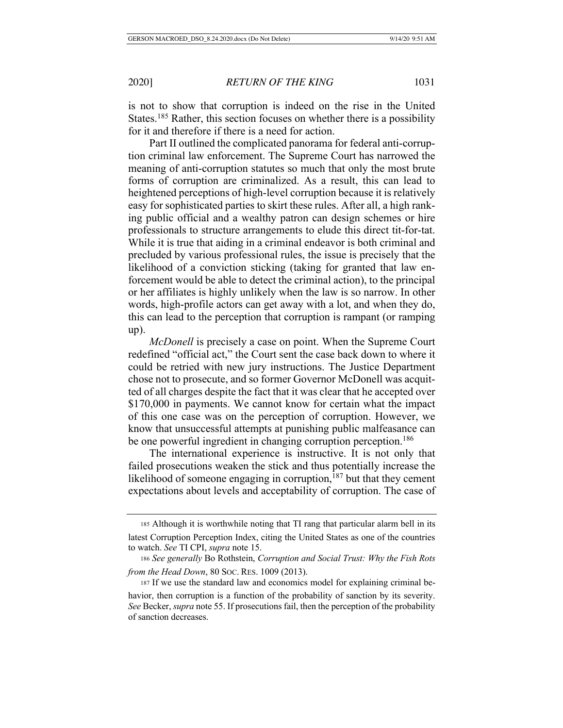is not to show that corruption is indeed on the rise in the United States.<sup>185</sup> Rather, this section focuses on whether there is a possibility for it and therefore if there is a need for action.

Part II outlined the complicated panorama for federal anti-corruption criminal law enforcement. The Supreme Court has narrowed the meaning of anti-corruption statutes so much that only the most brute forms of corruption are criminalized. As a result, this can lead to heightened perceptions of high-level corruption because it is relatively easy for sophisticated parties to skirt these rules. After all, a high ranking public official and a wealthy patron can design schemes or hire professionals to structure arrangements to elude this direct tit-for-tat. While it is true that aiding in a criminal endeavor is both criminal and precluded by various professional rules, the issue is precisely that the likelihood of a conviction sticking (taking for granted that law enforcement would be able to detect the criminal action), to the principal or her affiliates is highly unlikely when the law is so narrow. In other words, high-profile actors can get away with a lot, and when they do, this can lead to the perception that corruption is rampant (or ramping up).

*McDonell* is precisely a case on point. When the Supreme Court redefined "official act," the Court sent the case back down to where it could be retried with new jury instructions. The Justice Department chose not to prosecute, and so former Governor McDonell was acquitted of all charges despite the fact that it was clear that he accepted over \$170,000 in payments. We cannot know for certain what the impact of this one case was on the perception of corruption. However, we know that unsuccessful attempts at punishing public malfeasance can be one powerful ingredient in changing corruption perception.<sup>186</sup>

The international experience is instructive. It is not only that failed prosecutions weaken the stick and thus potentially increase the likelihood of someone engaging in corruption, $187$  but that they cement expectations about levels and acceptability of corruption. The case of

<sup>185</sup> Although it is worthwhile noting that TI rang that particular alarm bell in its latest Corruption Perception Index, citing the United States as one of the countries to watch. *See* TI CPI, *supra* note 15.

<sup>186</sup> *See generally* Bo Rothstein, *Corruption and Social Trust: Why the Fish Rots from the Head Down*, 80 SOC. RES. 1009 (2013).

<sup>187</sup> If we use the standard law and economics model for explaining criminal behavior, then corruption is a function of the probability of sanction by its severity. *See* Becker, *supra* note 55. If prosecutions fail, then the perception of the probability of sanction decreases.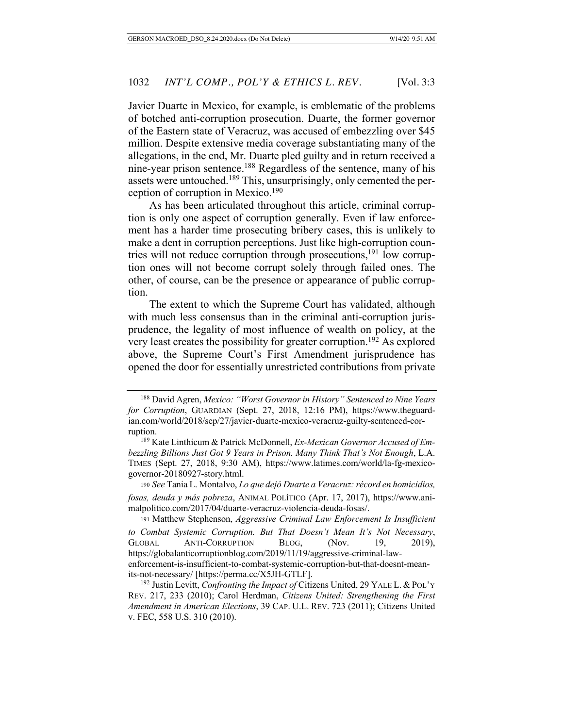Javier Duarte in Mexico, for example, is emblematic of the problems of botched anti-corruption prosecution. Duarte, the former governor of the Eastern state of Veracruz, was accused of embezzling over \$45 million. Despite extensive media coverage substantiating many of the allegations, in the end, Mr. Duarte pled guilty and in return received a nine-year prison sentence.188 Regardless of the sentence, many of his assets were untouched.<sup>189</sup> This, unsurprisingly, only cemented the perception of corruption in Mexico.190

As has been articulated throughout this article, criminal corruption is only one aspect of corruption generally. Even if law enforcement has a harder time prosecuting bribery cases, this is unlikely to make a dent in corruption perceptions. Just like high-corruption countries will not reduce corruption through prosecutions, $191$  low corruption ones will not become corrupt solely through failed ones. The other, of course, can be the presence or appearance of public corruption.

The extent to which the Supreme Court has validated, although with much less consensus than in the criminal anti-corruption jurisprudence, the legality of most influence of wealth on policy, at the very least creates the possibility for greater corruption.<sup>192</sup> As explored above, the Supreme Court's First Amendment jurisprudence has opened the door for essentially unrestricted contributions from private

<sup>190</sup> *See* Tania L. Montalvo, *Lo que dejó Duarte a Veracruz: récord en homicidios, fosas, deuda y más pobreza*, ANIMAL POLÍTICO (Apr. 17, 2017), https://www.animalpolitico.com/2017/04/duarte-veracruz-violencia-deuda-fosas/.

<sup>191</sup> Matthew Stephenson, *Aggressive Criminal Law Enforcement Is Insufficient to Combat Systemic Corruption. But That Doesn't Mean It's Not Necessary*, GLOBAL ANTI-CORRUPTION BLOG, (Nov. 19, 2019), https://globalanticorruptionblog.com/2019/11/19/aggressive-criminal-lawenforcement-is-insufficient-to-combat-systemic-corruption-but-that-doesnt-meanits-not-necessary/ [https://perma.cc/X5JH-GTLF]. 192 Justin Levitt, *Confronting the Impact of* Citizens United, 29 YALE L. & POL'Y

<sup>188</sup> David Agren, *Mexico: "Worst Governor in History" Sentenced to Nine Years for Corruption*, GUARDIAN (Sept. 27, 2018, 12:16 PM), https://www.theguardian.com/world/2018/sep/27/javier-duarte-mexico-veracruz-guilty-sentenced-corruption.

<sup>189</sup> Kate Linthicum & Patrick McDonnell, *Ex-Mexican Governor Accused of Embezzling Billions Just Got 9 Years in Prison. Many Think That's Not Enough*, L.A. TIMES (Sept. 27, 2018, 9:30 AM), https://www.latimes.com/world/la-fg-mexicogovernor-20180927-story.html.

REV. 217, 233 (2010); Carol Herdman, *Citizens United: Strengthening the First Amendment in American Elections*, 39 CAP. U.L. REV. 723 (2011); Citizens United v. FEC, 558 U.S. 310 (2010).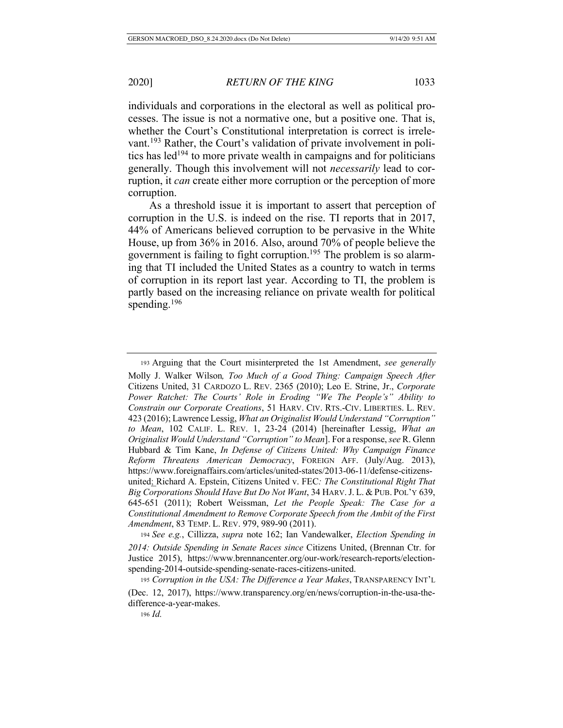individuals and corporations in the electoral as well as political processes. The issue is not a normative one, but a positive one. That is, whether the Court's Constitutional interpretation is correct is irrelevant.193 Rather, the Court's validation of private involvement in politics has led<sup>194</sup> to more private wealth in campaigns and for politicians generally. Though this involvement will not *necessarily* lead to corruption, it *can* create either more corruption or the perception of more corruption.

As a threshold issue it is important to assert that perception of corruption in the U.S. is indeed on the rise. TI reports that in 2017, 44% of Americans believed corruption to be pervasive in the White House, up from 36% in 2016. Also, around 70% of people believe the government is failing to fight corruption.195 The problem is so alarming that TI included the United States as a country to watch in terms of corruption in its report last year. According to TI, the problem is partly based on the increasing reliance on private wealth for political spending.<sup>196</sup>

<sup>193</sup> Arguing that the Court misinterpreted the 1st Amendment, *see generally* 

Molly J. Walker Wilson*, Too Much of a Good Thing: Campaign Speech After*  Citizens United, 31 CARDOZO L. REV. 2365 (2010); Leo E. Strine, Jr., *Corporate Power Ratchet: The Courts' Role in Eroding "We The People's" Ability to Constrain our Corporate Creations*, 51 HARV. CIV. RTS.-CIV. LIBERTIES. L. REV. 423 (2016); Lawrence Lessig, *What an Originalist Would Understand "Corruption" to Mean*, 102 CALIF. L. REV. 1, 23-24 (2014) [hereinafter Lessig, *What an Originalist Would Understand "Corruption" to Mean*]. For a response, *see* R. Glenn Hubbard & Tim Kane, *In Defense of Citizens United: Why Campaign Finance Reform Threatens American Democracy*, FOREIGN AFF. (July/Aug. 2013), https://www.foreignaffairs.com/articles/united-states/2013-06-11/defense-citizensunited; Richard A. Epstein, Citizens United v. FEC*: The Constitutional Right That Big Corporations Should Have But Do Not Want*, 34 HARV.J. L. & PUB. POL'Y 639, 645-651 (2011); Robert Weissman, *Let the People Speak: The Case for a Constitutional Amendment to Remove Corporate Speech from the Ambit of the First Amendment*, 83 TEMP. L. REV. 979, 989-90 (2011).

<sup>194</sup> *See e.g.*, Cillizza, *supra* note 162; Ian Vandewalker, *Election Spending in 2014: Outside Spending in Senate Races since* Citizens United, (Brennan Ctr. for Justice 2015), https://www.brennancenter.org/our-work/research-reports/electionspending-2014-outside-spending-senate-races-citizens-united.

<sup>195</sup> *Corruption in the USA: The Difference a Year Makes*, TRANSPARENCY INT'L

<sup>(</sup>Dec. 12, 2017), https://www.transparency.org/en/news/corruption-in-the-usa-thedifference-a-year-makes.

<sup>196</sup> *Id.*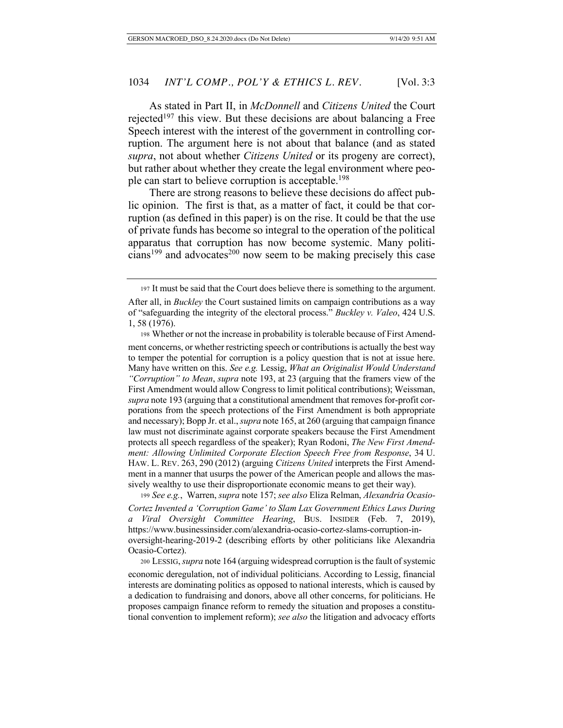As stated in Part II, in *McDonnell* and *Citizens United* the Court rejected<sup>197</sup> this view. But these decisions are about balancing a Free Speech interest with the interest of the government in controlling corruption. The argument here is not about that balance (and as stated *supra*, not about whether *Citizens United* or its progeny are correct), but rather about whether they create the legal environment where people can start to believe corruption is acceptable.<sup>198</sup>

There are strong reasons to believe these decisions do affect public opinion. The first is that, as a matter of fact, it could be that corruption (as defined in this paper) is on the rise. It could be that the use of private funds has become so integral to the operation of the political apparatus that corruption has now become systemic. Many politi $cians<sup>199</sup>$  and advocates<sup>200</sup> now seem to be making precisely this case

<sup>199</sup> *See e.g.*, Warren, *supra* note 157; *see also* Eliza Relman, *Alexandria Ocasio-Cortez Invented a 'Corruption Game' to Slam Lax Government Ethics Laws During a Viral Oversight Committee Hearing*, BUS. INSIDER (Feb. 7, 2019), https://www.businessinsider.com/alexandria-ocasio-cortez-slams-corruption-inoversight-hearing-2019-2 (describing efforts by other politicians like Alexandria Ocasio-Cortez).

200 LESSIG, *supra* note 164 (arguing widespread corruption is the fault of systemic economic deregulation, not of individual politicians. According to Lessig, financial interests are dominating politics as opposed to national interests, which is caused by a dedication to fundraising and donors, above all other concerns, for politicians. He proposes campaign finance reform to remedy the situation and proposes a constitutional convention to implement reform); *see also* the litigation and advocacy efforts

<sup>197</sup> It must be said that the Court does believe there is something to the argument.

After all, in *Buckley* the Court sustained limits on campaign contributions as a way of "safeguarding the integrity of the electoral process." *Buckley v. Valeo*, 424 U.S. 1, 58 (1976).

<sup>198</sup> Whether or not the increase in probability is tolerable because of First Amendment concerns, or whether restricting speech or contributions is actually the best way to temper the potential for corruption is a policy question that is not at issue here. Many have written on this. *See e.g.* Lessig, *What an Originalist Would Understand "Corruption" to Mean*, *supra* note 193, at 23 (arguing that the framers view of the First Amendment would allow Congress to limit political contributions); Weissman, *supra* note 193 (arguing that a constitutional amendment that removes for-profit corporations from the speech protections of the First Amendment is both appropriate and necessary); Bopp Jr. et al., *supra* note 165, at 260 (arguing that campaign finance law must not discriminate against corporate speakers because the First Amendment protects all speech regardless of the speaker); Ryan Rodoni, *The New First Amendment: Allowing Unlimited Corporate Election Speech Free from Response*, 34 U. HAW. L. REV. 263, 290 (2012) (arguing *Citizens United* interprets the First Amendment in a manner that usurps the power of the American people and allows the massively wealthy to use their disproportionate economic means to get their way).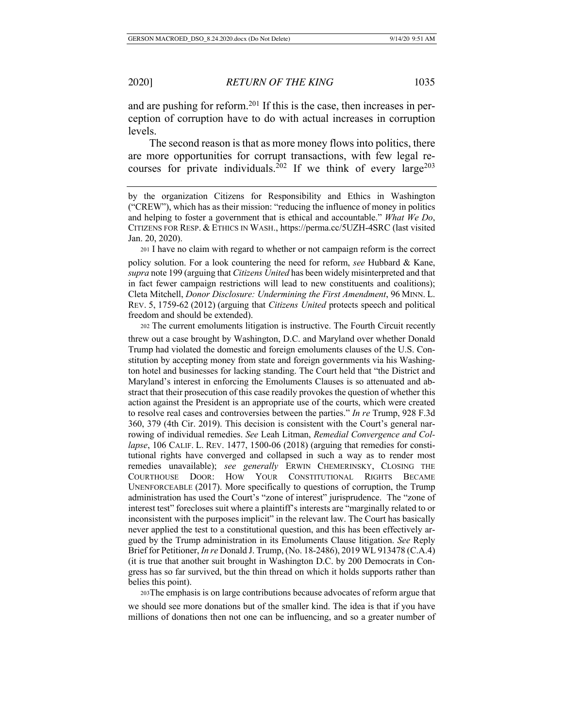and are pushing for reform.<sup>201</sup> If this is the case, then increases in perception of corruption have to do with actual increases in corruption levels.

The second reason is that as more money flows into politics, there are more opportunities for corrupt transactions, with few legal recourses for private individuals.<sup>202</sup> If we think of every large<sup>203</sup>

<sup>201</sup> I have no claim with regard to whether or not campaign reform is the correct policy solution. For a look countering the need for reform, *see* Hubbard & Kane, *supra* note 199 (arguing that *Citizens United* has been widely misinterpreted and that in fact fewer campaign restrictions will lead to new constituents and coalitions); Cleta Mitchell, *Donor Disclosure: Undermining the First Amendment*, 96 MINN. L. REV. 5, 1759-62 (2012) (arguing that *Citizens United* protects speech and political freedom and should be extended).

<sup>202</sup> The current emoluments litigation is instructive. The Fourth Circuit recently threw out a case brought by Washington, D.C. and Maryland over whether Donald Trump had violated the domestic and foreign emoluments clauses of the U.S. Constitution by accepting money from state and foreign governments via his Washington hotel and businesses for lacking standing. The Court held that "the District and Maryland's interest in enforcing the Emoluments Clauses is so attenuated and abstract that their prosecution of this case readily provokes the question of whether this action against the President is an appropriate use of the courts, which were created to resolve real cases and controversies between the parties." *In re* Trump, 928 F.3d 360, 379 (4th Cir. 2019). This decision is consistent with the Court's general narrowing of individual remedies. *See* Leah Litman, *Remedial Convergence and Collapse*, 106 CALIF. L. REV. 1477, 1500-06 (2018) (arguing that remedies for constitutional rights have converged and collapsed in such a way as to render most remedies unavailable); *see generally* ERWIN CHEMERINSKY, CLOSING THE COURTHOUSE DOOR: HOW YOUR CONSTITUTIONAL RIGHTS BECAME UNENFORCEABLE (2017). More specifically to questions of corruption, the Trump administration has used the Court's "zone of interest" jurisprudence. The "zone of interest test" forecloses suit where a plaintiff's interests are "marginally related to or inconsistent with the purposes implicit" in the relevant law. The Court has basically never applied the test to a constitutional question, and this has been effectively argued by the Trump administration in its Emoluments Clause litigation. *See* Reply Brief for Petitioner, *In re* Donald J. Trump, (No. 18-2486), 2019 WL 913478 (C.A.4) (it is true that another suit brought in Washington D.C. by 200 Democrats in Congress has so far survived, but the thin thread on which it holds supports rather than belies this point).

203The emphasis is on large contributions because advocates of reform argue that we should see more donations but of the smaller kind. The idea is that if you have millions of donations then not one can be influencing, and so a greater number of

by the organization Citizens for Responsibility and Ethics in Washington ("CREW"), which has as their mission: "reducing the influence of money in politics and helping to foster a government that is ethical and accountable." *What We Do*, CITIZENS FOR RESP. & ETHICS IN WASH., https://perma.cc/5UZH-4SRC (last visited Jan. 20, 2020).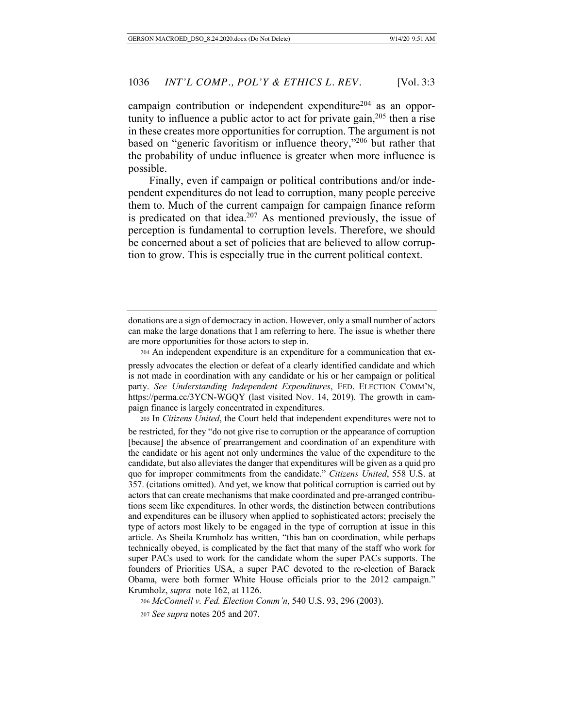campaign contribution or independent expenditure<sup>204</sup> as an opportunity to influence a public actor to act for private gain,  $205$  then a rise in these creates more opportunities for corruption. The argument is not based on "generic favoritism or influence theory,"206 but rather that the probability of undue influence is greater when more influence is possible.

Finally, even if campaign or political contributions and/or independent expenditures do not lead to corruption, many people perceive them to. Much of the current campaign for campaign finance reform is predicated on that idea.<sup>207</sup> As mentioned previously, the issue of perception is fundamental to corruption levels. Therefore, we should be concerned about a set of policies that are believed to allow corruption to grow. This is especially true in the current political context.

donations are a sign of democracy in action. However, only a small number of actors can make the large donations that I am referring to here. The issue is whether there are more opportunities for those actors to step in.

<sup>204</sup> An independent expenditure is an expenditure for a communication that expressly advocates the election or defeat of a clearly identified candidate and which is not made in coordination with any candidate or his or her campaign or political party. *See Understanding Independent Expenditures*, FED. ELECTION COMM'N, https://perma.cc/3YCN-WGQY (last visited Nov. 14, 2019). The growth in campaign finance is largely concentrated in expenditures.

<sup>205</sup> In *Citizens United*, the Court held that independent expenditures were not to be restricted, for they "do not give rise to corruption or the appearance of corruption [because] the absence of prearrangement and coordination of an expenditure with the candidate or his agent not only undermines the value of the expenditure to the candidate, but also alleviates the danger that expenditures will be given as a quid pro quo for improper commitments from the candidate." *Citizens United*, 558 U.S. at 357. (citations omitted). And yet, we know that political corruption is carried out by actors that can create mechanisms that make coordinated and pre-arranged contributions seem like expenditures. In other words, the distinction between contributions and expenditures can be illusory when applied to sophisticated actors; precisely the type of actors most likely to be engaged in the type of corruption at issue in this article. As Sheila Krumholz has written, "this ban on coordination, while perhaps technically obeyed, is complicated by the fact that many of the staff who work for super PACs used to work for the candidate whom the super PACs supports. The founders of Priorities USA, a super PAC devoted to the re-election of Barack Obama, were both former White House officials prior to the 2012 campaign." Krumholz, *supra* note 162, at 1126.

<sup>206</sup> *McConnell v. Fed. Election Comm'n*, 540 U.S. 93, 296 (2003).

<sup>207</sup> *See supra* notes 205 and 207.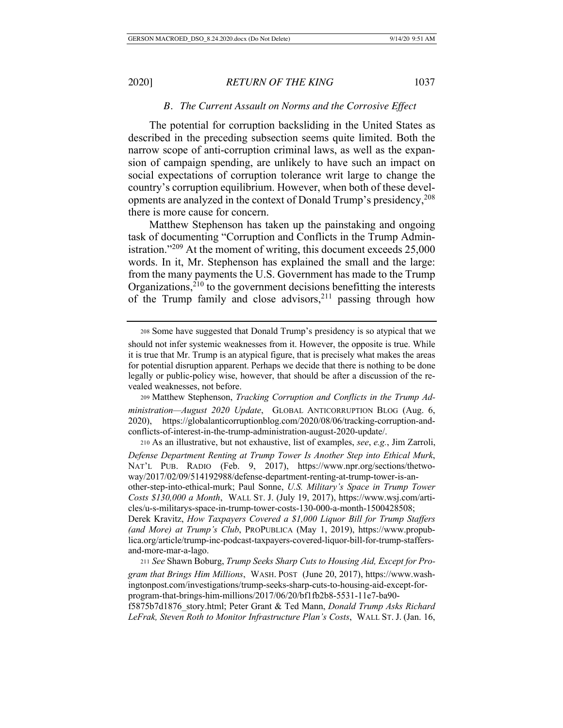# *B. The Current Assault on Norms and the Corrosive Effect*

The potential for corruption backsliding in the United States as described in the preceding subsection seems quite limited. Both the narrow scope of anti-corruption criminal laws, as well as the expansion of campaign spending, are unlikely to have such an impact on social expectations of corruption tolerance writ large to change the country's corruption equilibrium. However, when both of these developments are analyzed in the context of Donald Trump's presidency, <sup>208</sup> there is more cause for concern.

Matthew Stephenson has taken up the painstaking and ongoing task of documenting "Corruption and Conflicts in the Trump Administration."<sup>209</sup> At the moment of writing, this document exceeds  $25,000$ words. In it, Mr. Stephenson has explained the small and the large: from the many payments the U.S. Government has made to the Trump Organizations, $2^{10}$  to the government decisions benefitting the interests of the Trump family and close advisors,  $2^{11}$  passing through how

<sup>209</sup> Matthew Stephenson, *Tracking Corruption and Conflicts in the Trump Ad-*

*ministration—August 2020 Update*, GLOBAL ANTICORRUPTION BLOG (Aug. 6, 2020), https://globalanticorruptionblog.com/2020/08/06/tracking-corruption-andconflicts-of-interest-in-the-trump-administration-august-2020-update/.

<sup>210</sup> As an illustrative, but not exhaustive, list of examples, *see*, *e.g.*, Jim Zarroli, *Defense Department Renting at Trump Tower Is Another Step into Ethical Murk*, NAT'L PUB. RADIO (Feb. 9, 2017), https://www.npr.org/sections/thetwoway/2017/02/09/514192988/defense-department-renting-at-trump-tower-is-another-step-into-ethical-murk; Paul Sonne, *U.S. Military's Space in Trump Tower Costs \$130,000 a Month*, WALL ST. J. (July 19, 2017), https://www.wsj.com/articles/u-s-militarys-space-in-trump-tower-costs-130-000-a-month-1500428508; Derek Kravitz, *How Taxpayers Covered a \$1,000 Liquor Bill for Trump Staffers (and More) at Trump's Club*, PROPUBLICA (May 1, 2019), https://www.propublica.org/article/trump-inc-podcast-taxpayers-covered-liquor-bill-for-trump-staffersand-more-mar-a-lago.

<sup>211</sup> *See* Shawn Boburg, *Trump Seeks Sharp Cuts to Housing Aid, Except for Program that Brings Him Millions*, WASH. POST (June 20, 2017), https://www.washingtonpost.com/investigations/trump-seeks-sharp-cuts-to-housing-aid-except-forprogram-that-brings-him-millions/2017/06/20/bf1fb2b8-5531-11e7-ba90 f5875b7d1876\_story.html; Peter Grant & Ted Mann, *Donald Trump Asks Richard LeFrak, Steven Roth to Monitor Infrastructure Plan's Costs*, WALL ST. J. (Jan. 16,

<sup>208</sup> Some have suggested that Donald Trump's presidency is so atypical that we

should not infer systemic weaknesses from it. However, the opposite is true. While it is true that Mr. Trump is an atypical figure, that is precisely what makes the areas for potential disruption apparent. Perhaps we decide that there is nothing to be done legally or public-policy wise, however, that should be after a discussion of the revealed weaknesses, not before.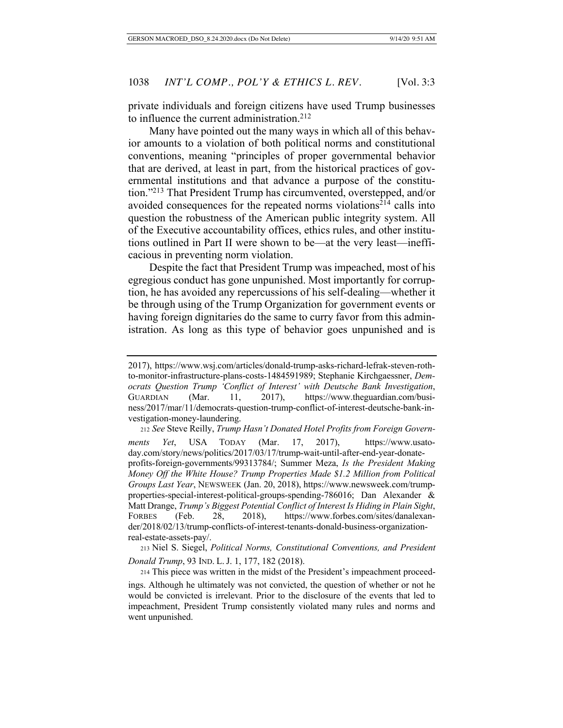private individuals and foreign citizens have used Trump businesses to influence the current administration.<sup>212</sup>

Many have pointed out the many ways in which all of this behavior amounts to a violation of both political norms and constitutional conventions, meaning "principles of proper governmental behavior that are derived, at least in part, from the historical practices of governmental institutions and that advance a purpose of the constitution."213 That President Trump has circumvented, overstepped, and/or avoided consequences for the repeated norms violations<sup>214</sup> calls into question the robustness of the American public integrity system. All of the Executive accountability offices, ethics rules, and other institutions outlined in Part II were shown to be—at the very least—inefficacious in preventing norm violation.

Despite the fact that President Trump was impeached, most of his egregious conduct has gone unpunished. Most importantly for corruption, he has avoided any repercussions of his self-dealing—whether it be through using of the Trump Organization for government events or having foreign dignitaries do the same to curry favor from this administration. As long as this type of behavior goes unpunished and is

<sup>213</sup> Niel S. Siegel, *Political Norms, Constitutional Conventions, and President Donald Trump*, 93 IND. L. J. 1, 177, 182 (2018).

<sup>214</sup> This piece was written in the midst of the President's impeachment proceedings. Although he ultimately was not convicted, the question of whether or not he would be convicted is irrelevant. Prior to the disclosure of the events that led to impeachment, President Trump consistently violated many rules and norms and went unpunished.

<sup>2017),</sup> https://www.wsj.com/articles/donald-trump-asks-richard-lefrak-steven-rothto-monitor-infrastructure-plans-costs-1484591989; Stephanie Kirchgaessner, *Democrats Question Trump 'Conflict of Interest' with Deutsche Bank Investigation*, GUARDIAN (Mar. 11, 2017), https://www.theguardian.com/business/2017/mar/11/democrats-question-trump-conflict-of-interest-deutsche-bank-investigation-money-laundering.

<sup>212</sup> *See* Steve Reilly, *Trump Hasn't Donated Hotel Profits from Foreign Governments Yet*, USA TODAY (Mar. 17, 2017), https://www.usatoday.com/story/news/politics/2017/03/17/trump-wait-until-after-end-year-donateprofits-foreign-governments/99313784/; Summer Meza, *Is the President Making Money Off the White House? Trump Properties Made \$1.2 Million from Political Groups Last Year*, NEWSWEEK (Jan. 20, 2018), https://www.newsweek.com/trumpproperties-special-interest-political-groups-spending-786016; Dan Alexander & Matt Drange, *Trump's Biggest Potential Conflict of Interest Is Hiding in Plain Sight*, FORBES (Feb. 28, 2018), https://www.forbes.com/sites/danalexander/2018/02/13/trump-conflicts-of-interest-tenants-donald-business-organizationreal-estate-assets-pay/.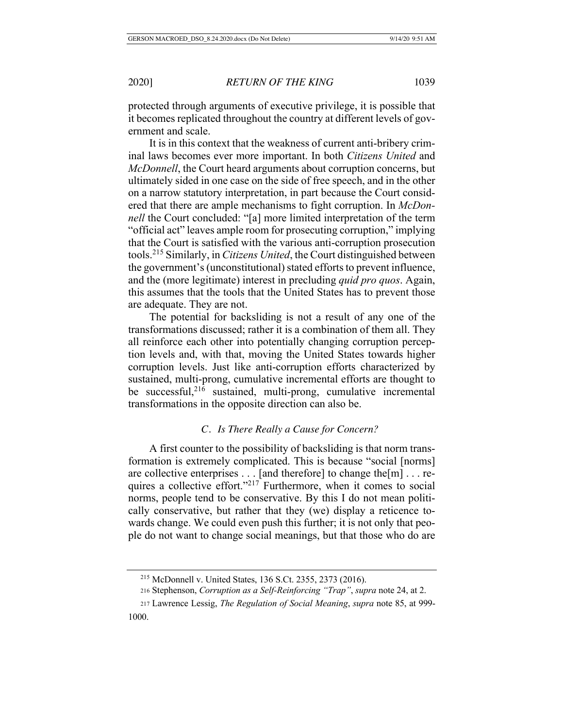protected through arguments of executive privilege, it is possible that it becomes replicated throughout the country at different levels of government and scale.

It is in this context that the weakness of current anti-bribery criminal laws becomes ever more important. In both *Citizens United* and *McDonnell*, the Court heard arguments about corruption concerns, but ultimately sided in one case on the side of free speech, and in the other on a narrow statutory interpretation, in part because the Court considered that there are ample mechanisms to fight corruption. In *McDonnell* the Court concluded: "[a] more limited interpretation of the term "official act" leaves ample room for prosecuting corruption," implying that the Court is satisfied with the various anti-corruption prosecution tools.215 Similarly, in *Citizens United*, the Court distinguished between the government's (unconstitutional) stated efforts to prevent influence, and the (more legitimate) interest in precluding *quid pro quos*. Again, this assumes that the tools that the United States has to prevent those are adequate. They are not.

The potential for backsliding is not a result of any one of the transformations discussed; rather it is a combination of them all. They all reinforce each other into potentially changing corruption perception levels and, with that, moving the United States towards higher corruption levels. Just like anti-corruption efforts characterized by sustained, multi-prong, cumulative incremental efforts are thought to be successful,  $216$  sustained, multi-prong, cumulative incremental transformations in the opposite direction can also be.

# *C. Is There Really a Cause for Concern?*

A first counter to the possibility of backsliding is that norm transformation is extremely complicated. This is because "social [norms] are collective enterprises . . . [and therefore] to change the[m] . . . requires a collective effort."217 Furthermore, when it comes to social norms, people tend to be conservative. By this I do not mean politically conservative, but rather that they (we) display a reticence towards change. We could even push this further; it is not only that people do not want to change social meanings, but that those who do are

<sup>215</sup> McDonnell v. United States, 136 S.Ct. 2355, 2373 (2016).

<sup>216</sup> Stephenson, *Corruption as a Self-Reinforcing "Trap"*, *supra* note 24, at 2.

<sup>217</sup> Lawrence Lessig, *The Regulation of Social Meaning*, *supra* note 85, at 999- 1000.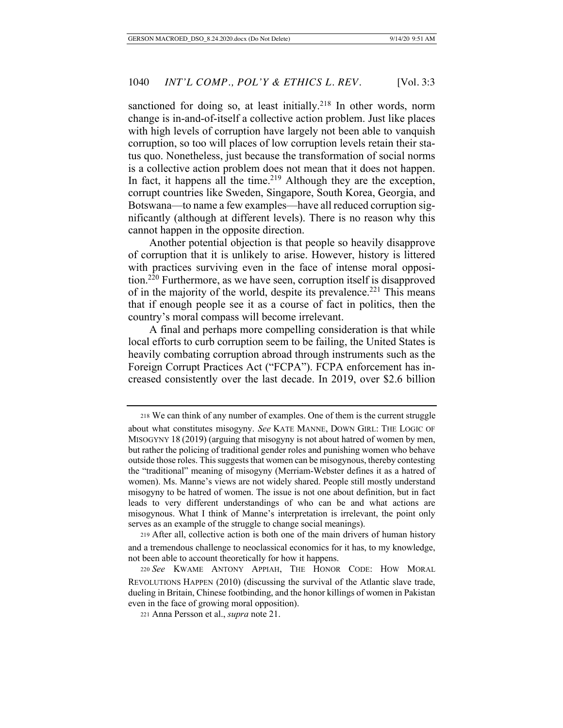sanctioned for doing so, at least initially.<sup>218</sup> In other words, norm change is in-and-of-itself a collective action problem. Just like places with high levels of corruption have largely not been able to vanquish corruption, so too will places of low corruption levels retain their status quo. Nonetheless, just because the transformation of social norms is a collective action problem does not mean that it does not happen. In fact, it happens all the time.<sup>219</sup> Although they are the exception, corrupt countries like Sweden, Singapore, South Korea, Georgia, and Botswana—to name a few examples—have all reduced corruption significantly (although at different levels). There is no reason why this cannot happen in the opposite direction.

Another potential objection is that people so heavily disapprove of corruption that it is unlikely to arise. However, history is littered with practices surviving even in the face of intense moral opposition.220 Furthermore, as we have seen, corruption itself is disapproved of in the majority of the world, despite its prevalence.<sup>221</sup> This means that if enough people see it as a course of fact in politics, then the country's moral compass will become irrelevant.

A final and perhaps more compelling consideration is that while local efforts to curb corruption seem to be failing, the United States is heavily combating corruption abroad through instruments such as the Foreign Corrupt Practices Act ("FCPA"). FCPA enforcement has increased consistently over the last decade. In 2019, over \$2.6 billion

<sup>219</sup> After all, collective action is both one of the main drivers of human history and a tremendous challenge to neoclassical economics for it has, to my knowledge, not been able to account theoretically for how it happens.

<sup>218</sup> We can think of any number of examples. One of them is the current struggle

about what constitutes misogyny. *See* KATE MANNE, DOWN GIRL: THE LOGIC OF MISOGYNY 18 (2019) (arguing that misogyny is not about hatred of women by men, but rather the policing of traditional gender roles and punishing women who behave outside those roles. This suggests that women can be misogynous, thereby contesting the "traditional" meaning of misogyny (Merriam-Webster defines it as a hatred of women). Ms. Manne's views are not widely shared. People still mostly understand misogyny to be hatred of women. The issue is not one about definition, but in fact leads to very different understandings of who can be and what actions are misogynous. What I think of Manne's interpretation is irrelevant, the point only serves as an example of the struggle to change social meanings).

<sup>220</sup> *See* KWAME ANTONY APPIAH, THE HONOR CODE: HOW MORAL REVOLUTIONS HAPPEN (2010) (discussing the survival of the Atlantic slave trade, dueling in Britain, Chinese footbinding, and the honor killings of women in Pakistan even in the face of growing moral opposition).

<sup>221</sup> Anna Persson et al., *supra* note 21.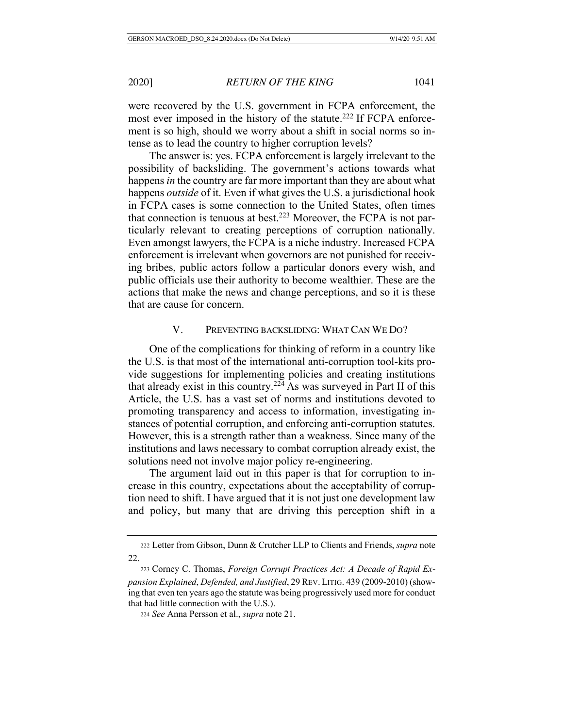were recovered by the U.S. government in FCPA enforcement, the most ever imposed in the history of the statute.<sup>222</sup> If FCPA enforcement is so high, should we worry about a shift in social norms so intense as to lead the country to higher corruption levels?

The answer is: yes. FCPA enforcement is largely irrelevant to the possibility of backsliding. The government's actions towards what happens *in* the country are far more important than they are about what happens *outside* of it. Even if what gives the U.S. a jurisdictional hook in FCPA cases is some connection to the United States, often times that connection is tenuous at best.<sup>223</sup> Moreover, the FCPA is not particularly relevant to creating perceptions of corruption nationally. Even amongst lawyers, the FCPA is a niche industry. Increased FCPA enforcement is irrelevant when governors are not punished for receiving bribes, public actors follow a particular donors every wish, and public officials use their authority to become wealthier. These are the actions that make the news and change perceptions, and so it is these that are cause for concern.

# V. PREVENTING BACKSLIDING: WHAT CAN WE DO?

One of the complications for thinking of reform in a country like the U.S. is that most of the international anti-corruption tool-kits provide suggestions for implementing policies and creating institutions that already exist in this country.224 As was surveyed in Part II of this Article, the U.S. has a vast set of norms and institutions devoted to promoting transparency and access to information, investigating instances of potential corruption, and enforcing anti-corruption statutes. However, this is a strength rather than a weakness. Since many of the institutions and laws necessary to combat corruption already exist, the solutions need not involve major policy re-engineering.

The argument laid out in this paper is that for corruption to increase in this country, expectations about the acceptability of corruption need to shift. I have argued that it is not just one development law and policy, but many that are driving this perception shift in a

<sup>222</sup> Letter from Gibson, Dunn & Crutcher LLP to Clients and Friends, *supra* note 22.

<sup>223</sup> Corney C. Thomas, *Foreign Corrupt Practices Act: A Decade of Rapid Expansion Explained*, *Defended, and Justified*, 29 REV. LITIG. 439 (2009-2010) (showing that even ten years ago the statute was being progressively used more for conduct that had little connection with the U.S.).

<sup>224</sup> *See* Anna Persson et al., *supra* note 21.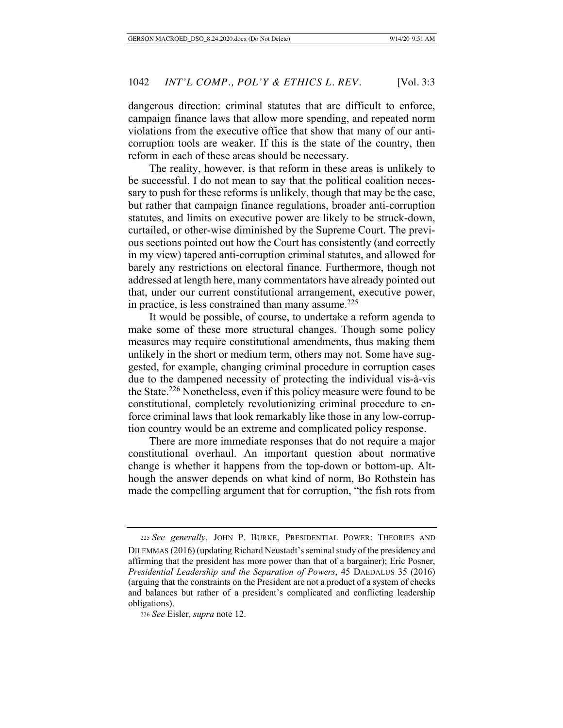dangerous direction: criminal statutes that are difficult to enforce, campaign finance laws that allow more spending, and repeated norm violations from the executive office that show that many of our anticorruption tools are weaker. If this is the state of the country, then reform in each of these areas should be necessary.

The reality, however, is that reform in these areas is unlikely to be successful. I do not mean to say that the political coalition necessary to push for these reforms is unlikely, though that may be the case, but rather that campaign finance regulations, broader anti-corruption statutes, and limits on executive power are likely to be struck-down, curtailed, or other-wise diminished by the Supreme Court. The previous sections pointed out how the Court has consistently (and correctly in my view) tapered anti-corruption criminal statutes, and allowed for barely any restrictions on electoral finance. Furthermore, though not addressed at length here, many commentators have already pointed out that, under our current constitutional arrangement, executive power, in practice, is less constrained than many assume. $225$ 

It would be possible, of course, to undertake a reform agenda to make some of these more structural changes. Though some policy measures may require constitutional amendments, thus making them unlikely in the short or medium term, others may not. Some have suggested, for example, changing criminal procedure in corruption cases due to the dampened necessity of protecting the individual vis-à-vis the State.226 Nonetheless, even if this policy measure were found to be constitutional, completely revolutionizing criminal procedure to enforce criminal laws that look remarkably like those in any low-corruption country would be an extreme and complicated policy response.

There are more immediate responses that do not require a major constitutional overhaul. An important question about normative change is whether it happens from the top-down or bottom-up. Although the answer depends on what kind of norm, Bo Rothstein has made the compelling argument that for corruption, "the fish rots from

<sup>225</sup> *See generally*, JOHN P. BURKE, PRESIDENTIAL POWER: THEORIES AND DILEMMAS (2016) (updating Richard Neustadt's seminal study of the presidency and affirming that the president has more power than that of a bargainer); Eric Posner, *Presidential Leadership and the Separation of Powers*, 45 DAEDALUS 35 (2016) (arguing that the constraints on the President are not a product of a system of checks and balances but rather of a president's complicated and conflicting leadership obligations).

<sup>226</sup> *See* Eisler, *supra* note 12.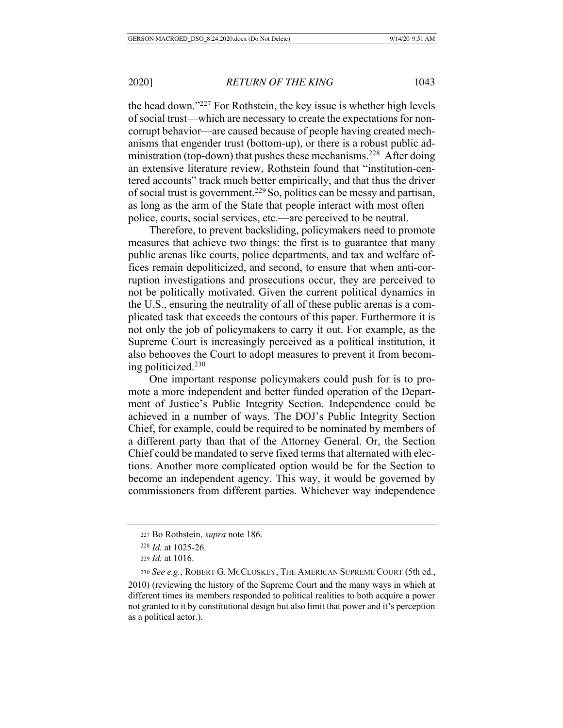the head down."227 For Rothstein, the key issue is whether high levels of social trust—which are necessary to create the expectations for noncorrupt behavior—are caused because of people having created mechanisms that engender trust (bottom-up), or there is a robust public administration (top-down) that pushes these mechanisms.<sup>228</sup> After doing an extensive literature review, Rothstein found that "institution-centered accounts" track much better empirically, and that thus the driver of social trust is government.<sup>229</sup> So, politics can be messy and partisan, as long as the arm of the State that people interact with most often police, courts, social services, etc.—are perceived to be neutral.

Therefore, to prevent backsliding, policymakers need to promote measures that achieve two things: the first is to guarantee that many public arenas like courts, police departments, and tax and welfare offices remain depoliticized, and second, to ensure that when anti-corruption investigations and prosecutions occur, they are perceived to not be politically motivated. Given the current political dynamics in the U.S., ensuring the neutrality of all of these public arenas is a complicated task that exceeds the contours of this paper. Furthermore it is not only the job of policymakers to carry it out. For example, as the Supreme Court is increasingly perceived as a political institution, it also behooves the Court to adopt measures to prevent it from becoming politicized.230

One important response policymakers could push for is to promote a more independent and better funded operation of the Department of Justice's Public Integrity Section. Independence could be achieved in a number of ways. The DOJ's Public Integrity Section Chief, for example, could be required to be nominated by members of a different party than that of the Attorney General. Or, the Section Chief could be mandated to serve fixed terms that alternated with elections. Another more complicated option would be for the Section to become an independent agency. This way, it would be governed by commissioners from different parties. Whichever way independence

<sup>227</sup> Bo Rothstein, *supra* note 186.

<sup>228</sup> *Id.* at 1025-26.

<sup>229</sup> *Id.* at 1016.

<sup>230</sup> *See e.g.*, ROBERT G. MCCLOSKEY, THE AMERICAN SUPREME COURT (5th ed.,

<sup>2010) (</sup>reviewing the history of the Supreme Court and the many ways in which at different times its members responded to political realities to both acquire a power not granted to it by constitutional design but also limit that power and it's perception as a political actor.).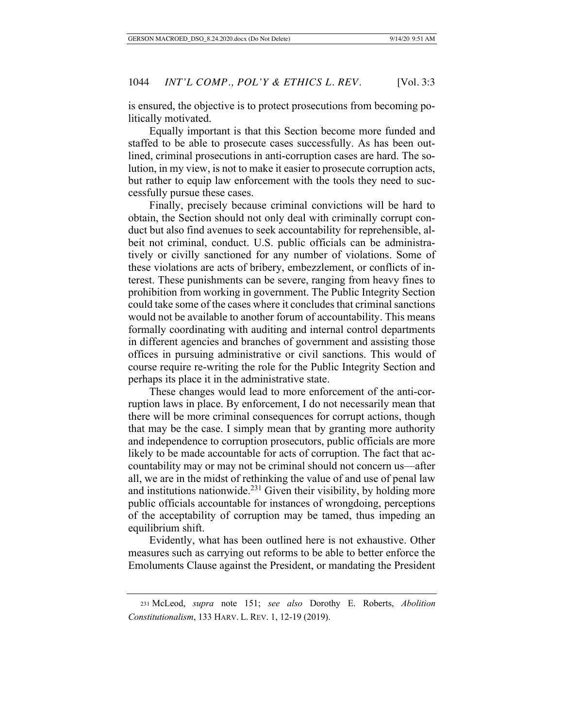is ensured, the objective is to protect prosecutions from becoming politically motivated.

Equally important is that this Section become more funded and staffed to be able to prosecute cases successfully. As has been outlined, criminal prosecutions in anti-corruption cases are hard. The solution, in my view, is not to make it easier to prosecute corruption acts, but rather to equip law enforcement with the tools they need to successfully pursue these cases.

Finally, precisely because criminal convictions will be hard to obtain, the Section should not only deal with criminally corrupt conduct but also find avenues to seek accountability for reprehensible, albeit not criminal, conduct. U.S. public officials can be administratively or civilly sanctioned for any number of violations. Some of these violations are acts of bribery, embezzlement, or conflicts of interest. These punishments can be severe, ranging from heavy fines to prohibition from working in government. The Public Integrity Section could take some of the cases where it concludes that criminal sanctions would not be available to another forum of accountability. This means formally coordinating with auditing and internal control departments in different agencies and branches of government and assisting those offices in pursuing administrative or civil sanctions. This would of course require re-writing the role for the Public Integrity Section and perhaps its place it in the administrative state.

These changes would lead to more enforcement of the anti-corruption laws in place. By enforcement, I do not necessarily mean that there will be more criminal consequences for corrupt actions, though that may be the case. I simply mean that by granting more authority and independence to corruption prosecutors, public officials are more likely to be made accountable for acts of corruption. The fact that accountability may or may not be criminal should not concern us—after all, we are in the midst of rethinking the value of and use of penal law and institutions nationwide.<sup>231</sup> Given their visibility, by holding more public officials accountable for instances of wrongdoing, perceptions of the acceptability of corruption may be tamed, thus impeding an equilibrium shift.

Evidently, what has been outlined here is not exhaustive. Other measures such as carrying out reforms to be able to better enforce the Emoluments Clause against the President, or mandating the President

<sup>231</sup> McLeod, *supra* note 151; *see also* Dorothy E. Roberts, *Abolition Constitutionalism*, 133 HARV. L. REV. 1, 12-19 (2019).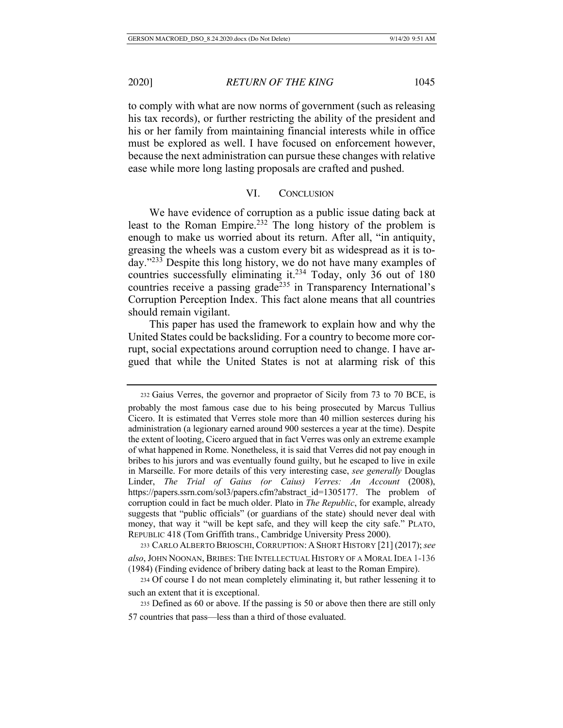to comply with what are now norms of government (such as releasing his tax records), or further restricting the ability of the president and his or her family from maintaining financial interests while in office must be explored as well. I have focused on enforcement however, because the next administration can pursue these changes with relative ease while more long lasting proposals are crafted and pushed.

# VI. CONCLUSION

We have evidence of corruption as a public issue dating back at least to the Roman Empire.<sup>232</sup> The long history of the problem is enough to make us worried about its return. After all, "in antiquity, greasing the wheels was a custom every bit as widespread as it is today."233 Despite this long history, we do not have many examples of countries successfully eliminating it.<sup>234</sup> Today, only 36 out of 180 countries receive a passing grade<sup>235</sup> in Transparency International's Corruption Perception Index. This fact alone means that all countries should remain vigilant.

This paper has used the framework to explain how and why the United States could be backsliding. For a country to become more corrupt, social expectations around corruption need to change. I have argued that while the United States is not at alarming risk of this

<sup>232</sup> Gaius Verres, the governor and propraetor of Sicily from 73 to 70 BCE, is probably the most famous case due to his being prosecuted by Marcus Tullius Cicero. It is estimated that Verres stole more than 40 million sesterces during his administration (a legionary earned around 900 sesterces a year at the time). Despite the extent of looting, Cicero argued that in fact Verres was only an extreme example of what happened in Rome. Nonetheless, it is said that Verres did not pay enough in bribes to his jurors and was eventually found guilty, but he escaped to live in exile in Marseille. For more details of this very interesting case, *see generally* Douglas Linder, *The Trial of Gaius (or Caius) Verres: An Account* (2008), https://papers.ssrn.com/sol3/papers.cfm?abstract\_id=1305177. The problem of corruption could in fact be much older. Plato in *The Republic*, for example, already suggests that "public officials" (or guardians of the state) should never deal with money, that way it "will be kept safe, and they will keep the city safe." PLATO, REPUBLIC 418 (Tom Griffith trans., Cambridge University Press 2000).

<sup>233</sup> CARLO ALBERTO BRIOSCHI, CORRUPTION: A SHORT HISTORY [21] (2017); *see also*, JOHN NOONAN, BRIBES: THE INTELLECTUAL HISTORY OF A MORAL IDEA 1-136 (1984) (Finding evidence of bribery dating back at least to the Roman Empire).

<sup>234</sup> Of course I do not mean completely eliminating it, but rather lessening it to such an extent that it is exceptional.

<sup>235</sup> Defined as 60 or above. If the passing is 50 or above then there are still only 57 countries that pass—less than a third of those evaluated.